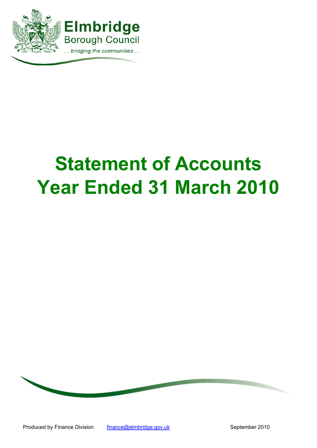

# **Statement of Accounts Year Ended 31 March 2010**

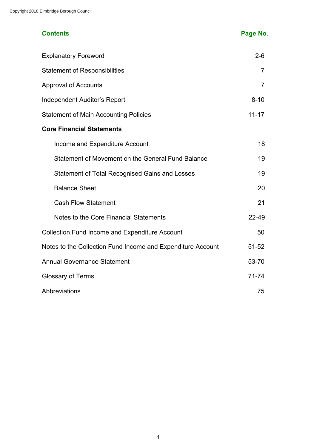# **Contents Page No.**

| <b>Explanatory Foreword</b>                                 | $2 - 6$        |
|-------------------------------------------------------------|----------------|
| <b>Statement of Responsibilities</b>                        | $\overline{7}$ |
| <b>Approval of Accounts</b>                                 | $\overline{7}$ |
| Independent Auditor's Report                                | $8 - 10$       |
| <b>Statement of Main Accounting Policies</b>                | $11 - 17$      |
| <b>Core Financial Statements</b>                            |                |
| Income and Expenditure Account                              | 18             |
| Statement of Movement on the General Fund Balance           | 19             |
| <b>Statement of Total Recognised Gains and Losses</b>       | 19             |
| <b>Balance Sheet</b>                                        | 20             |
| <b>Cash Flow Statement</b>                                  | 21             |
| Notes to the Core Financial Statements                      | 22-49          |
| <b>Collection Fund Income and Expenditure Account</b>       | 50             |
| Notes to the Collection Fund Income and Expenditure Account | $51 - 52$      |
| <b>Annual Governance Statement</b>                          | 53-70          |
| <b>Glossary of Terms</b>                                    | $71 - 74$      |
| Abbreviations                                               | 75             |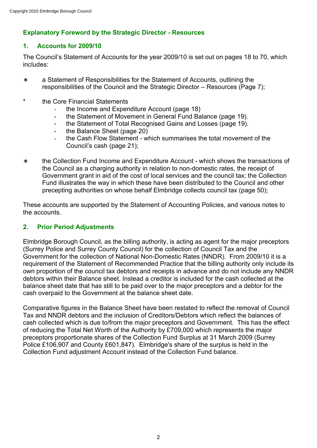# **Explanatory Foreword by the Strategic Director - Resources**

# **1. Accounts for 2009/10**

The Council's Statement of Accounts for the year 2009/10 is set out on pages 18 to 70, which includes:

- ∗ a Statement of Responsibilities for the Statement of Accounts, outlining the responsibilities of the Council and the Strategic Director – Resources (Page 7);
- \* the Core Financial Statements
	- the Income and Expenditure Account (page 18)
	- the Statement of Movement in General Fund Balance (page 19).
	- the Statement of Total Recognised Gains and Losses (page 19).
	- the Balance Sheet (page 20)
	- the Cash Flow Statement which summarises the total movement of the Council's cash (page 21);
- ∗ the Collection Fund Income and Expenditure Account which shows the transactions of the Council as a charging authority in relation to non-domestic rates, the receipt of Government grant in aid of the cost of local services and the council tax; the Collection Fund illustrates the way in which these have been distributed to the Council and other precepting authorities on whose behalf Elmbridge collects council tax (page 50);

These accounts are supported by the Statement of Accounting Policies, and various notes to the accounts.

# **2. Prior Period Adjustments**

Elmbridge Borough Council, as the billing authority, is acting as agent for the major preceptors (Surrey Police and Surrey County Council) for the collection of Council Tax and the Government for the collection of National Non-Domestic Rates (NNDR). From 2009/10 it is a requirement of the Statement of Recommended Practice that the billing authority only include its own proportion of the council tax debtors and receipts in advance and do not include any NNDR debtors within their Balance sheet. Instead a creditor is included for the cash collected at the balance sheet date that has still to be paid over to the major preceptors and a debtor for the cash overpaid to the Government at the balance sheet date.

Comparative figures in the Balance Sheet have been restated to reflect the removal of Council Tax and NNDR debtors and the inclusion of Creditors/Debtors which reflect the balances of cash collected which is due to/from the major preceptors and Government. This has the effect of reducing the Total Net Worth of the Authority by £709,000 which represents the major preceptors proportionate shares of the Collection Fund Surplus at 31 March 2009 (Surrey Police £106,907 and County £601,847). Elmbridge's share of the surplus is held in the Collection Fund adjustment Account instead of the Collection Fund balance.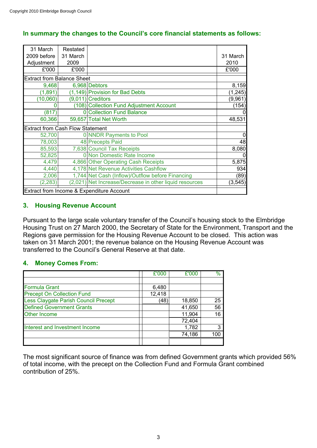| 31 March                                  | Restated       |                                                         |          |
|-------------------------------------------|----------------|---------------------------------------------------------|----------|
| 2009 before                               | 31 March       |                                                         | 31 March |
| Adjustment                                | 2009           |                                                         | 2010     |
| £'000                                     | £'000          |                                                         | £'000    |
| <b>Extract from Balance Sheet</b>         |                |                                                         |          |
| 9,468                                     |                | 6,968 Debtors                                           | 8,159    |
| (1,891)                                   |                | (1,149) Provision for Bad Debts                         | (1, 245) |
| (10,060)                                  |                | $(9,011)$ Creditors                                     | (9,961)  |
|                                           |                | (108) Collection Fund Adjustment Account                | (154)    |
| (817)                                     | $\overline{0}$ | <b>Collection Fund Balance</b>                          |          |
| 60,366                                    |                | 59,657 Total Net Worth                                  | 48,531   |
| <b>Extract from Cash Flow Statement</b>   |                |                                                         |          |
| 52,700                                    |                | 0 NNDR Payments to Pool                                 |          |
| 78,003                                    |                | 48 Precepts Paid                                        | 48       |
| 85,593                                    |                | 7,638 Council Tax Receipts                              | 8,080    |
| 52,825                                    |                | 0 Non Domestic Rate Income                              | O        |
| 4,479                                     |                | 4,866 Other Operating Cash Receipts                     | 5,875    |
| 4,440                                     |                | 4,178 Net Revenue Activities Cashflow                   | 934      |
| 2,006                                     |                | 1,744 Net Cash (Inflow)/Outflow before Financing        | (89)     |
| (2, 283)                                  |                | (2,021) Net Increase/Decrease in other liquid resources | (3, 545) |
| Extract from Income & Expenditure Account |                |                                                         |          |

# **In summary the changes to the Council's core financial statements as follows:**

# **3. Housing Revenue Account**

Pursuant to the large scale voluntary transfer of the Council's housing stock to the Elmbridge Housing Trust on 27 March 2000, the Secretary of State for the Environment, Transport and the Regions gave permission for the Housing Revenue Account to be closed. This action was taken on 31 March 2001; the revenue balance on the Housing Revenue Account was transferred to the Council's General Reserve at that date.

#### **4. Money Comes From:**

|                                      | £'000  | £'000  | $\%$ |
|--------------------------------------|--------|--------|------|
|                                      |        |        |      |
| <b>Formula Grant</b>                 | 6,480  |        |      |
| <b>Precept On Collection Fund</b>    | 12,418 |        |      |
| Less Claygate Parish Council Precept | (48    | 18,850 | 25   |
| <b>Defined Government Grants</b>     |        | 41,650 | 56   |
| <b>Other Income</b>                  |        | 11,904 | 16   |
|                                      |        | 72,404 |      |
| Interest and Investment Income       |        | 1,782  |      |
|                                      |        | 74,186 | 100  |
|                                      |        |        |      |

The most significant source of finance was from defined Government grants which provided 56% of total income, with the precept on the Collection Fund and Formula Grant combined contribution of 25%.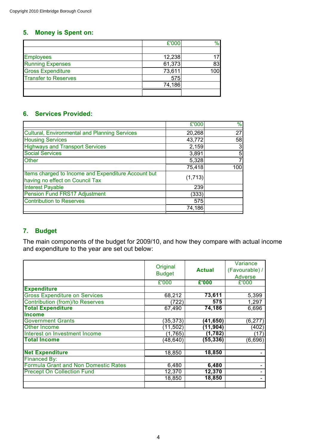# **5. Money is Spent on:**

|                             | £'000  | $\%$ |
|-----------------------------|--------|------|
|                             |        |      |
| <b>Employees</b>            | 12,238 | 17   |
| <b>Running Expenses</b>     | 61,373 | 83   |
| <b>Gross Expenditure</b>    | 73,611 | 100  |
| <b>Transfer to Reserves</b> | 575    |      |
|                             | 74,186 |      |
|                             |        |      |

# **6. Services Provided:**

|                                                                                        | £'000   | $\frac{1}{2}$ |
|----------------------------------------------------------------------------------------|---------|---------------|
| <b>Cultural, Environmental and Planning Services</b>                                   | 20,268  | 27            |
| <b>Housing Services</b>                                                                | 43,772  | 58            |
| <b>Highways and Transport Services</b>                                                 | 2,159   | 3             |
| <b>Social Services</b>                                                                 | 3,891   | 5             |
| <b>Other</b>                                                                           | 5,328   |               |
|                                                                                        | 75,418  | 100           |
| Items charged to Income and Expenditure Account but<br>having no effect on Council Tax | (1,713) |               |
| <b>Interest Payable</b>                                                                | 239     |               |
| Pension Fund FRS17 Adjustment                                                          | (333)   |               |
| <b>Contribution to Reserves</b>                                                        | 575     |               |
|                                                                                        | 74,186  |               |

# **7. Budget**

The main components of the budget for 2009/10, and how they compare with actual income and expenditure to the year are set out below:

|                                        | Original<br><b>Budget</b> | <b>Actual</b> | Variance<br>(Favourable) /<br>Adverse |
|----------------------------------------|---------------------------|---------------|---------------------------------------|
|                                        | £'000                     | £'000         | £'000                                 |
| <b>Expenditure</b>                     |                           |               |                                       |
| <b>Gross Expenditure on Services</b>   | 68,212                    | 73,611        | 5,399                                 |
| <b>Contribution (from)/to Reserves</b> | (722)                     | 575           | 1,297                                 |
| <b>Total Expenditure</b>               | 67,490                    | 74,186        | 6,696                                 |
| <b>Income</b>                          |                           |               |                                       |
| <b>Government Grants</b>               | (35, 373)                 | (41, 650)     | (6, 277)                              |
| <b>Other Income</b>                    | (11, 502)                 | (11, 904)     | (402)                                 |
| Interest on Investment Income          | (1,765)                   | (1,782)       | (17)                                  |
| <b>Total Income</b>                    | (48, 640)                 | (55, 336)     | (6,696)                               |
|                                        |                           |               |                                       |
| <b>Net Expenditure</b>                 | 18,850                    | 18,850        |                                       |
| Financed By:                           |                           |               |                                       |
| Formula Grant and Non Domestic Rates   | 6,480                     | 6,480         |                                       |
| <b>Precept On Collection Fund</b>      | 12,370                    | 12,370        |                                       |
|                                        | 18,850                    | 18,850        |                                       |
|                                        |                           |               |                                       |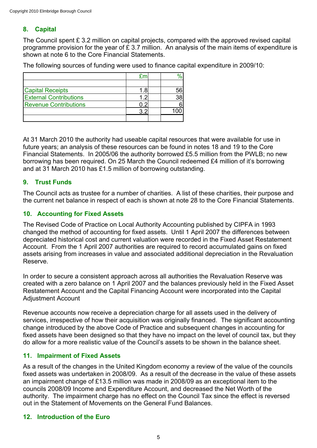# **8. Capital**

The Council spent £ 3.2 million on capital projects, compared with the approved revised capital programme provision for the year of  $\hat{\mathcal{L}}$  3.7 million. An analysis of the main items of expenditure is shown at note 6 to the Core Financial Statements.

The following sources of funding were used to finance capital expenditure in 2009/10:

| <b>Capital Receipts</b>       |  |  |
|-------------------------------|--|--|
| <b>External Contributions</b> |  |  |
| <b>Revenue Contributions</b>  |  |  |
|                               |  |  |
|                               |  |  |

At 31 March 2010 the authority had useable capital resources that were available for use in future years; an analysis of these resources can be found in notes 18 and 19 to the Core Financial Statements. In 2005/06 the authority borrowed £5.5 million from the PWLB; no new borrowing has been required. On 25 March the Council redeemed £4 million of it's borrowing and at 31 March 2010 has £1.5 million of borrowing outstanding.

## **9. Trust Funds**

The Council acts as trustee for a number of charities. A list of these charities, their purpose and the current net balance in respect of each is shown at note 28 to the Core Financial Statements.

# **10. Accounting for Fixed Assets**

The Revised Code of Practice on Local Authority Accounting published by CIPFA in 1993 changed the method of accounting for fixed assets. Until 1 April 2007 the differences between depreciated historical cost and current valuation were recorded in the Fixed Asset Restatement Account. From the 1 April 2007 authorities are required to record accumulated gains on fixed assets arising from increases in value and associated additional depreciation in the Revaluation Reserve.

In order to secure a consistent approach across all authorities the Revaluation Reserve was created with a zero balance on 1 April 2007 and the balances previously held in the Fixed Asset Restatement Account and the Capital Financing Account were incorporated into the Capital Adjustment Account

Revenue accounts now receive a depreciation charge for all assets used in the delivery of services, irrespective of how their acquisition was originally financed. The significant accounting change introduced by the above Code of Practice and subsequent changes in accounting for fixed assets have been designed so that they have no impact on the level of council tax, but they do allow for a more realistic value of the Council's assets to be shown in the balance sheet.

## **11. Impairment of Fixed Assets**

As a result of the changes in the United Kingdom economy a review of the value of the councils fixed assets was undertaken in 2008/09. As a result of the decrease in the value of these assets an impairment change of £13.5 million was made in 2008/09 as an exceptional item to the councils 2008/09 Income and Expenditure Account, and decreased the Net Worth of the authority. The impairment charge has no effect on the Council Tax since the effect is reversed out in the Statement of Movements on the General Fund Balances.

## **12. Introduction of the Euro**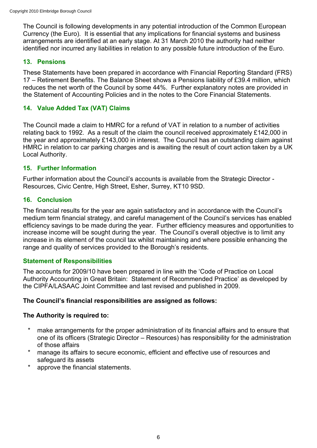The Council is following developments in any potential introduction of the Common European Currency (the Euro). It is essential that any implications for financial systems and business arrangements are identified at an early stage. At 31 March 2010 the authority had neither identified nor incurred any liabilities in relation to any possible future introduction of the Euro.

# **13. Pensions**

These Statements have been prepared in accordance with Financial Reporting Standard (FRS) 17 – Retirement Benefits. The Balance Sheet shows a Pensions liability of £39.4 million, which reduces the net worth of the Council by some 44%. Further explanatory notes are provided in the Statement of Accounting Policies and in the notes to the Core Financial Statements.

# **14. Value Added Tax (VAT) Claims**

The Council made a claim to HMRC for a refund of VAT in relation to a number of activities relating back to 1992. As a result of the claim the council received approximately £142,000 in the year and approximately £143,000 in interest. The Council has an outstanding claim against HMRC in relation to car parking charges and is awaiting the result of court action taken by a UK Local Authority.

# **15. Further Information**

Further information about the Council's accounts is available from the Strategic Director - Resources, Civic Centre, High Street, Esher, Surrey, KT10 9SD.

# **16. Conclusion**

The financial results for the year are again satisfactory and in accordance with the Council's medium term financial strategy, and careful management of the Council's services has enabled efficiency savings to be made during the year. Further efficiency measures and opportunities to increase income will be sought during the year. The Council's overall objective is to limit any increase in its element of the council tax whilst maintaining and where possible enhancing the range and quality of services provided to the Borough's residents.

# **Statement of Responsibilities**

The accounts for 2009/10 have been prepared in line with the 'Code of Practice on Local Authority Accounting in Great Britain: Statement of Recommended Practice' as developed by the CIPFA/LASAAC Joint Committee and last revised and published in 2009.

## **The Council's financial responsibilities are assigned as follows:**

## **The Authority is required to:**

- make arrangements for the proper administration of its financial affairs and to ensure that one of its officers (Strategic Director – Resources) has responsibility for the administration of those affairs
- manage its affairs to secure economic, efficient and effective use of resources and safeguard its assets
- approve the financial statements.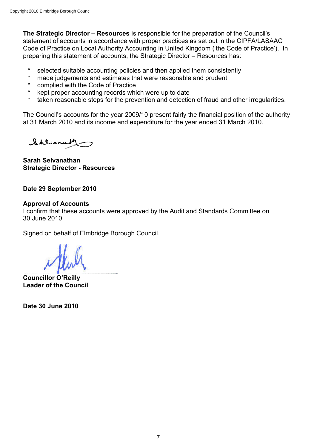**The Strategic Director – Resources** is responsible for the preparation of the Council's statement of accounts in accordance with proper practices as set out in the CIPFA/LASAAC Code of Practice on Local Authority Accounting in United Kingdom ('the Code of Practice'). In preparing this statement of accounts, the Strategic Director – Resources has:

- selected suitable accounting policies and then applied them consistently
- made judgements and estimates that were reasonable and prudent
- complied with the Code of Practice
- kept proper accounting records which were up to date
- taken reasonable steps for the prevention and detection of fraud and other irregularities.

The Council's accounts for the year 2009/10 present fairly the financial position of the authority at 31 March 2010 and its income and expenditure for the year ended 31 March 2010.

Shluana

**Sarah Selvanathan Strategic Director - Resources**

## **Date 29 September 2010**

#### **Approval of Accounts**

I confirm that these accounts were approved by the Audit and Standards Committee on 30 June 2010

Signed on behalf of Elmbridge Borough Council.

**Councillor O'Reilly Leader of the Council**

**Date 30 June 2010**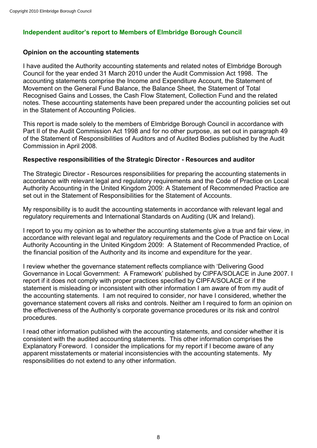# **Independent auditor's report to Members of Elmbridge Borough Council**

## **Opinion on the accounting statements**

I have audited the Authority accounting statements and related notes of Elmbridge Borough Council for the year ended 31 March 2010 under the Audit Commission Act 1998. The accounting statements comprise the Income and Expenditure Account, the Statement of Movement on the General Fund Balance, the Balance Sheet, the Statement of Total Recognised Gains and Losses, the Cash Flow Statement, Collection Fund and the related notes. These accounting statements have been prepared under the accounting policies set out in the Statement of Accounting Policies.

This report is made solely to the members of Elmbridge Borough Council in accordance with Part II of the Audit Commission Act 1998 and for no other purpose, as set out in paragraph 49 of the Statement of Responsibilities of Auditors and of Audited Bodies published by the Audit Commission in April 2008.

## **Respective responsibilities of the Strategic Director - Resources and auditor**

The Strategic Director - Resources responsibilities for preparing the accounting statements in accordance with relevant legal and regulatory requirements and the Code of Practice on Local Authority Accounting in the United Kingdom 2009: A Statement of Recommended Practice are set out in the Statement of Responsibilities for the Statement of Accounts.

My responsibility is to audit the accounting statements in accordance with relevant legal and regulatory requirements and International Standards on Auditing (UK and Ireland).

I report to you my opinion as to whether the accounting statements give a true and fair view, in accordance with relevant legal and regulatory requirements and the Code of Practice on Local Authority Accounting in the United Kingdom 2009: A Statement of Recommended Practice, of the financial position of the Authority and its income and expenditure for the year.

I review whether the governance statement reflects compliance with 'Delivering Good Governance in Local Government: A Framework' published by CIPFA/SOLACE in June 2007. I report if it does not comply with proper practices specified by CIPFA/SOLACE or if the statement is misleading or inconsistent with other information I am aware of from my audit of the accounting statements. I am not required to consider, nor have I considered, whether the governance statement covers all risks and controls. Neither am I required to form an opinion on the effectiveness of the Authority's corporate governance procedures or its risk and control procedures.

I read other information published with the accounting statements, and consider whether it is consistent with the audited accounting statements. This other information comprises the Explanatory Foreword. I consider the implications for my report if I become aware of any apparent misstatements or material inconsistencies with the accounting statements. My responsibilities do not extend to any other information.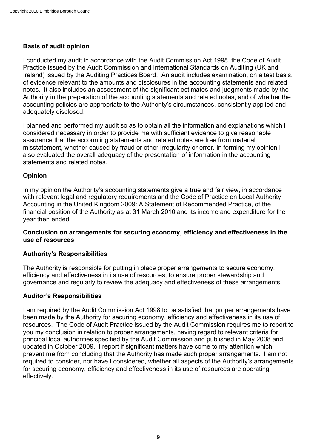# **Basis of audit opinion**

I conducted my audit in accordance with the Audit Commission Act 1998, the Code of Audit Practice issued by the Audit Commission and International Standards on Auditing (UK and Ireland) issued by the Auditing Practices Board. An audit includes examination, on a test basis, of evidence relevant to the amounts and disclosures in the accounting statements and related notes. It also includes an assessment of the significant estimates and judgments made by the Authority in the preparation of the accounting statements and related notes, and of whether the accounting policies are appropriate to the Authority's circumstances, consistently applied and adequately disclosed.

I planned and performed my audit so as to obtain all the information and explanations which I considered necessary in order to provide me with sufficient evidence to give reasonable assurance that the accounting statements and related notes are free from material misstatement, whether caused by fraud or other irregularity or error. In forming my opinion I also evaluated the overall adequacy of the presentation of information in the accounting statements and related notes.

# **Opinion**

In my opinion the Authority's accounting statements give a true and fair view, in accordance with relevant legal and regulatory requirements and the Code of Practice on Local Authority Accounting in the United Kingdom 2009: A Statement of Recommended Practice, of the financial position of the Authority as at 31 March 2010 and its income and expenditure for the year then ended.

## **Conclusion on arrangements for securing economy, efficiency and effectiveness in the use of resources**

## **Authority's Responsibilities**

The Authority is responsible for putting in place proper arrangements to secure economy, efficiency and effectiveness in its use of resources, to ensure proper stewardship and governance and regularly to review the adequacy and effectiveness of these arrangements.

## **Auditor's Responsibilities**

I am required by the Audit Commission Act 1998 to be satisfied that proper arrangements have been made by the Authority for securing economy, efficiency and effectiveness in its use of resources. The Code of Audit Practice issued by the Audit Commission requires me to report to you my conclusion in relation to proper arrangements, having regard to relevant criteria for principal local authorities specified by the Audit Commission and published in May 2008 and updated in October 2009. I report if significant matters have come to my attention which prevent me from concluding that the Authority has made such proper arrangements. I am not required to consider, nor have I considered, whether all aspects of the Authority's arrangements for securing economy, efficiency and effectiveness in its use of resources are operating effectively.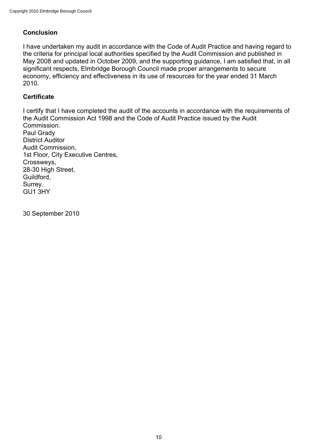# **Conclusion**

I have undertaken my audit in accordance with the Code of Audit Practice and having regard to the criteria for principal local authorities specified by the Audit Commission and published in May 2008 and updated in October 2009, and the supporting guidance, I am satisfied that, in all significant respects, Elmbridge Borough Council made proper arrangements to secure economy, efficiency and effectiveness in its use of resources for the year ended 31 March 2010.

# **Certificate**

I certify that I have completed the audit of the accounts in accordance with the requirements of the Audit Commission Act 1998 and the Code of Audit Practice issued by the Audit Commission. Paul Grady District Auditor Audit Commission, 1st Floor, City Executive Centres, Crossweys, 28-30 High Street, Guildford, Surrey. GU1 3HY

30 September 2010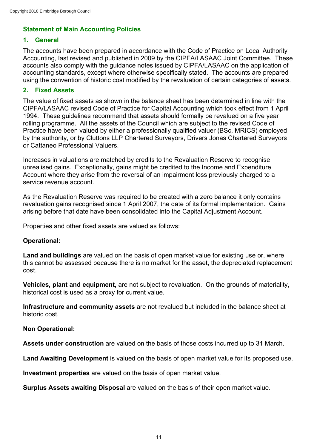# **Statement of Main Accounting Policies**

# **1. General**

The accounts have been prepared in accordance with the Code of Practice on Local Authority Accounting, last revised and published in 2009 by the CIPFA/LASAAC Joint Committee. These accounts also comply with the guidance notes issued by CIPFA/LASAAC on the application of accounting standards, except where otherwise specifically stated. The accounts are prepared using the convention of historic cost modified by the revaluation of certain categories of assets.

# **2. Fixed Assets**

The value of fixed assets as shown in the balance sheet has been determined in line with the CIPFA/LASAAC revised Code of Practice for Capital Accounting which took effect from 1 April 1994. These guidelines recommend that assets should formally be revalued on a five year rolling programme. All the assets of the Council which are subject to the revised Code of Practice have been valued by either a professionally qualified valuer (BSc, MRICS) employed by the authority, or by Cluttons LLP Chartered Surveyors, Drivers Jonas Chartered Surveyors or Cattaneo Professional Valuers.

Increases in valuations are matched by credits to the Revaluation Reserve to recognise unrealised gains. Exceptionally, gains might be credited to the Income and Expenditure Account where they arise from the reversal of an impairment loss previously charged to a service revenue account.

As the Revaluation Reserve was required to be created with a zero balance it only contains revaluation gains recognised since 1 April 2007, the date of its formal implementation. Gains arising before that date have been consolidated into the Capital Adjustment Account.

Properties and other fixed assets are valued as follows:

## **Operational:**

**Land and buildings** are valued on the basis of open market value for existing use or, where this cannot be assessed because there is no market for the asset, the depreciated replacement cost.

**Vehicles, plant and equipment,** are not subject to revaluation. On the grounds of materiality, historical cost is used as a proxy for current value.

**Infrastructure and community assets** are not revalued but included in the balance sheet at historic cost.

## **Non Operational:**

**Assets under construction** are valued on the basis of those costs incurred up to 31 March.

**Land Awaiting Development** is valued on the basis of open market value for its proposed use.

**Investment properties** are valued on the basis of open market value.

**Surplus Assets awaiting Disposal** are valued on the basis of their open market value.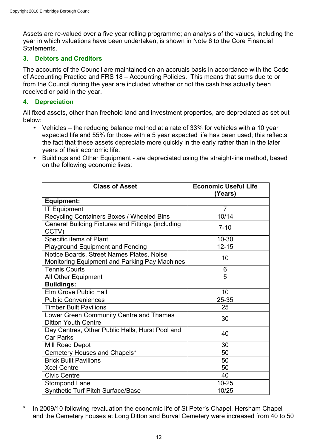Assets are re-valued over a five year rolling programme; an analysis of the values, including the year in which valuations have been undertaken, is shown in Note 6 to the Core Financial Statements.

## **3. Debtors and Creditors**

The accounts of the Council are maintained on an accruals basis in accordance with the Code of Accounting Practice and FRS 18 – Accounting Policies. This means that sums due to or from the Council during the year are included whether or not the cash has actually been received or paid in the year.

#### **4. Depreciation**

All fixed assets, other than freehold land and investment properties, are depreciated as set out below:

- Vehicles the reducing balance method at a rate of 33% for vehicles with a 10 year expected life and 55% for those with a 5 year expected life has been used; this reflects the fact that these assets depreciate more quickly in the early rather than in the later years of their economic life.
- Buildings and Other Equipment are depreciated using the straight-line method, based on the following economic lives:

| <b>Class of Asset</b>                                                                      | <b>Economic Useful Life</b><br>(Years) |
|--------------------------------------------------------------------------------------------|----------------------------------------|
| <b>Equipment:</b>                                                                          |                                        |
| <b>IT Equipment</b>                                                                        | 7                                      |
| Recycling Containers Boxes / Wheeled Bins                                                  | 10/14                                  |
| General Building Fixtures and Fittings (including<br>CCTV)                                 | $7 - 10$                               |
| Specific items of Plant                                                                    | 10-30                                  |
| <b>Playground Equipment and Fencing</b>                                                    | $12 - 15$                              |
| Notice Boards, Street Names Plates, Noise<br>Monitoring Equipment and Parking Pay Machines | 10                                     |
| <b>Tennis Courts</b>                                                                       | 6                                      |
| All Other Equipment                                                                        | 5                                      |
| <b>Buildings:</b>                                                                          |                                        |
| Elm Grove Public Hall                                                                      | 10                                     |
| <b>Public Conveniences</b>                                                                 | 25-35                                  |
| <b>Timber Built Pavilions</b>                                                              | 25                                     |
| Lower Green Community Centre and Thames<br><b>Ditton Youth Centre</b>                      | 30                                     |
| Day Centres, Other Public Halls, Hurst Pool and<br><b>Car Parks</b>                        | 40                                     |
| Mill Road Depot                                                                            | 30                                     |
| Cemetery Houses and Chapels*                                                               | 50                                     |
| <b>Brick Built Pavilions</b>                                                               | 50                                     |
| <b>Xcel Centre</b>                                                                         | 50                                     |
| <b>Civic Centre</b>                                                                        | 40                                     |
| <b>Stompond Lane</b>                                                                       | $10 - 25$                              |
| <b>Synthetic Turf Pitch Surface/Base</b>                                                   | 10/25                                  |

\* In 2009/10 following revaluation the economic life of St Peter's Chapel, Hersham Chapel and the Cemetery houses at Long Ditton and Burval Cemetery were increased from 40 to 50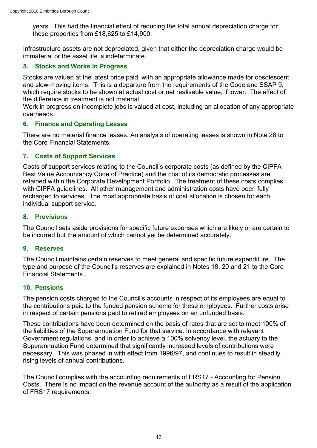years. This had the financial effect of reducing the total annual depreciation charge for these properties from £18,625 to £14,900.

Infrastructure assets are not depreciated, given that either the depreciation charge would be immaterial or the asset life is indeterminate.

# **5. Stocks and Works in Progress**

Stocks are valued at the latest price paid, with an appropriate allowance made for obsolescent and slow-moving items. This is a departure from the requirements of the Code and SSAP 9, which require stocks to be shown at actual cost or net realisable value, if lower. The effect of the difference in treatment is not material.

Work in progress on incomplete jobs is valued at cost, including an allocation of any appropriate overheads.

## **6. Finance and Operating Leases**

There are no material finance leases. An analysis of operating leases is shown in Note 26 to the Core Financial Statements.

## **7. Costs of Support Services**

Costs of support services relating to the Council's corporate costs (as defined by the CIPFA Best Value Accountancy Code of Practice) and the cost of its democratic processes are retained within the Corporate Development Portfolio. The treatment of these costs complies with CIPFA guidelines. All other management and administration costs have been fully recharged to services. The most appropriate basis of cost allocation is chosen for each individual support service.

## **8. Provisions**

The Council sets aside provisions for specific future expenses which are likely or are certain to be incurred but the amount of which cannot yet be determined accurately.

## **9. Reserves**

The Council maintains certain reserves to meet general and specific future expenditure. The type and purpose of the Council's reserves are explained in Notes 18, 20 and 21 to the Core Financial Statements.

#### **10. Pensions**

The pension costs charged to the Council's accounts in respect of its employees are equal to the contributions paid to the funded pension scheme for these employees. Further costs arise in respect of certain pensions paid to retired employees on an unfunded basis.

These contributions have been determined on the basis of rates that are set to meet 100% of the liabilities of the Superannuation Fund for that service. In accordance with relevant Government regulations, and in order to achieve a 100% solvency level, the actuary to the Superannuation Fund determined that significantly increased levels of contributions were necessary. This was phased in with effect from 1996/97, and continues to result in steadily rising levels of annual contributions.

The Council complies with the accounting requirements of FRS17 - Accounting for Pension Costs. There is no impact on the revenue account of the authority as a result of the application of FRS17 requirements.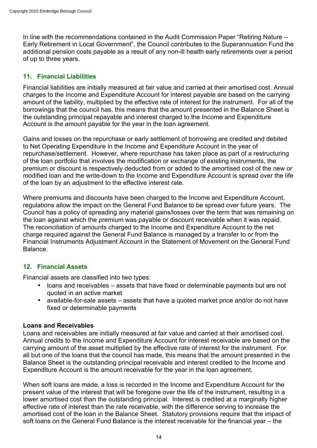In line with the recommendations contained in the Audit Commission Paper "Retiring Nature – Early Retirement in Local Government", the Council contributes to the Superannuation Fund the additional pension costs payable as a result of any non-ill health early retirements over a period of up to three years.

# **11. Financial Liabilities**

Financial liabilities are initially measured at fair value and carried at their amortised cost. Annual charges to the Income and Expenditure Account for interest payable are based on the carrying amount of the liability, multiplied by the effective rate of interest for the instrument. For all of the borrowings that the council has, this means that the amount presented in the Balance Sheet is the outstanding principal repayable and interest charged to the Income and Expenditure Account is the amount payable for the year in the loan agreement.

Gains and losses on the repurchase or early settlement of borrowing are credited and debited to Net Operating Expenditure in the Income and Expenditure Account in the year of repurchase/settlement. However, where repurchase has taken place as part of a restructuring of the loan portfolio that involves the modification or exchange of existing instruments, the premium or discount is respectively deducted from or added to the amortised cost of the new or modified loan and the write-down to the Income and Expenditure Account is spread over the life of the loan by an adjustment to the effective interest rate.

Where premiums and discounts have been charged to the Income and Expenditure Account, regulations allow the impact on the General Fund Balance to be spread over future years. The Council has a policy of spreading any material gains/losses over the term that was remaining on the loan against which the premium was payable or discount receivable when it was repaid. The reconciliation of amounts charged to the Income and Expenditure Account to the net charge required against the General Fund Balance is managed by a transfer to or from the Financial Instruments Adjustment Account in the Statement of Movement on the General Fund Balance.

# **12. Financial Assets**

Financial assets are classified into two types:

- loans and receivables assets that have fixed or determinable payments but are not quoted in an active market
- available-for-sale assets assets that have a quoted market price and/or do not have fixed or determinable payments

## **Loans and Receivables**

Loans and receivables are initially measured at fair value and carried at their amortised cost. Annual credits to the Income and Expenditure Account for interest receivable are based on the carrying amount of the asset multiplied by the effective rate of interest for the instrument. For all but one of the loans that the council has made, this means that the amount presented in the Balance Sheet is the outstanding principal receivable and interest credited to the Income and Expenditure Account is the amount receivable for the year in the loan agreement.

When soft loans are made, a loss is recorded in the Income and Expenditure Account for the present value of the interest that will be foregone over the life of the instrument, resulting in a lower amortised cost than the outstanding principal. Interest is credited at a marginally higher effective rate of interest than the rate receivable, with the difference serving to increase the amortised cost of the loan in the Balance Sheet. Statutory provisions require that the impact of soft loans on the General Fund Balance is the interest receivable for the financial year – the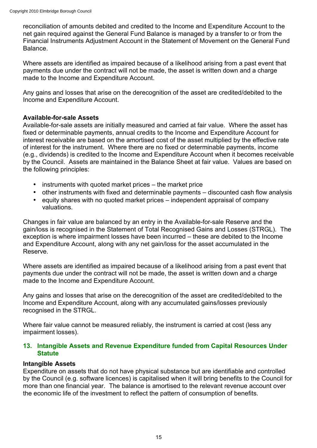reconciliation of amounts debited and credited to the Income and Expenditure Account to the net gain required against the General Fund Balance is managed by a transfer to or from the Financial Instruments Adjustment Account in the Statement of Movement on the General Fund Balance.

Where assets are identified as impaired because of a likelihood arising from a past event that payments due under the contract will not be made, the asset is written down and a charge made to the Income and Expenditure Account.

Any gains and losses that arise on the derecognition of the asset are credited/debited to the Income and Expenditure Account.

## **Available-for-sale Assets**

Available-for-sale assets are initially measured and carried at fair value. Where the asset has fixed or determinable payments, annual credits to the Income and Expenditure Account for interest receivable are based on the amortised cost of the asset multiplied by the effective rate of interest for the instrument. Where there are no fixed or determinable payments, income (e.g., dividends) is credited to the Income and Expenditure Account when it becomes receivable by the Council. Assets are maintained in the Balance Sheet at fair value. Values are based on the following principles:

- instruments with quoted market prices the market price
- other instruments with fixed and determinable payments discounted cash flow analysis
- equity shares with no quoted market prices independent appraisal of company valuations.

Changes in fair value are balanced by an entry in the Available-for-sale Reserve and the gain/loss is recognised in the Statement of Total Recognised Gains and Losses (STRGL). The exception is where impairment losses have been incurred – these are debited to the Income and Expenditure Account, along with any net gain/loss for the asset accumulated in the Reserve.

Where assets are identified as impaired because of a likelihood arising from a past event that payments due under the contract will not be made, the asset is written down and a charge made to the Income and Expenditure Account.

Any gains and losses that arise on the derecognition of the asset are credited/debited to the Income and Expenditure Account, along with any accumulated gains/losses previously recognised in the STRGL.

Where fair value cannot be measured reliably, the instrument is carried at cost (less any impairment losses).

## **13. Intangible Assets and Revenue Expenditure funded from Capital Resources Under Statute**

## **Intangible Assets**

Expenditure on assets that do not have physical substance but are identifiable and controlled by the Council (e.g. software licences) is capitalised when it will bring benefits to the Council for more than one financial year. The balance is amortised to the relevant revenue account over the economic life of the investment to reflect the pattern of consumption of benefits.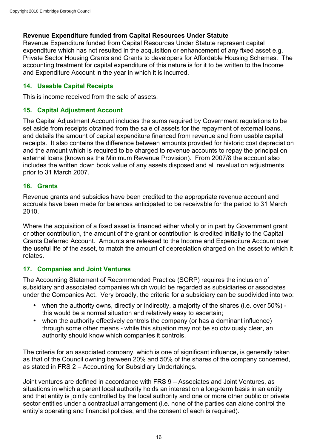# **Revenue Expenditure funded from Capital Resources Under Statute**

Revenue Expenditure funded from Capital Resources Under Statute represent capital expenditure which has not resulted in the acquisition or enhancement of any fixed asset e.g. Private Sector Housing Grants and Grants to developers for Affordable Housing Schemes. The accounting treatment for capital expenditure of this nature is for it to be written to the Income and Expenditure Account in the year in which it is incurred.

# **14. Useable Capital Receipts**

This is income received from the sale of assets.

# **15. Capital Adjustment Account**

The Capital Adjustment Account includes the sums required by Government regulations to be set aside from receipts obtained from the sale of assets for the repayment of external loans, and details the amount of capital expenditure financed from revenue and from usable capital receipts. It also contains the difference between amounts provided for historic cost depreciation and the amount which is required to be charged to revenue accounts to repay the principal on external loans (known as the Minimum Revenue Provision). From 2007/8 the account also includes the written down book value of any assets disposed and all revaluation adjustments prior to 31 March 2007.

# **16. Grants**

Revenue grants and subsidies have been credited to the appropriate revenue account and accruals have been made for balances anticipated to be receivable for the period to 31 March 2010.

Where the acquisition of a fixed asset is financed either wholly or in part by Government grant or other contribution, the amount of the grant or contribution is credited initially to the Capital Grants Deferred Account. Amounts are released to the Income and Expenditure Account over the useful life of the asset, to match the amount of depreciation charged on the asset to which it relates.

# **17. Companies and Joint Ventures**

The Accounting Statement of Recommended Practice (SORP) requires the inclusion of subsidiary and associated companies which would be regarded as subsidiaries or associates under the Companies Act. Very broadly, the criteria for a subsidiary can be subdivided into two:

- when the authority owns, directly or indirectly, a majority of the shares (i.e. over 50%) this would be a normal situation and relatively easy to ascertain;
- when the authority effectively controls the company (or has a dominant influence) through some other means - while this situation may not be so obviously clear, an authority should know which companies it controls.

The criteria for an associated company, which is one of significant influence, is generally taken as that of the Council owning between 20% and 50% of the shares of the company concerned, as stated in FRS 2 – Accounting for Subsidiary Undertakings.

Joint ventures are defined in accordance with FRS 9 – Associates and Joint Ventures, as situations in which a parent local authority holds an interest on a long-term basis in an entity and that entity is jointly controlled by the local authority and one or more other public or private sector entities under a contractual arrangement (i.e. none of the parties can alone control the entity's operating and financial policies, and the consent of each is required).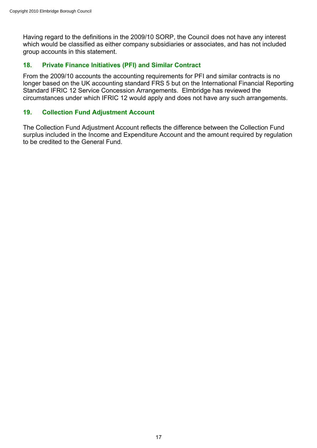Having regard to the definitions in the 2009/10 SORP, the Council does not have any interest which would be classified as either company subsidiaries or associates, and has not included group accounts in this statement.

# **18. Private Finance Initiatives (PFI) and Similar Contract**

From the 2009/10 accounts the accounting requirements for PFI and similar contracts is no longer based on the UK accounting standard FRS 5 but on the International Financial Reporting Standard IFRIC 12 Service Concession Arrangements. Elmbridge has reviewed the circumstances under which IFRIC 12 would apply and does not have any such arrangements.

# **19. Collection Fund Adjustment Account**

The Collection Fund Adjustment Account reflects the difference between the Collection Fund surplus included in the Income and Expenditure Account and the amount required by regulation to be credited to the General Fund.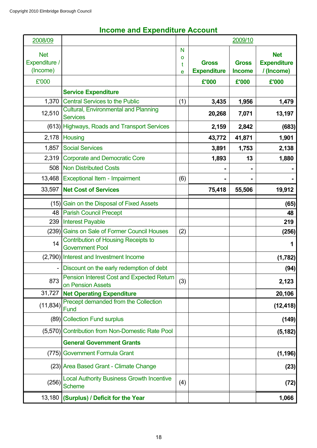# 2008/09 Net Expenditure / (Income) N o t e  **Gross Expenditure Gross Income Net Expenditure / (Income)**  £'000 **£'000 £'000 £'000 Service Expenditure** 1,370 Central Services to the Public (1) **3,435 1,956 1,479** 12,510 Cultural, Environmental and Planning<br>Services Services **20,268** 7,071 13,197 (613) Highways, Roads and Transport Services **2,159 2,842 (683)** 2,178 Housing **43,772 41,871 1,901** 1,857 Social Services **3,891 1,753 2,138** 2,319 Corporate and Democratic Core **1** 1,893 13 1,880 508 Non Distributed Costs **- - -** 13,468 Exceptional Item - Impairment (6) 33,597 **Net Cost of Services 75,418 55,506 19,912** (15) Gain on the Disposal of Fixed Assets **(65)** 48 Parish Council Precept **48** 239 Interest Payable **219** (239) Gains on Sale of Former Council Houses (2) **(256)** 14 Contribution of Housing Receipts to Government Pool<br>Government Pool **1**  (2,790) Interest and Investment Income **(1,782)** Discount on the early redemption of debt  $\vert$   $\vert$   $\vert$  (94) 873 Pension Interest Cost and Expected Return on Pension Assets (3) **2,123**<br> **on Pension Assets**  31,727 **Net Operating Expenditure 20,106** (11,834) Precept demanded from the Collection<br>Fund Fund (12,418) (89) Collection Fund surplus **(149)** (5,570) Contribution from Non-Domestic Rate Pool **(5,182) General Government Grants** (775) Government Formula Grant **(1,196)** (23) Area Based Grant - Climate Change **(23)** (256) Local Authority Business Growth Incentive Scheme (4) **(72)** 13,180 **(Surplus) / Deficit for the Year 1,066** 2009/10

# **Income and Expenditure Account**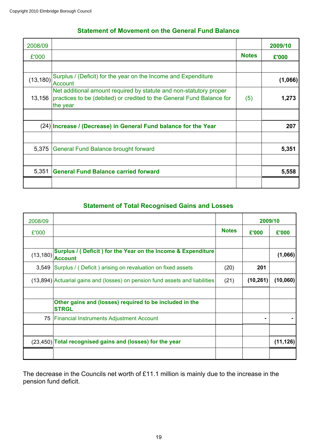| 2008/09   |                                                                                                                                                         |              | 2009/10 |
|-----------|---------------------------------------------------------------------------------------------------------------------------------------------------------|--------------|---------|
| £'000     |                                                                                                                                                         | <b>Notes</b> | £'000   |
|           |                                                                                                                                                         |              |         |
| (13, 180) | Surplus / (Deficit) for the year on the Income and Expenditure<br><b>Account</b>                                                                        |              | (1,066) |
| 13,156    | Net additional amount required by statute and non-statutory proper<br>practices to be (debited) or credited to the General Fund Balance for<br>the year | (5)          | 1,273   |
|           |                                                                                                                                                         |              |         |
|           | (24) Increase / (Decrease) in General Fund balance for the Year                                                                                         |              | 207     |
|           |                                                                                                                                                         |              |         |
| 5,375     | General Fund Balance brought forward                                                                                                                    |              | 5,351   |
|           |                                                                                                                                                         |              |         |
| 5,351     | <b>General Fund Balance carried forward</b>                                                                                                             |              | 5,558   |
|           |                                                                                                                                                         |              |         |

# **Statement of Total Recognised Gains and Losses**

| 2008/09   |                                                                                |              | 2009/10   |           |
|-----------|--------------------------------------------------------------------------------|--------------|-----------|-----------|
| £'000     |                                                                                | <b>Notes</b> | £'000     | £'000     |
|           |                                                                                |              |           |           |
| (13, 180) | Surplus / (Deficit) for the Year on the Income & Expenditure<br><b>Account</b> |              |           | (1,066)   |
| 3,549     | Surplus / (Deficit) arising on revaluation on fixed assets                     | (20)         | 201       |           |
|           | (13,894) Actuarial gains and (losses) on pension fund assets and liabilities   | (21)         | (10, 261) | (10,060)  |
|           | Other gains and (losses) required to be included in the                        |              |           |           |
|           | <b>STRGL</b>                                                                   |              |           |           |
|           | 75 Financial Instruments Adjustment Account                                    |              |           |           |
|           |                                                                                |              |           |           |
|           | (23,450) Total recognised gains and (losses) for the year                      |              |           | (11, 126) |
|           |                                                                                |              |           |           |

The decrease in the Councils net worth of £11.1 million is mainly due to the increase in the pension fund deficit.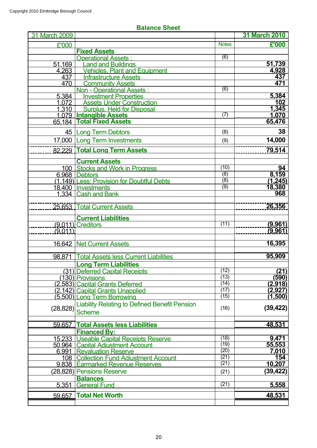| 31 March 2009 |                                                      |              | <b>31 March 2010</b> |
|---------------|------------------------------------------------------|--------------|----------------------|
| £'000         |                                                      | <b>Notes</b> | £'000                |
|               | <b>Fixed Assets</b>                                  |              |                      |
|               | <b>Operational Assets:</b>                           | (6)          |                      |
| 51,169        | and and Buildings                                    |              | 51,739               |
| 4,263         | <b>Vehicles, Plant and Equipment</b>                 |              | 4,928                |
| 437           | <b>Infrastructure Assets</b>                         |              | 437                  |
| 470           | <b>Community Assets</b>                              |              | 471                  |
|               | Non - Operational Assets :                           | (6)          |                      |
| 5,384         | <b>Investment Properties</b>                         |              | 5,384                |
| 1,072         | <b>Assets Under Construction</b>                     |              | 102                  |
| 1,310         | <b>Surplus, Held for Disposal</b>                    |              | 1,345                |
| 1.079         | <b>Intangible Assets</b>                             | (7)          | 1,070                |
| 65.184        | <b>Total Fixed Assets</b>                            |              | 65,476               |
|               | 45   Long Term Debtors                               | (8)          | 38                   |
|               |                                                      |              |                      |
|               | 17,000 Long Term Investments                         | (9)          | 14,000               |
| 82.229        | <b>Total Long Term Assets</b>                        |              | 79,514               |
|               |                                                      |              |                      |
|               | <b>Current Assets</b>                                |              |                      |
|               | 100 Stocks and Work in Progress                      | (10)         | 94                   |
|               | 6.968 Debtors                                        | (8)          | 8,159                |
|               | (1.149) Less: Provision for Doubtful Debts           | (8)          | (1, 245)             |
|               | 18,400   Investments                                 | (9)          | 18,380<br>968        |
|               | 1,334 Cash and Bank                                  |              |                      |
|               |                                                      |              |                      |
|               | 25.653 Total Current Assets                          |              | 26,356               |
|               | <b>Current Liabilities</b>                           |              |                      |
|               | $(9.011)$ Creditors                                  | (11)         | (9,961)              |
| (9.011)       |                                                      |              | (9,961)              |
|               |                                                      |              |                      |
|               | 16,642 Net Current Assets                            |              | 16,395               |
|               |                                                      |              |                      |
| 98.871        | <b>Total Assets less Current Liabilities</b>         |              | 95,909               |
|               | <b>Long Term Liabilities</b>                         |              |                      |
|               |                                                      | (12)         | (21)                 |
|               | (31) Deferred Capital Receipts<br>(130) Provisions   | (13)         | (590)                |
|               |                                                      | (14)         | (2,918)              |
|               | (2.583) Capital Grants Deferred                      | (17)         |                      |
|               | (2.142) Capital Grants Unapplied                     | (15)         | (2,927)              |
|               | (5,500) Long Term Borrowing                          |              | (1,500)              |
|               | <b>Liability Relating to Defined Benefit Pension</b> | (16)         | (39, 422)            |
|               | $(28,828)$ Scheme                                    |              |                      |
|               |                                                      |              | 48,531               |
| 59.657        | <b>Total Assets less Liabilities</b>                 |              |                      |
| 15.233        | <b>Financed By:</b>                                  | (18)         | 9,471                |
|               | Useable Capital Receipts Reserve                     | (19)         |                      |
| 50,964        | <b>Capital Adjustment Account</b>                    | (20)         | 55,553               |
| 6.991         | <b>Revaluation Reserve</b>                           | (21)         | 7,010<br>154         |
|               | 108   Collection Fund Adiustment Account             | (21)         | 10,207               |
|               | 9.838 Earmarked Revenue Reserves                     |              |                      |
|               | (28,828) Pensions Reserve                            | (21)         | (39,422)             |
|               | <b>Balances</b>                                      |              |                      |
| 5.351         | <b>General Fund</b>                                  | (21)         | 5,558                |
| 59.657        | <b>Total Net Worth</b>                               |              | 48,531               |
|               |                                                      |              |                      |

# **Balance Sheet**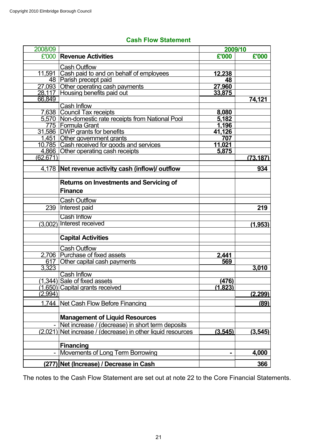# **Cash Flow Statement**

| 2008/09  |                                                             | 2009/10       |                |
|----------|-------------------------------------------------------------|---------------|----------------|
| £'000    | <b>Revenue Activities</b>                                   | £'000         | £'000          |
|          | <b>Cash Outflow</b>                                         |               |                |
|          | 11,591 Cash paid to and on behalf of employees              | 12,238        |                |
|          | 48 Parish precept paid                                      | 48            |                |
|          | 27,093 Other operating cash payments                        | 27,960        |                |
|          | 28,117 Housing benefits paid out                            | 33,875        |                |
| 66,849   |                                                             |               | 74,121         |
|          | Cash Inflow                                                 |               |                |
|          | 7,638 Council Tax receipts                                  | 8,080         |                |
|          | 5,570 Non-domestic rate receipts from National Pool         | 5,182         |                |
|          | 775   Formula Grant<br>31,586 DWP grants for benefits       | 1,196         |                |
|          | 1,451 Other government grants                               | 41,126<br>707 |                |
|          | 10,785 Cash received for goods and services                 | 11,021        |                |
|          | 4,866 Other operating cash receipts                         | 5,875         |                |
| (62,671) |                                                             |               | (73.187)       |
|          |                                                             |               |                |
|          | 4,178 Net revenue activity cash (inflow)/ outflow           |               | 934            |
|          | <b>Returns on Investments and Servicing of</b>              |               |                |
|          | <b>Finance</b>                                              |               |                |
|          | <b>Cash Outflow</b>                                         |               |                |
| 239      | Interest paid                                               |               | 219            |
|          | <b>Cash Inflow</b>                                          |               |                |
| (3,002)  | <b>Interest received</b>                                    |               | (1,953)        |
|          | <b>Capital Activities</b>                                   |               |                |
|          |                                                             |               |                |
|          | <b>Cash Outflow</b><br>2,706 Purchase of fixed assets       | 2,441         |                |
|          | 617 Other capital cash payments                             | 569           |                |
| 3,323    |                                                             |               | 3,010          |
|          | <b>Cash Inflow</b>                                          |               |                |
|          | (1,344) Sale of fixed assets                                | (476)         |                |
|          | (1,650) Capital grants received                             | (1,823)       |                |
| (2,994)  |                                                             |               | <u>(2,299)</u> |
|          | 1,744 Net Cash Flow Before Financing                        |               | (89)           |
|          |                                                             |               |                |
|          | <b>Management of Liquid Resources</b>                       |               |                |
|          | Net increase / (decrease) in short term deposits            |               |                |
|          | (2,021) Net increase / (decrease) in other liquid resources | (3,545)       | (3, 545)       |
|          | <b>Financing</b>                                            |               |                |
|          | Movements of Long Term Borrowing                            |               | 4,000          |
| (277)    | Net (Increase) / Decrease in Cash                           |               | 366            |

The notes to the Cash Flow Statement are set out at note 22 to the Core Financial Statements.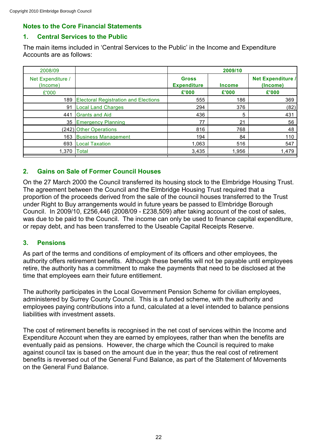# **Notes to the Core Financial Statements**

# **1. Central Services to the Public**

The main items included in 'Central Services to the Public' in the Income and Expenditure Accounts are as follows:

|                                             | 2009/10                            |               |                                      |  |  |
|---------------------------------------------|------------------------------------|---------------|--------------------------------------|--|--|
|                                             | <b>Gross</b><br><b>Expenditure</b> | <b>Income</b> | <b>Net Expenditure /</b><br>(Income) |  |  |
|                                             | £'000                              | £'000         | £'000                                |  |  |
| <b>Electoral Registration and Elections</b> | 555                                | 186           | 369                                  |  |  |
| <b>Local Land Charges</b>                   | 294                                | 376           | (82)                                 |  |  |
| <b>Grants and Aid</b>                       | 436                                | 5             | 431                                  |  |  |
| 35 Emergency Planning                       | 77                                 | 21            | 56                                   |  |  |
| (242) Other Operations                      | 816                                | 768           | 48                                   |  |  |
| <b>Business Management</b>                  | 194                                | 84            | 110                                  |  |  |
| <b>Local Taxation</b>                       | 1,063                              | 516           | 547                                  |  |  |
| <b>Total</b>                                | 3,435                              | 1,956         | 1,479                                |  |  |
|                                             |                                    |               |                                      |  |  |

# **2. Gains on Sale of Former Council Houses**

On the 27 March 2000 the Council transferred its housing stock to the Elmbridge Housing Trust. The agreement between the Council and the Elmbridge Housing Trust required that a proportion of the proceeds derived from the sale of the council houses transferred to the Trust under Right to Buy arrangements would in future years be passed to Elmbridge Borough Council. In 2009/10, £256,446 (2008/09 - £238,509) after taking account of the cost of sales, was due to be paid to the Council. The income can only be used to finance capital expenditure, or repay debt, and has been transferred to the Useable Capital Receipts Reserve.

## **3. Pensions**

As part of the terms and conditions of employment of its officers and other employees, the authority offers retirement benefits. Although these benefits will not be payable until employees retire, the authority has a commitment to make the payments that need to be disclosed at the time that employees earn their future entitlement.

The authority participates in the Local Government Pension Scheme for civilian employees, administered by Surrey County Council. This is a funded scheme, with the authority and employees paying contributions into a fund, calculated at a level intended to balance pensions liabilities with investment assets.

The cost of retirement benefits is recognised in the net cost of services within the Income and Expenditure Account when they are earned by employees, rather than when the benefits are eventually paid as pensions. However, the charge which the Council is required to make against council tax is based on the amount due in the year; thus the real cost of retirement benefits is reversed out of the General Fund Balance, as part of the Statement of Movements on the General Fund Balance.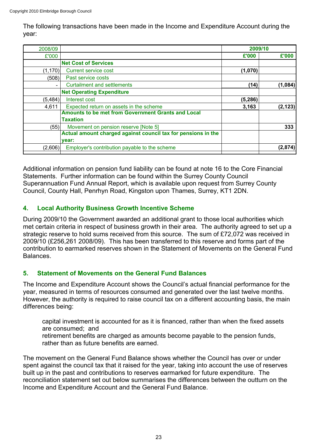The following transactions have been made in the Income and Expenditure Account during the year:

| 2008/09                  |                                                               | 2009/10  |          |
|--------------------------|---------------------------------------------------------------|----------|----------|
| £'000                    |                                                               | £'000    | £'000    |
|                          | <b>Net Cost of Services</b>                                   |          |          |
| (1, 170)                 | <b>Current service cost</b>                                   | (1,070)  |          |
| (508)                    | Past service costs                                            |          |          |
| $\overline{\phantom{0}}$ | <b>Curtailment and settlements</b>                            | (14)     | (1,084)  |
|                          | <b>Net Operating Expenditure</b>                              |          |          |
| (5, 484)                 | Interest cost                                                 | (5, 286) |          |
| 4,611                    | Expected return on assets in the scheme                       | 3,163    | (2, 123) |
|                          | <b>Amounts to be met from Government Grants and Local</b>     |          |          |
|                          | Taxation                                                      |          |          |
| (55)                     | Movement on pension reserve [Note 5]                          |          | 333      |
|                          | Actual amount charged against council tax for pensions in the |          |          |
|                          | vear:                                                         |          |          |
| (2,606)                  | Employer's contribution payable to the scheme                 |          | (2,874)  |
|                          |                                                               |          |          |

Additional information on pension fund liability can be found at note 16 to the Core Financial Statements. Further information can be found within the Surrey County Council Superannuation Fund Annual Report, which is available upon request from Surrey County Council, County Hall, Penrhyn Road, Kingston upon Thames, Surrey, KT1 2DN.

# **4. Local Authority Business Growth Incentive Scheme**

During 2009/10 the Government awarded an additional grant to those local authorities which met certain criteria in respect of business growth in their area. The authority agreed to set up a strategic reserve to hold sums received from this source. The sum of £72,072 was received in 2009/10 (£256,261 2008/09). This has been transferred to this reserve and forms part of the contribution to earmarked reserves shown in the Statement of Movements on the General Fund Balances.

# **5. Statement of Movements on the General Fund Balances**

The Income and Expenditure Account shows the Council's actual financial performance for the year, measured in terms of resources consumed and generated over the last twelve months. However, the authority is required to raise council tax on a different accounting basis, the main differences being:

capital investment is accounted for as it is financed, rather than when the fixed assets are consumed; and

retirement benefits are charged as amounts become payable to the pension funds, rather than as future benefits are earned.

The movement on the General Fund Balance shows whether the Council has over or under spent against the council tax that it raised for the year, taking into account the use of reserves built up in the past and contributions to reserves earmarked for future expenditure. The reconciliation statement set out below summarises the differences between the outturn on the Income and Expenditure Account and the General Fund Balance.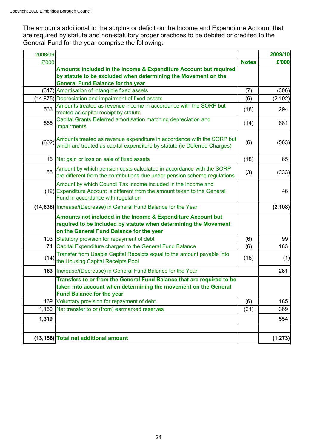The amounts additional to the surplus or deficit on the Income and Expenditure Account that are required by statute and non-statutory proper practices to be debited or credited to the General Fund for the year comprise the following:

| 2008/09 |                                                                                                                                                                                   |              | 2009/10  |
|---------|-----------------------------------------------------------------------------------------------------------------------------------------------------------------------------------|--------------|----------|
| £'000   |                                                                                                                                                                                   | <b>Notes</b> | £'000    |
|         | Amounts included in the Income & Expenditure Account but required<br>by statute to be excluded when determining the Movement on the<br><b>General Fund Balance for the year</b>   |              |          |
|         | (317) Amortisation of intangible fixed assets                                                                                                                                     | (7)          | (306)    |
|         | (14,875) Depreciation and impairment of fixed assets                                                                                                                              | (6)          | (2, 192) |
| 533     | Amounts treated as revenue income in accordance with the SORP but<br>treated as capital receipt by statute                                                                        | (18)         | 294      |
| 565     | Capital Grants Deferred amortisation matching depreciation and<br>impairments                                                                                                     | (14)         | 881      |
|         | (602) Amounts treated as revenue expenditure in accordance with the SORP but<br>which are treated as capital expenditure by statute (ie Deferred Charges)                         | (6)          | (563)    |
|         | 15 Net gain or loss on sale of fixed assets                                                                                                                                       | (18)         | 65       |
| 55      | Amount by which pension costs calculated in accordance with the SORP<br>are different from the contributions due under pension scheme regulations                                 | (3)          | (333)    |
|         | Amount by which Council Tax income included in the Income and<br>(12) Expenditure Account is different from the amount taken to the General<br>Fund in accordance with regulation |              | 46       |
|         | (14,638) Increase/(Decrease) in General Fund Balance for the Year                                                                                                                 |              | (2, 108) |
|         | Amounts not included in the Income & Expenditure Account but<br>required to be included by statute when determining the Movement<br>on the General Fund Balance for the year      |              |          |
|         | 103 Statutory provision for repayment of debt                                                                                                                                     | (6)          | 99       |
|         | 74 Capital Expenditure charged to the General Fund Balance                                                                                                                        | (6)          | 183      |
| (14)    | Transfer from Usable Capital Receipts equal to the amount payable into<br>the Housing Capital Receipts Pool                                                                       | (18)         | (1)      |
|         | <b>163</b> Increase/(Decrease) in General Fund Balance for the Year                                                                                                               |              | 281      |
|         | Transfers to or from the General Fund Balance that are required to be<br>taken into account when determining the movement on the General<br><b>Fund Balance for the year</b>      |              |          |
|         | 169 Voluntary provision for repayment of debt                                                                                                                                     | (6)          | 185      |
|         | 1,150 Net transfer to or (from) earmarked reserves                                                                                                                                | (21)         | 369      |
| 1,319   |                                                                                                                                                                                   |              | 554      |
|         | (13,156) Total net additional amount                                                                                                                                              |              | (1, 273) |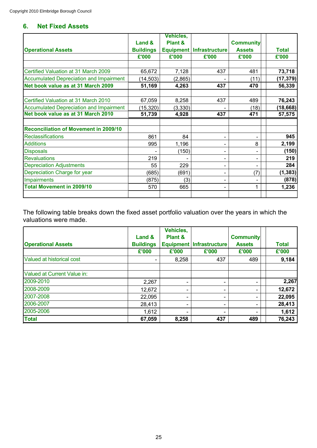# **6. Net Fixed Assets**

|                                                |                  | Vehicles,          |                            |                  |              |
|------------------------------------------------|------------------|--------------------|----------------------------|------------------|--------------|
|                                                | Land &           | <b>Plant &amp;</b> |                            | <b>Community</b> |              |
| <b>Operational Assets</b>                      | <b>Buildings</b> |                    | Equipment   Infrastructure | <b>Assets</b>    | <b>Total</b> |
|                                                | £'000            | £'000              | £'000                      | £'000            | £'000        |
|                                                |                  |                    |                            |                  |              |
| Certified Valuation at 31 March 2009           | 65,672           | 7,128              | 437                        | 481              | 73,718       |
| <b>Accumulated Depreciation and Impairment</b> | (14, 503)        | (2,865)            |                            | (11)             | (17, 379)    |
| Net book value as at 31 March 2009             | 51,169           | 4,263              | 437                        | 470              | 56,339       |
| Certified Valuation at 31 March 2010           | 67,059           | 8,258              | 437                        | 489              | 76,243       |
| <b>Accumulated Depreciation and Impairment</b> | (15, 320)        | (3, 330)           |                            | (18)             | (18, 668)    |
| Net book value as at 31 March 2010             | 51,739           | 4,928              | 437                        | 471              | 57,575       |
|                                                |                  |                    |                            |                  |              |
| <b>Reconciliation of Movement in 2009/10</b>   |                  |                    |                            |                  |              |
| <b>Reclassifications</b>                       | 861              | 84                 |                            |                  | 945          |
| <b>Additions</b>                               | 995              | 1,196              |                            | 8                | 2,199        |
| <b>Disposals</b>                               |                  | (150)              |                            |                  | (150)        |
| <b>Revaluations</b>                            | 219              |                    |                            |                  | 219          |
| <b>Depreciation Adjustments</b>                | 55               | 229                |                            |                  | 284          |
| Depreciation Charge for year                   | (685)            | (691)              |                            | (7)              | (1, 383)     |
| <b>Impairments</b>                             | (875)            | (3)                |                            |                  | (878)        |
| <b>Total Movement in 2009/10</b>               | 570              | 665                |                            | $\mathbf{1}$     | 1,236        |
|                                                |                  |                    |                            |                  |              |

The following table breaks down the fixed asset portfolio valuation over the years in which the valuations were made.

|                             | Land &           | Vehicles,<br><b>Plant &amp;</b> |                            | <b>Community</b> |              |
|-----------------------------|------------------|---------------------------------|----------------------------|------------------|--------------|
| <b>Operational Assets</b>   | <b>Buildings</b> |                                 | Equipment   Infrastructure | <b>Assets</b>    | <b>Total</b> |
|                             | £'000            | £'000                           | £'000                      | £'000            | £'000        |
| Valued at historical cost   | $\blacksquare$   | 8,258                           | 437                        | 489              | 9,184        |
| Valued at Current Value in: |                  |                                 |                            |                  |              |
| 2009-2010                   | 2,267            |                                 |                            |                  | 2,267        |
| 2008-2009                   | 12,672           |                                 |                            |                  | 12,672       |
| 2007-2008                   | 22,095           | $\overline{\phantom{0}}$        |                            |                  | 22,095       |
| 2006-2007                   | 28,413           |                                 |                            |                  | 28,413       |
| 2005-2006                   | 1,612            |                                 |                            |                  | 1,612        |
| <b>Total</b>                | 67,059           | 8,258                           | 437                        | 489              | 76,243       |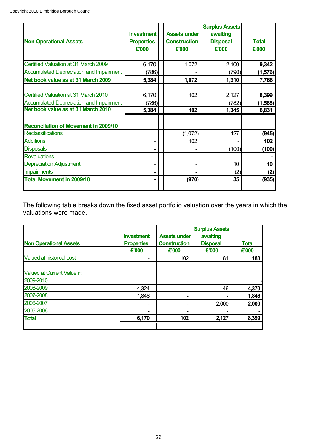|                                                |                   |                     | <b>Surplus Assets</b> |              |
|------------------------------------------------|-------------------|---------------------|-----------------------|--------------|
|                                                | <b>Investment</b> | Assets under        | awaiting              |              |
| <b>Non Operational Assets</b>                  | <b>Properties</b> | <b>Construction</b> | <b>Disposal</b>       | <b>Total</b> |
|                                                | £'000             | £'000               | £'000                 | £'000        |
|                                                |                   |                     |                       |              |
| Certified Valuation at 31 March 2009           | 6,170             | 1,072               | 2,100                 | 9,342        |
| <b>Accumulated Depreciation and Impairment</b> | (786)             |                     | (790)                 | (1, 576)     |
| Net book value as at 31 March 2009             | 5,384             | 1,072               | 1,310                 | 7,766        |
|                                                |                   |                     |                       |              |
| Certified Valuation at 31 March 2010           | 6,170             | 102                 | 2,127                 | 8,399        |
| <b>Accumulated Depreciation and Impairment</b> | (786)             |                     | (782)                 | (1, 568)     |
| Net book value as at 31 March 2010             | 5,384             | 102                 | 1,345                 | 6,831        |
|                                                |                   |                     |                       |              |
| <b>Reconcilation of Movement in 2009/10</b>    |                   |                     |                       |              |
| <b>Reclassifications</b>                       |                   | (1,072)             | 127                   | (945)        |
| <b>Additions</b>                               |                   | 102                 |                       | 102          |
| <b>Disposals</b>                               |                   |                     | (100)                 | (100)        |
| <b>Revaluations</b>                            |                   |                     |                       |              |
| <b>Depreciation Adjustment</b>                 |                   |                     | 10 <sup>10</sup>      | 10           |
| <b>Impairments</b>                             |                   |                     | (2)                   | (2)          |
| <b>Total Movement in 2009/10</b>               |                   | (970)               | 35                    | (935)        |
|                                                |                   |                     |                       |              |

The following table breaks down the fixed asset portfolio valuation over the years in which the valuations were made.

|                               | <b>Investment</b>          | <b>Assets under</b>          | <b>Surplus Assets</b><br>awaiting |                       |
|-------------------------------|----------------------------|------------------------------|-----------------------------------|-----------------------|
| <b>Non Operational Assets</b> | <b>Properties</b><br>£'000 | <b>Construction</b><br>£'000 | <b>Disposal</b><br>£'000          | <b>Total</b><br>£'000 |
|                               |                            |                              |                                   |                       |
| Valued at historical cost     |                            | 102                          | 81                                | 183                   |
| Valued at Current Value in:   |                            |                              |                                   |                       |
| 2009-2010                     |                            | -                            |                                   |                       |
| 2008-2009                     | 4,324                      | -                            | 46                                | 4,370                 |
| 2007-2008                     | 1,846                      | $\overline{\phantom{0}}$     |                                   | 1,846                 |
| 2006-2007                     |                            | -                            | 2,000                             | 2,000                 |
| 2005-2006                     |                            | -                            |                                   |                       |
| <b>Total</b>                  | 6,170                      | 102                          | 2,127                             | 8,399                 |
|                               |                            |                              |                                   |                       |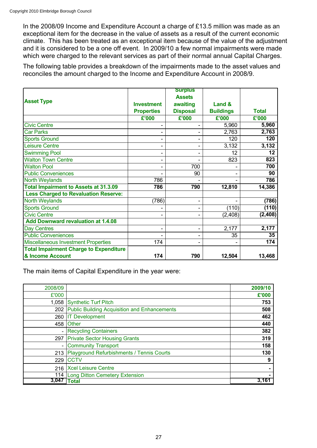In the 2008/09 Income and Expenditure Account a charge of £13.5 million was made as an exceptional item for the decrease in the value of assets as a result of the current economic climate. This has been treated as an exceptional item because of the value of the adjustment and it is considered to be a one off event. In 2009/10 a few normal impairments were made which were charged to the relevant services as part of their normal annual Capital Charges.

The following table provides a breakdown of the impairments made to the asset values and reconciles the amount charged to the Income and Expenditure Account in 2008/9.

|                                               |                          | <b>Surplus</b>  |                  |              |
|-----------------------------------------------|--------------------------|-----------------|------------------|--------------|
|                                               |                          | <b>Assets</b>   |                  |              |
| <b>Asset Type</b>                             | <b>Investment</b>        | awaiting        | Land &           |              |
|                                               | <b>Properties</b>        | <b>Disposal</b> | <b>Buildings</b> | <b>Total</b> |
|                                               | £'000                    | £'000           | £'000            | £'000        |
| <b>Civic Centre</b>                           |                          |                 | 5,960            | 5,960        |
| <b>Car Parks</b>                              |                          |                 | 2,763            | 2,763        |
| <b>Sports Ground</b>                          | $\overline{a}$           | -               | 120              | 120          |
| <b>Leisure Centre</b>                         |                          |                 | 3,132            | 3,132        |
| <b>Swimming Pool</b>                          |                          |                 | 12               | 12           |
| <b>Walton Town Centre</b>                     |                          |                 | 823              | 823          |
| <b>Walton Pool</b>                            | $\overline{a}$           | 700             | -                | 700          |
| <b>Public Conveniences</b>                    |                          | 90              | -                | 90           |
| <b>North Weylands</b>                         | 786                      |                 |                  | 786          |
| <b>Total Impairment to Assets at 31.3.09</b>  | 786                      | 790             | 12,810           | 14,386       |
| <b>Less Charged to Revaluation Reserve:</b>   |                          |                 |                  |              |
| <b>North Weylands</b>                         | (786)                    | -               |                  | (786)        |
| <b>Sports Ground</b>                          |                          | -               | (110)            | (110)        |
| <b>Civic Centre</b>                           |                          |                 | (2, 408)         | (2, 408)     |
| <b>Add Downward revaluation at 1.4.08</b>     |                          |                 |                  |              |
| <b>Day Centres</b>                            | $\overline{\phantom{a}}$ | -               | 2,177            | 2,177        |
| <b>Public Conveniences</b>                    |                          |                 | 35               | 35           |
| <b>Miscellaneous Investment Properties</b>    | 174                      |                 |                  | 174          |
| <b>Total Impairment Charge to Expenditure</b> |                          |                 |                  |              |
| & Income Account                              | 174                      | 790             | 12,504           | 13,468       |

The main items of Capital Expenditure in the year were:

| 2008/09                  |                                                     | 2009/10 |
|--------------------------|-----------------------------------------------------|---------|
| £'000                    |                                                     | £'000   |
| 1,058                    | Synthetic Turf Pitch                                | 753     |
| 202                      | <b>Public Building Acquisition and Enhancements</b> | 508     |
| 260                      | <b>IT Development</b>                               | 462     |
| 458                      | <b>Other</b>                                        | 440     |
|                          | <b>Recycling Containers</b>                         | 382     |
| 297                      | <b>Private Sector Housing Grants</b>                | 319     |
| $\overline{\phantom{a}}$ | <b>Community Transport</b>                          | 158     |
| 213                      | Playground Refurbishments / Tennis Courts           | 130     |
| 229                      | <b>CCTV</b>                                         | 9       |
| 216                      | <b>Xcel Leisure Centre</b>                          |         |
| 114                      | Long Ditton Cemetery Extension                      |         |
| 3.047                    | <b>Total</b>                                        | 3,161   |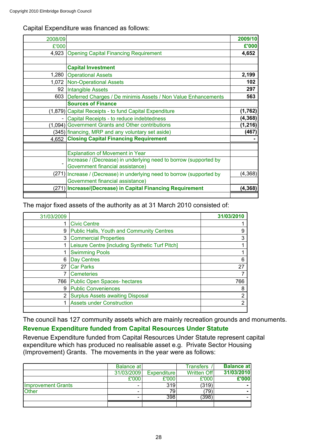Capital Expenditure was financed as follows:

| 2008/09 |                                                                        | 2009/10  |
|---------|------------------------------------------------------------------------|----------|
| £'000   |                                                                        | £'000    |
| 4,923   | <b>Opening Capital Financing Requirement</b>                           | 4,652    |
|         |                                                                        |          |
|         | <b>Capital Investment</b>                                              |          |
|         | 1,280 Operational Assets                                               | 2,199    |
|         | 1,072 Non-Operational Assets                                           | 102      |
|         | 92 Intangible Assets                                                   | 297      |
| 603     | Deferred Charges / De minimis Assets / Non Value Enhancements          | 563      |
|         | <b>Sources of Finance</b>                                              |          |
|         | (1,879) Capital Receipts - to fund Capital Expenditure                 | (1, 762) |
|         | Capital Receipts - to reduce indebtedness                              | (4, 368) |
|         | (1,094) Government Grants and Other contributions                      | (1, 216) |
|         | (345) financing, MRP and any voluntary set aside)                      | (467)    |
|         | 4,652 Closing Capital Financing Requirement                            |          |
|         |                                                                        |          |
|         | <b>Explanation of Movement in Year</b>                                 |          |
|         | Increase / (Decrease) in underlying need to borrow (supported by       |          |
|         | Government financial assistance)                                       |          |
|         | (271) Increase / (Decrease) in underlying need to borrow (supported by | (4, 368) |
|         | Government financial assistance)                                       |          |
|         | (271) Increase/(Decrease) in Capital Financing Requirement             | (4, 368) |
|         |                                                                        |          |

The major fixed assets of the authority as at 31 March 2010 consisted of:

| 31/03/2009     |                                                  | 31/03/2010 |
|----------------|--------------------------------------------------|------------|
|                | <b>Civic Centre</b>                              |            |
| 9              | <b>Public Halls, Youth and Community Centres</b> |            |
| 3              | <b>Commercial Properties</b>                     |            |
|                | Leisure Centre [including Synthetic Turf Pitch]  |            |
|                | <b>Swimming Pools</b>                            |            |
| 6              | Day Centres                                      | 6          |
| 27             | <b>Car Parks</b>                                 | 27         |
|                | <b>Cemeteries</b>                                |            |
| 766            | <b>Public Open Spaces-hectares</b>               | 766        |
| 9              | <b>Public Conveniences</b>                       | 8          |
| $\overline{2}$ | <b>Surplus Assets awaiting Disposal</b>          |            |
|                | <b>Assets under Construction</b>                 | ⌒          |
|                |                                                  |            |

The council has 127 community assets which are mainly recreation grounds and monuments.

# **Revenue Expenditure funded from Capital Resources Under Statute**

Revenue Expenditure funded from Capital Resources Under Statute represent capital expenditure which has produced no realisable asset e.g. Private Sector Housing (Improvement) Grants. The movements in the year were as follows:

|                           | Balance at |             | <b>Transfers</b> | <b>Balance at</b> |
|---------------------------|------------|-------------|------------------|-------------------|
|                           | 31/03/2009 | Expenditure | Written Off      | 31/03/2010        |
|                           | £'000      | £'000       | £'000            | £'000             |
| <b>Improvement Grants</b> | -          | 319         | (319)            |                   |
| <b>Other</b>              | -          | 79.         | (79)             |                   |
|                           | -          | 398         | 398)             |                   |
|                           |            |             |                  |                   |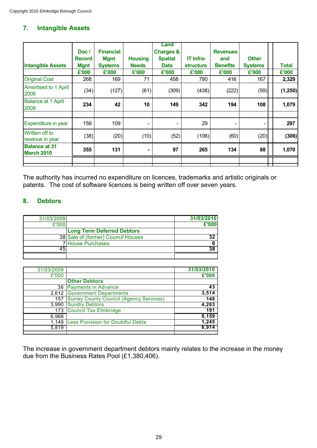# **7. Intangible Assets**

| <b>Intangible Assets</b><br><b>Original Cost</b> | Doc/<br><b>Record</b><br><b>Mgnt</b><br>£'000<br>268 | <b>Financial</b><br><b>Mgnt</b><br><b>Systems</b><br>£'000<br>169 | <b>Housing</b><br><b>Needs</b><br>£'000<br>71 | Land<br><b>Charges &amp;</b><br><b>Spatial</b><br><b>Data</b><br>£'000<br>458 | IT Infra-<br><b>structure</b><br>£'000<br>780 | <b>Revenues</b><br>and<br><b>Benefits</b><br>£'000<br>416 | <b>Other</b><br><b>Systems</b><br>£'000<br>167 | <b>Total</b><br>£'000<br>2,329 |
|--------------------------------------------------|------------------------------------------------------|-------------------------------------------------------------------|-----------------------------------------------|-------------------------------------------------------------------------------|-----------------------------------------------|-----------------------------------------------------------|------------------------------------------------|--------------------------------|
| <b>Amortised to 1 April</b><br>2009              | (34)                                                 | (127)                                                             | (61)                                          | (309)                                                                         | (438)                                         | (222)                                                     | (59)                                           | (1, 250)                       |
| <b>Balance at 1 April</b><br>2009                | 234                                                  | 42                                                                | 10                                            | 149                                                                           | 342                                           | 194                                                       | 108                                            | 1,079                          |
| Expenditure in year                              | 159                                                  | 109                                                               | $\overline{\phantom{a}}$                      |                                                                               | 29                                            | -                                                         | $\overline{\phantom{a}}$                       | 297                            |
| Written off to<br>revenue in year                | (38)                                                 | (20)                                                              | (10)                                          | (52)                                                                          | (106)                                         | (60)                                                      | (20)                                           | (306)                          |
| <b>Balance at 31</b><br><b>March 2010</b>        | 355                                                  | 131                                                               |                                               | 97                                                                            | 265                                           | 134                                                       | 88                                             | 1,070                          |
|                                                  |                                                      |                                                                   |                                               |                                                                               |                                               |                                                           |                                                |                                |

The authority has incurred no expenditure on licences, trademarks and artistic originals or patents. The cost of software licences is being written off over seven years.

# **8. Debtors**

| 31/03/2009 |                                    | 31/03/2010 |
|------------|------------------------------------|------------|
| £'000      |                                    | £'000      |
|            | <b>Long Term Deferred Debtors</b>  |            |
|            | 38 Sale of (former) Council Houses |            |
|            | 7 House Purchases                  |            |
|            |                                    |            |
|            |                                    |            |

| 31/03/2009 |                                                | 31/03/2010 |
|------------|------------------------------------------------|------------|
| £'000      |                                                | £'000      |
|            | <b>Other Debtors</b>                           |            |
|            | 36 Payments in Advance                         | 43         |
|            | 2,612 Government Departments                   | 3,514      |
| 157        | <b>Surrey County Council (Agency Services)</b> | 148        |
| 3,990      | <b>Sundry Debtors</b>                          | 4,263      |
|            | 173 Council Tax Elmbridge                      | 191        |
| 6,968      |                                                | 8,159      |
| 1.149      | <b>Less Provision for Doubtful Debts</b>       | 1,245      |
| 5,819      |                                                | 6.914      |
|            |                                                |            |

The increase in government department debtors mainly relates to the increase in the money due from the Business Rates Pool (£1,380,406).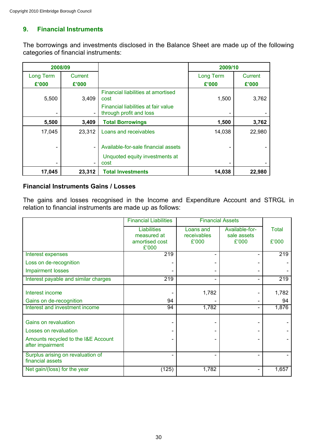# **9. Financial Instruments**

The borrowings and investments disclosed in the Balance Sheet are made up of the following categories of financial instruments:

| 2008/09   |         |                                                                | 2009/10   |         |
|-----------|---------|----------------------------------------------------------------|-----------|---------|
| Long Term | Current |                                                                | Long Term | Current |
| £'000     | £'000   |                                                                | £'000     | £'000   |
| 5,500     | 3,409   | Financial liabilities at amortised<br>cost                     | 1,500     | 3,762   |
| -         |         | Financial liabilities at fair value<br>through profit and loss |           |         |
| 5,500     | 3,409   | <b>Total Borrowings</b>                                        | 1,500     | 3,762   |
| 17,045    | 23,312  | Loans and receivables                                          | 14,038    | 22,980  |
|           |         | Available-for-sale financial assets                            |           |         |
| -         |         | Unquoted equity investments at<br>cost                         |           |         |
| 17,045    | 23,312  | <b>Total Investments</b>                                       | 14,038    | 22,980  |

#### **Financial Instruments Gains / Losses**

The gains and losses recognised in the Income and Expenditure Account and STRGL in relation to financial instruments are made up as follows:

|                                                         | <b>Financial Liabilities</b>      | <b>Financial Assets</b>  |                               |              |
|---------------------------------------------------------|-----------------------------------|--------------------------|-------------------------------|--------------|
|                                                         | <b>Liabilities</b><br>measured at | Loans and<br>receivables | Available-for-<br>sale assets | <b>Total</b> |
|                                                         | amortised cost<br>£'000           | £'000                    | £'000                         | £'000        |
| Interest expenses                                       | 219                               |                          |                               | 219          |
| Loss on de-recognition                                  |                                   |                          |                               |              |
| <b>Impairment losses</b>                                |                                   |                          |                               |              |
| Interest payable and similar charges                    | 219                               |                          |                               | 219          |
| Interest income                                         |                                   | 1,782                    |                               | 1,782        |
| Gains on de-recognition                                 | 94                                |                          |                               | 94           |
| Interest and investment income                          | 94                                | 1,782                    |                               | 1,876        |
| Gains on revaluation                                    |                                   |                          |                               |              |
| Losses on revaluation                                   |                                   |                          |                               |              |
| Amounts recycled to the I&E Account<br>after impairment |                                   |                          |                               |              |
| Surplus arising on revaluation of<br>financial assets   |                                   |                          |                               |              |
| Net gain/(loss) for the year                            | (125)                             | 1,782                    |                               | 1,657        |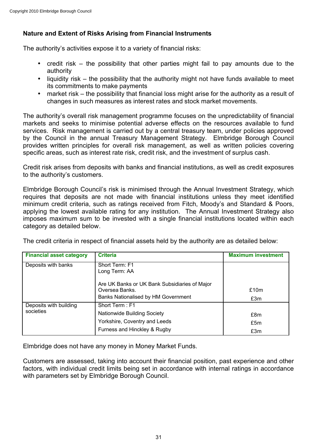# **Nature and Extent of Risks Arising from Financial Instruments**

The authority's activities expose it to a variety of financial risks:

- credit risk the possibility that other parties might fail to pay amounts due to the authority
- liquidity risk the possibility that the authority might not have funds available to meet its commitments to make payments
- market risk the possibility that financial loss might arise for the authority as a result of changes in such measures as interest rates and stock market movements.

The authority's overall risk management programme focuses on the unpredictability of financial markets and seeks to minimise potential adverse effects on the resources available to fund services. Risk management is carried out by a central treasury team, under policies approved by the Council in the annual Treasury Management Strategy. Elmbridge Borough Council provides written principles for overall risk management, as well as written policies covering specific areas, such as interest rate risk, credit risk, and the investment of surplus cash.

Credit risk arises from deposits with banks and financial institutions, as well as credit exposures to the authority's customers.

Elmbridge Borough Council's risk is minimised through the Annual Investment Strategy, which requires that deposits are not made with financial institutions unless they meet identified minimum credit criteria, such as ratings received from Fitch, Moody's and Standard & Poors, applying the lowest available rating for any institution. The Annual Investment Strategy also imposes maximum sum to be invested with a single financial institutions located within each category as detailed below.

The credit criteria in respect of financial assets held by the authority are as detailed below:

| <b>Financial asset category</b>     | <b>Criteria</b>                                                                                                | <b>Maximum investment</b> |
|-------------------------------------|----------------------------------------------------------------------------------------------------------------|---------------------------|
| Deposits with banks                 | Short Term: F1<br>Long Term: AA                                                                                |                           |
|                                     | Are UK Banks or UK Bank Subsidiaries of Major<br>Oversea Banks.<br>Banks Nationalised by HM Government         | £10m<br>£3m               |
| Deposits with building<br>societies | Short Term: F1<br>Nationwide Building Society<br>Yorkshire, Coventry and Leeds<br>Furness and Hinckley & Rugby | £8m<br>£5m<br>£3m         |

Elmbridge does not have any money in Money Market Funds.

Customers are assessed, taking into account their financial position, past experience and other factors, with individual credit limits being set in accordance with internal ratings in accordance with parameters set by Elmbridge Borough Council.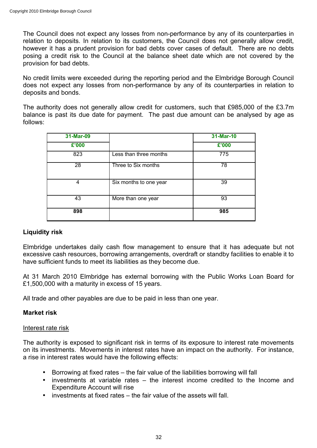The Council does not expect any losses from non-performance by any of its counterparties in relation to deposits. In relation to its customers, the Council does not generally allow credit, however it has a prudent provision for bad debts cover cases of default. There are no debts posing a credit risk to the Council at the balance sheet date which are not covered by the provision for bad debts.

No credit limits were exceeded during the reporting period and the Elmbridge Borough Council does not expect any losses from non-performance by any of its counterparties in relation to deposits and bonds.

The authority does not generally allow credit for customers, such that £985,000 of the £3.7m balance is past its due date for payment. The past due amount can be analysed by age as follows:

| 31-Mar-09 |                        | 31-Mar-10 |
|-----------|------------------------|-----------|
| £'000     |                        | £'000     |
| 823       | Less than three months | 775       |
| 28        | Three to Six months    | 78        |
| 4         | Six months to one year | 39        |
| 43        | More than one year     | 93        |
| 898       |                        | 985       |

## **Liquidity risk**

Elmbridge undertakes daily cash flow management to ensure that it has adequate but not excessive cash resources, borrowing arrangements, overdraft or standby facilities to enable it to have sufficient funds to meet its liabilities as they become due.

At 31 March 2010 Elmbridge has external borrowing with the Public Works Loan Board for £1,500,000 with a maturity in excess of 15 years.

All trade and other payables are due to be paid in less than one year.

# **Market risk**

## Interest rate risk

The authority is exposed to significant risk in terms of its exposure to interest rate movements on its investments. Movements in interest rates have an impact on the authority. For instance, a rise in interest rates would have the following effects:

- Borrowing at fixed rates the fair value of the liabilities borrowing will fall
- investments at variable rates the interest income credited to the Income and Expenditure Account will rise
- investments at fixed rates the fair value of the assets will fall.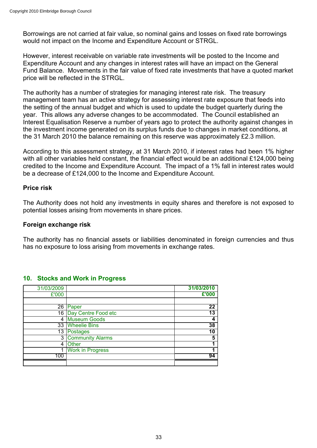Borrowings are not carried at fair value, so nominal gains and losses on fixed rate borrowings would not impact on the Income and Expenditure Account or STRGL.

However, interest receivable on variable rate investments will be posted to the Income and Expenditure Account and any changes in interest rates will have an impact on the General Fund Balance. Movements in the fair value of fixed rate investments that have a quoted market price will be reflected in the STRGL.

The authority has a number of strategies for managing interest rate risk. The treasury management team has an active strategy for assessing interest rate exposure that feeds into the setting of the annual budget and which is used to update the budget quarterly during the year. This allows any adverse changes to be accommodated. The Council established an Interest Equalisation Reserve a number of years ago to protect the authority against changes in the investment income generated on its surplus funds due to changes in market conditions, at the 31 March 2010 the balance remaining on this reserve was approximately £2.3 million.

According to this assessment strategy, at 31 March 2010, if interest rates had been 1% higher with all other variables held constant, the financial effect would be an additional £124,000 being credited to the Income and Expenditure Account. The impact of a 1% fall in interest rates would be a decrease of £124,000 to the Income and Expenditure Account.

## **Price risk**

The Authority does not hold any investments in equity shares and therefore is not exposed to potential losses arising from movements in share prices.

#### **Foreign exchange risk**

The authority has no financial assets or liabilities denominated in foreign currencies and thus has no exposure to loss arising from movements in exchange rates.

| 31/03/2009 |                         | 31/03/2010 |
|------------|-------------------------|------------|
| £'000      |                         | £'000      |
|            |                         |            |
| 26         | Paper                   | 22         |
|            | 16 Day Centre Food etc  | 13         |
| 4          | <b>Museum Goods</b>     |            |
|            | 33 Wheelie Bins         | 38         |
|            | 13 Postages             | 10         |
| 3          | <b>Community Alarms</b> | 5          |
| 4          | <b>Other</b>            |            |
| 1          | <b>Work in Progress</b> |            |
| 100        |                         | 94         |
|            |                         |            |

#### **10. Stocks and Work in Progress**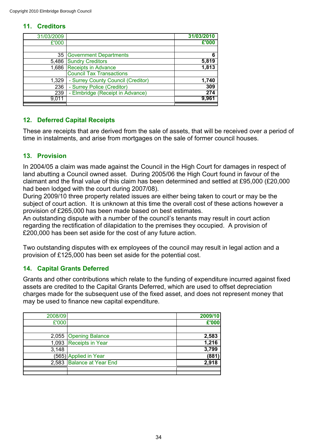# **11. Creditors**

| 31/03/2009 |                                    | 31/03/2010 |
|------------|------------------------------------|------------|
| £'000      |                                    | £'000      |
|            |                                    |            |
|            | 35 Government Departments          | 6          |
|            | 5,486 Sundry Creditors             | 5,819      |
|            | 1,686 Receipts in Advance          | 1,813      |
|            | <b>Council Tax Transactions</b>    |            |
| 1,329      | - Surrey County Council (Creditor) | 1,740      |
| 236        | - Surrey Police (Creditor)         | 309        |
| 239        | - Elmbridge (Receipt in Advance)   | 274        |
| 9.011      |                                    | 9.96'      |
|            |                                    |            |

# **12. Deferred Capital Receipts**

These are receipts that are derived from the sale of assets, that will be received over a period of time in instalments, and arise from mortgages on the sale of former council houses.

# **13. Provision**

In 2004/05 a claim was made against the Council in the High Court for damages in respect of land abutting a Council owned asset. During 2005/06 the High Court found in favour of the claimant and the final value of this claim has been determined and settled at £95,000 (£20,000 had been lodged with the court during 2007/08).

During 2009/10 three property related issues are either being taken to court or may be the subject of court action. It is unknown at this time the overall cost of these actions however a provision of £265,000 has been made based on best estimates.

An outstanding dispute with a number of the council's tenants may result in court action regarding the rectification of dilapidation to the premises they occupied. A provision of £200,000 has been set aside for the cost of any future action.

Two outstanding disputes with ex employees of the council may result in legal action and a provision of £125,000 has been set aside for the potential cost.

# **14. Capital Grants Deferred**

Grants and other contributions which relate to the funding of expenditure incurred against fixed assets are credited to the Capital Grants Deferred, which are used to offset depreciation charges made for the subsequent use of the fixed asset, and does not represent money that may be used to finance new capital expenditure.

| 2008/09 |                           | 2009/10 |
|---------|---------------------------|---------|
| £'000   |                           | £'000   |
|         |                           |         |
|         | 2,055 Opening Balance     | 2,583   |
|         | 1,093 Receipts in Year    | 1,216   |
| 3,148   |                           | 3,799   |
|         | (565) Applied in Year     | (881    |
|         | 2,583 Balance at Year End | 2.918   |
|         |                           |         |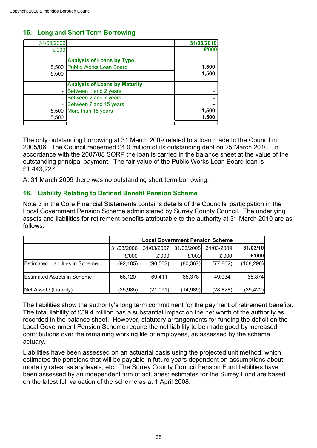# **15. Long and Short Term Borrowing**

| 31/03/2009 |                                      | 31/03/2010 |
|------------|--------------------------------------|------------|
| £'000      |                                      | £'000      |
|            |                                      |            |
|            | <b>Analysis of Loans by Type</b>     |            |
| 5,500      | <b>Public Works Loan Board</b>       | 1,500      |
| 5,500      |                                      | 1,500      |
|            |                                      |            |
|            | <b>Analysis of Loans by Maturity</b> |            |
|            | Between 1 and 2 years                |            |
|            | Between 2 and 7 years                |            |
|            | Between 7 and 15 years               |            |
| 5,500      | More than 15 years                   | 1,500      |
| 5,500      |                                      | 1,500      |
|            |                                      |            |

The only outstanding borrowing at 31 March 2009 related to a loan made to the Council in 2005/06. The Council redeemed £4.0 million of its outstanding debt on 25 March 2010. In accordance with the 2007/08 SORP the loan is carried in the balance sheet at the value of the outstanding principal payment. The fair value of the Public Works Loan Board loan is £1,443,227.

At 31 March 2009 there was no outstanding short term borrowing.

# **16. Liability Relating to Defined Benefit Pension Scheme**

Note 3 in the Core Financial Statements contains details of the Councils' participation in the Local Government Pension Scheme administered by Surrey County Council. The underlying assets and liabilities for retirement benefits attributable to the authority at 31 March 2010 are as follows:

|                                        | <b>Local Government Pension Scheme</b> |            |            |            |            |
|----------------------------------------|----------------------------------------|------------|------------|------------|------------|
|                                        | 31/03/2006                             | 31/03/2007 | 31/03/2008 | 31/03/2009 | 31/03/10   |
|                                        | £'000                                  | £'000      | £'000      | £'000      | £'000      |
| <b>Estimated Liabilities in Scheme</b> | (92, 105)                              | (90, 502)  | (80, 367)  | (77, 862)  | (108, 296) |
|                                        |                                        |            |            |            |            |
| <b>Estimated Assets in Scheme</b>      | 66,120                                 | 69,411     | 65,378     | 49.034     | 68,874     |
|                                        |                                        |            |            |            |            |
| Net Asset / (Liability)                | (25,985)                               | (21,091)   | (14,989)   | (28, 828)  | (39, 422)  |

The liabilities show the authority's long term commitment for the payment of retirement benefits. The total liability of £39.4 million has a substantial impact on the net worth of the authority as recorded in the balance sheet. However, statutory arrangements for funding the deficit on the Local Government Pension Scheme require the net liability to be made good by increased contributions over the remaining working life of employees, as assessed by the scheme actuary.

Liabilities have been assessed on an actuarial basis using the projected unit method, which estimates the pensions that will be payable in future years dependent on assumptions about mortality rates, salary levels, etc. The Surrey County Council Pension Fund liabilities have been assessed by an independent firm of actuaries; estimates for the Surrey Fund are based on the latest full valuation of the scheme as at 1 April 2008.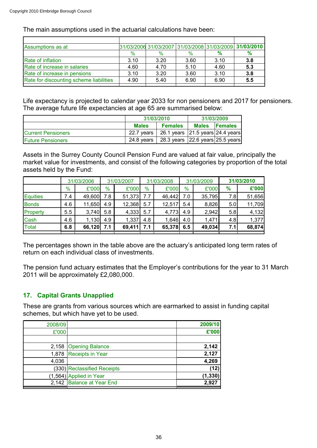The main assumptions used in the actuarial calculations have been:

| Assumptions as at                       |      | 31/03/2006 31/03/2007 31/03/2008 31/03/2009 |      |      | 31/03/2010 |
|-----------------------------------------|------|---------------------------------------------|------|------|------------|
|                                         | $\%$ | $\%$                                        | $\%$ | %    | $\%$       |
| Rate of inflation                       | 3.10 | 3.20                                        | 3.60 | 3.10 | 3.8        |
| Rate of increase in salaries            | 4.60 | 4.70                                        | 5.10 | 4.60 | 5.3        |
| Rate of increase in pensions            | 3.10 | 3.20                                        | 3.60 | 3.10 | 3.8        |
| Rate for discounting scheme liabilities | 4.90 | 5.40                                        | 6.90 | 6.90 | 5.5        |
|                                         |      |                                             |      |      |            |

Life expectancy is projected to calendar year 2033 for non pensioners and 2017 for pensioners. The average future life expectancies at age 65 are summarised below:

|                           | 31/03/2010                     |                                        | 31/03/2009   |                |  |
|---------------------------|--------------------------------|----------------------------------------|--------------|----------------|--|
|                           | <b>Females</b><br><b>Males</b> |                                        | <b>Males</b> | <b>Females</b> |  |
| <b>Current Pensioners</b> | 22.7 vears                     | 26.1 years 21.5 years 24.4 years       |              |                |  |
| <b>Future Pensioners</b>  | 24.8 vears                     | 28.3 years $ 22.6$ years $ 25.5$ years |              |                |  |

Assets in the Surrey County Council Pension Fund are valued at fair value, principally the market value for investments, and consist of the following categories by proportion of the total assets held by the Fund:

|                 |     | 31/03/2006 |     | 31/03/2007 |     | 31/03/2008 |      | 31/03/2009 |     | 31/03/2010 |
|-----------------|-----|------------|-----|------------|-----|------------|------|------------|-----|------------|
|                 | %   | £'000      | %   | £'000      | %   | £'000      | $\%$ | £'000      | %   | £'000      |
| <b>Equities</b> | 7.4 | 49,600     | 7.8 | 51,373     | 7.7 | 46,442     | 7.0  | 35,795     | 7.8 | 51,656     |
| <b>Bonds</b>    | 4.6 | 11,650     | 4.9 | 12,368     | 5.7 | 12,517     | 5.4  | 8,826      | 5.0 | 11,709     |
| Property        | 5.5 | 3,740      | 5.8 | 4,333      | 5.7 | 4,773      | 4.9  | 2,942      | 5.8 | 4,132      |
| Cash            | 4.6 | 1,130      | 4.9 | 1,337      | 4.8 | 1,646      | 4.0  | 1,471      | 4.8 | 1,377      |
| <b>Total</b>    | 6.8 | 66,120     | 7.1 | 69,411     | 7.1 | 65,378     | 6.5  | 49,034     | 7.1 | 68,874     |
|                 |     |            |     |            |     |            |      |            |     |            |

The percentages shown in the table above are the actuary's anticipated long term rates of return on each individual class of investments.

The pension fund actuary estimates that the Employer's contributions for the year to 31 March 2011 will be approximately £2,080,000.

# **17. Capital Grants Unapplied**

These are grants from various sources which are earmarked to assist in funding capital schemes, but which have yet to be used.

| 2008/09 |                             | 2009/10  |
|---------|-----------------------------|----------|
| £'000   |                             | £'000    |
|         |                             |          |
| 2,158   | <b>Opening Balance</b>      | 2,142    |
| 1,878   | Receipts in Year            | 2,127    |
| 4,036   |                             | 4,269    |
|         | (330) Reclassified Receipts | (12)     |
|         | $(1,564)$ Applied in Year   | (1, 330) |
|         | 2,142 Balance at Year End   | 2,927    |
|         |                             |          |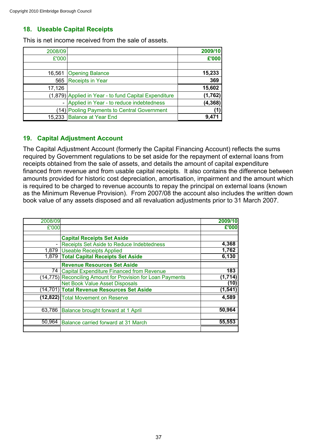# **18. Useable Capital Receipts**

This is net income received from the sale of assets.

| 2008/09 |                                                       | 2009/10  |
|---------|-------------------------------------------------------|----------|
| £'000   |                                                       | £'000    |
|         |                                                       |          |
|         | 16,561 Opening Balance                                | 15,233   |
| 565     | <b>Receipts in Year</b>                               | 369      |
| 17,126  |                                                       | 15,602   |
|         | (1,879) Applied in Year - to fund Capital Expenditure | (1,762)  |
|         | - Applied in Year - to reduce indebtedness            | (4, 368) |
|         | (14) Pooling Payments to Central Government           |          |
|         | 15,233 Balance at Year End                            | 9.47     |

# **19. Capital Adjustment Account**

The Capital Adjustment Account (formerly the Capital Financing Account) reflects the sums required by Government regulations to be set aside for the repayment of external loans from receipts obtained from the sale of assets, and details the amount of capital expenditure financed from revenue and from usable capital receipts. It also contains the difference between amounts provided for historic cost depreciation, amortisation, impairment and the amount which is required to be charged to revenue accounts to repay the principal on external loans (known as the Minimum Revenue Provision). From 2007/08 the account also includes the written down book value of any assets disposed and all revaluation adjustments prior to 31 March 2007.

| 2008/09 |                                                             | 2009/10  |
|---------|-------------------------------------------------------------|----------|
| £'000   |                                                             | £'000    |
|         |                                                             |          |
|         | <b>Capital Receipts Set Aside</b>                           |          |
|         | Receipts Set Aside to Reduce Indebtedness                   | 4,368    |
|         | 1,879 Useable Receipts Applied                              | 1,762    |
| 1,879   | <b>Total Capital Receipts Set Aside</b>                     | 6,130    |
|         | <b>Revenue Resources Set Aside</b>                          |          |
| 74 I    | <b>Capital Expenditure Financed from Revenue</b>            | 183      |
|         | (14,775) Reconciling Amount for Provision for Loan Payments | (1,714)  |
|         | <b>Net Book Value Asset Disposals</b>                       | (10)     |
|         | (14,701) Total Revenue Resources Set Aside                  | (1, 541) |
|         | (12,822) Total Movement on Reserve                          | 4,589    |
| 63,786  | Balance brought forward at 1 April                          | 50,964   |
| 50,964  |                                                             | 55,553   |
|         | Balance carried forward at 31 March                         |          |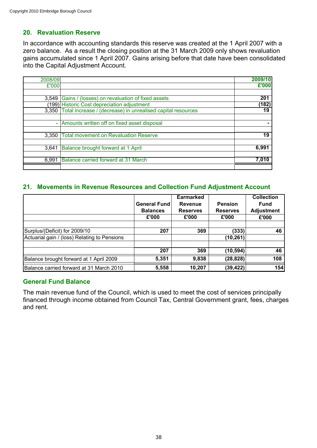# **20. Revaluation Reserve**

In accordance with accounting standards this reserve was created at the 1 April 2007 with a zero balance. As a result the closing position at the 31 March 2009 only shows revaluation gains accumulated since 1 April 2007. Gains arising before that date have been consolidated into the Capital Adjustment Account.

| 2008/09 |                                                             | 2009/10 |
|---------|-------------------------------------------------------------|---------|
| £'000   |                                                             | £'000   |
|         |                                                             |         |
| 3.549   | Gains / (losses) on revaluation of fixed assets             | 201     |
|         | (199) Historic Cost depreciation adjustment                 | (182)   |
| 3,350   | Total increase / (decrease) in unrealised capital resources | 19      |
|         |                                                             |         |
|         | - Amounts written off on fixed asset disposal               |         |
|         |                                                             |         |
| 3,350   | <b>Total movement on Revaluation Reserve</b>                | 19      |
|         |                                                             |         |
| 3.641   | Balance brought forward at 1 April                          | 6,991   |
|         |                                                             |         |
| 6,991   | Balance carried forward at 31 March                         | 7.010   |
|         |                                                             |         |

# **21. Movements in Revenue Resources and Collection Fund Adjustment Account**

|                                              |                     | Earmarked       |                 | <b>Collection</b> |
|----------------------------------------------|---------------------|-----------------|-----------------|-------------------|
|                                              | <b>General Fund</b> | <b>Revenue</b>  | <b>Pension</b>  | <b>Fund</b>       |
|                                              | <b>Balances</b>     | <b>Reserves</b> | <b>Reserves</b> | <b>Adjustment</b> |
|                                              | £'000               | £'000           | £'000           | £'000             |
|                                              |                     |                 |                 |                   |
| Surplus/(Deficit) for 2009/10                | 207                 | 369             | (333)           | 46                |
| Actuarial gain / (loss) Relating to Pensions |                     |                 | (10, 261)       |                   |
|                                              |                     |                 |                 |                   |
|                                              | 207                 | 369             | (10, 594)       | 46                |
| Balance brought forward at 1 April 2009      | 5,351               | 9,838           | (28, 828)       | 108               |
| Balance carried forward at 31 March 2010     | 5,558               | 10,207          | (39, 422)       | 154               |

## **General Fund Balance**

The main revenue fund of the Council, which is used to meet the cost of services principally financed through income obtained from Council Tax, Central Government grant, fees, charges and rent.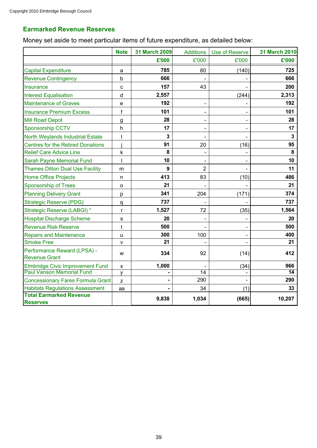# **Earmarked Revenue Reserves**

Money set aside to meet particular items of future expenditure, as detailed below:

|                                                     | <b>Note</b>  | 31 March 2009  | <b>Additions</b>         | Use of Reserve | <b>31 March 2010</b>    |
|-----------------------------------------------------|--------------|----------------|--------------------------|----------------|-------------------------|
|                                                     |              | £'000          | £'000                    | £'000          | £'000                   |
| <b>Capital Expenditure</b>                          | a            | 785            | 80                       | (140)          | 725                     |
| <b>Revenue Contingency</b>                          | $\mathsf{b}$ | 666            |                          |                | 666                     |
| Insurance                                           | C            | 157            | 43                       |                | 200                     |
| <b>Interest Equalisation</b>                        | d            | 2,557          |                          | (244)          | 2,313                   |
| <b>Maintenance of Graves</b>                        | $\mathsf{e}$ | 192            |                          |                | 192                     |
| <b>Insurance Premium Excess</b>                     | f            | 101            |                          |                | 101                     |
| <b>Mill Road Depot</b>                              | g            | 28             |                          |                | 28                      |
| Sponsorship CCTV                                    | h            | 17             | $\overline{\phantom{0}}$ |                | 17                      |
| <b>North Weylands Industrial Estate</b>             |              | $\overline{3}$ |                          |                | $\overline{\mathbf{3}}$ |
| <b>Centres for the Retired Donations</b>            |              | 91             | 20                       | (16)           | 95                      |
| <b>Relief Care Advice Line</b>                      | k            | 8              |                          |                | 8                       |
| Sarah Payne Memorial Fund                           |              | 10             |                          |                | 10                      |
| <b>Thames Ditton Dual Use Facility</b>              | m            | 9              | $\overline{2}$           |                | 11                      |
| <b>Home Office Projects</b>                         | n            | 413            | 83                       | (10)           | 486                     |
| <b>Sponsorship of Trees</b>                         | o            | 21             |                          |                | 21                      |
| <b>Planning Delivery Grant</b>                      | р            | 341            | 204                      | (171)          | 374                     |
| <b>Strategic Reserve (PDG)</b>                      | q            | 737            |                          |                | 737                     |
| Strategic Reserve (LABGI) *                         | r            | 1,527          | 72                       | (35)           | 1,564                   |
| <b>Hospital Discharge Scheme</b>                    | s            | 20             |                          |                | 20                      |
| <b>Revenue Risk Reserve</b>                         | t            | 500            |                          |                | 500                     |
| <b>Repairs and Maintenance</b>                      | $\cup$       | 300            | 100                      |                | 400                     |
| <b>Smoke Free</b>                                   | v            | 21             |                          |                | 21                      |
| Performance Reward (LPSA) -<br><b>Revenue Grant</b> | W            | 334            | 92                       | (14)           | 412                     |
| <b>Elmbridge Civic Improvement Fund</b>             | X            | 1,000          |                          | (34)           | 966                     |
| <b>Paul Vanson Memorial Fund</b>                    | ٧            |                | $\overline{14}$          |                | $\overline{14}$         |
| <b>Concessionary Fares Formula Grant</b>            | z            |                | 290                      |                | 290                     |
| <b>Habitats Regulations Assessment</b>              | aa           |                | 34                       | (1)            | 33                      |
| <b>Total Earmarked Revenue</b><br><b>Reserves</b>   |              | 9,838          | 1,034                    | (665)          | 10,207                  |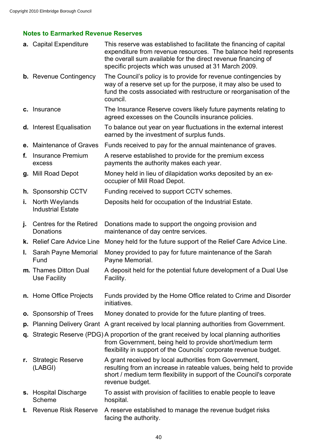# **Notes to Earmarked Revenue Reserves**

|    | <b>a.</b> Capital Expenditure              | This reserve was established to facilitate the financing of capital<br>expenditure from revenue resources. The balance held represents<br>the overall sum available for the direct revenue financing of<br>specific projects which was unused at 31 March 2009. |
|----|--------------------------------------------|-----------------------------------------------------------------------------------------------------------------------------------------------------------------------------------------------------------------------------------------------------------------|
|    | <b>b.</b> Revenue Contingency              | The Council's policy is to provide for revenue contingencies by<br>way of a reserve set up for the purpose, it may also be used to<br>fund the costs associated with restructure or reorganisation of the<br>council.                                           |
|    | c. Insurance                               | The Insurance Reserve covers likely future payments relating to<br>agreed excesses on the Councils insurance policies.                                                                                                                                          |
|    | d. Interest Equalisation                   | To balance out year on year fluctuations in the external interest<br>earned by the investment of surplus funds.                                                                                                                                                 |
|    | e. Maintenance of Graves                   | Funds received to pay for the annual maintenance of graves.                                                                                                                                                                                                     |
| f. | <b>Insurance Premium</b><br>excess         | A reserve established to provide for the premium excess<br>payments the authority makes each year.                                                                                                                                                              |
|    | g. Mill Road Depot                         | Money held in lieu of dilapidation works deposited by an ex-<br>occupier of Mill Road Depot.                                                                                                                                                                    |
|    | h. Sponsorship CCTV                        | Funding received to support CCTV schemes.                                                                                                                                                                                                                       |
| j. | North Weylands<br><b>Industrial Estate</b> | Deposits held for occupation of the Industrial Estate.                                                                                                                                                                                                          |
| J. | Centres for the Retired<br>Donations       | Donations made to support the ongoing provision and<br>maintenance of day centre services.                                                                                                                                                                      |
|    | k. Relief Care Advice Line                 | Money held for the future support of the Relief Care Advice Line.                                                                                                                                                                                               |
| L. | Sarah Payne Memorial<br>Fund               | Money provided to pay for future maintenance of the Sarah<br>Payne Memorial.                                                                                                                                                                                    |
|    | m. Thames Ditton Dual<br>Use Facility      | A deposit held for the potential future development of a Dual Use<br>Facility.                                                                                                                                                                                  |
|    | n. Home Office Projects                    | Funds provided by the Home Office related to Crime and Disorder<br>initiatives.                                                                                                                                                                                 |
|    | <b>o.</b> Sponsorship of Trees             | Money donated to provide for the future planting of trees.                                                                                                                                                                                                      |
|    |                                            | <b>p.</b> Planning Delivery Grant A grant received by local planning authorities from Government.                                                                                                                                                               |
| q. |                                            | Strategic Reserve (PDG) A proportion of the grant received by local planning authorities<br>from Government, being held to provide short/medium term<br>flexibility in support of the Councils' corporate revenue budget.                                       |
| r. | <b>Strategic Reserve</b><br>(LABGI)        | A grant received by local authorities from Government,<br>resulting from an increase in rateable values, being held to provide<br>short / medium term flexibility in support of the Council's corporate<br>revenue budget.                                      |
|    | s. Hospital Discharge<br>Scheme            | To assist with provision of facilities to enable people to leave<br>hospital.                                                                                                                                                                                   |
| t. | <b>Revenue Risk Reserve</b>                | A reserve established to manage the revenue budget risks<br>facing the authority.                                                                                                                                                                               |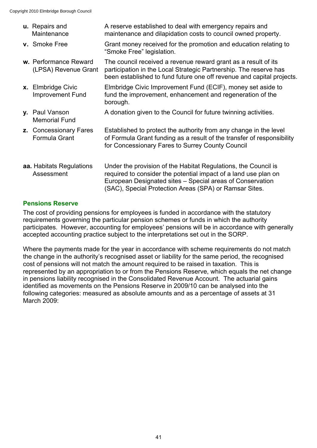| u. Repairs and<br>Maintenance                 | A reserve established to deal with emergency repairs and<br>maintenance and dilapidation costs to council owned property.                                                                                                                                |
|-----------------------------------------------|----------------------------------------------------------------------------------------------------------------------------------------------------------------------------------------------------------------------------------------------------------|
| v. Smoke Free                                 | Grant money received for the promotion and education relating to<br>"Smoke Free" legislation.                                                                                                                                                            |
| w. Performance Reward<br>(LPSA) Revenue Grant | The council received a revenue reward grant as a result of its<br>participation in the Local Strategic Partnership. The reserve has<br>been established to fund future one off revenue and capital projects.                                             |
| x. Elmbridge Civic<br><b>Improvement Fund</b> | Elmbridge Civic Improvement Fund (ECIF), money set aside to<br>fund the improvement, enhancement and regeneration of the<br>borough.                                                                                                                     |
| y. Paul Vanson<br><b>Memorial Fund</b>        | A donation given to the Council for future twinning activities.                                                                                                                                                                                          |
| z. Concessionary Fares<br>Formula Grant       | Established to protect the authority from any change in the level<br>of Formula Grant funding as a result of the transfer of responsibility<br>for Concessionary Fares to Surrey County Council                                                          |
| <b>aa.</b> Habitats Regulations<br>Assessment | Under the provision of the Habitat Regulations, the Council is<br>required to consider the potential impact of a land use plan on<br>European Designated sites – Special areas of Conservation<br>(SAC), Special Protection Areas (SPA) or Ramsar Sites. |

# **Pensions Reserve**

The cost of providing pensions for employees is funded in accordance with the statutory requirements governing the particular pension schemes or funds in which the authority participates. However, accounting for employees' pensions will be in accordance with generally accepted accounting practice subject to the interpretations set out in the SORP.

Where the payments made for the year in accordance with scheme requirements do not match the change in the authority's recognised asset or liability for the same period, the recognised cost of pensions will not match the amount required to be raised in taxation. This is represented by an appropriation to or from the Pensions Reserve, which equals the net change in pensions liability recognised in the Consolidated Revenue Account. The actuarial gains identified as movements on the Pensions Reserve in 2009/10 can be analysed into the following categories: measured as absolute amounts and as a percentage of assets at 31 March 2009: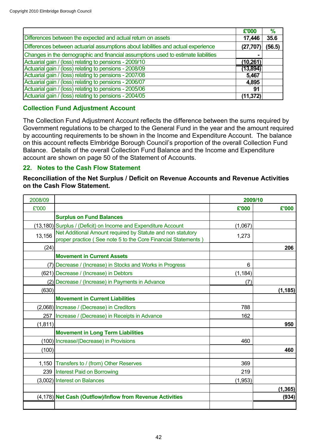|                                                                                   | £'000     | $\frac{9}{6}$ |
|-----------------------------------------------------------------------------------|-----------|---------------|
| Differences between the expected and actual return on assets                      | 17,446    | 35.6          |
| Differences between actuarial assumptions about liabilities and actual experience | (27, 707) | (56.5)        |
| Changes in the demographic and financial assumptions used to estimate liabilities |           |               |
| Actuarial gain / (loss) relating to pensions - 2009/10                            | (10, 261) |               |
| Actuarial gain / (loss) relating to pensions - 2008/09                            | (13, 894) |               |
| Actuarial gain / (loss) relating to pensions - 2007/08                            | 5,467     |               |
| Actuarial gain / (loss) relating to pensions - 2006/07                            | 4,895     |               |
| Actuarial gain / (loss) relating to pensions - 2005/06                            | 91        |               |
| Actuarial gain / (loss) relating to pensions - 2004/05                            | (11, 372) |               |

# **Collection Fund Adjustment Account**

The Collection Fund Adjustment Account reflects the difference between the sums required by Government regulations to be charged to the General Fund in the year and the amount required by accounting requirements to be shown in the Income and Expenditure Account. The balance on this account reflects Elmbridge Borough Council's proportion of the overall Collection Fund Balance. Details of the overall Collection Fund Balance and the Income and Expenditure account are shown on page 50 of the Statement of Accounts.

# **22. Notes to the Cash Flow Statement**

**Reconciliation of the Net Surplus / Deficit on Revenue Accounts and Revenue Activities on the Cash Flow Statement.**

| 2008/09  |                                                                                                                              | 2009/10  |          |
|----------|------------------------------------------------------------------------------------------------------------------------------|----------|----------|
| £'000    |                                                                                                                              | £'000    | £'000    |
|          | <b>Surplus on Fund Balances</b>                                                                                              |          |          |
|          | (13,180) Surplus / (Deficit) on Income and Expenditure Account                                                               | (1,067)  |          |
| 13,156   | Net Additional Amount required by Statute and non statutory<br>proper practice (See note 5 to the Core Financial Statements) | 1,273    |          |
| (24)     |                                                                                                                              |          | 206      |
|          | <b>Movement in Current Assets</b>                                                                                            |          |          |
|          | (7) Decrease / (Increase) in Stocks and Works in Progress                                                                    | 6        |          |
|          | (621) Decrease / (Increase) in Debtors                                                                                       | (1, 184) |          |
|          | (2) Decrease / (Increase) in Payments in Advance                                                                             | (7)      |          |
| (630)    |                                                                                                                              |          | (1, 185) |
|          | <b>Movement in Current Liabilities</b>                                                                                       |          |          |
|          | (2,068) Increase / (Decrease) in Creditors                                                                                   | 788      |          |
| 257      | Increase / (Decrease) in Receipts in Advance                                                                                 | 162      |          |
| (1, 811) |                                                                                                                              |          | 950      |
|          | <b>Movement in Long Term Liabilities</b>                                                                                     |          |          |
|          | (100) Increase/(Decrease) in Provisions                                                                                      | 460      |          |
| (100)    |                                                                                                                              |          | 460      |
|          | 1,150 Transfers to / (from) Other Reserves                                                                                   | 369      |          |
|          | 239 Interest Paid on Borrowing                                                                                               | 219      |          |
|          | (3,002) Interest on Balances                                                                                                 | (1,953)  |          |
|          |                                                                                                                              |          | (1, 365) |
|          | (4,178) Net Cash (Outflow)/Inflow from Revenue Activities                                                                    |          | (934)    |
|          |                                                                                                                              |          |          |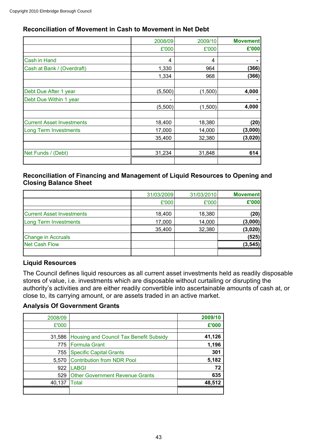# **Reconciliation of Movement in Cash to Movement in Net Debt**

|                                  | 2008/09 | 2009/10 | <b>Movement</b> |
|----------------------------------|---------|---------|-----------------|
|                                  | £'000   | £'000   | £'000           |
| Cash in Hand                     | 4       | 4       |                 |
| Cash at Bank / (Overdraft)       | 1,330   | 964     | (366)           |
|                                  | 1,334   | 968     | (366)           |
|                                  |         |         |                 |
| Debt Due After 1 year            | (5,500) | (1,500) | 4,000           |
| Debt Due Within 1 year           |         |         |                 |
|                                  | (5,500) | (1,500) | 4,000           |
|                                  |         |         |                 |
| <b>Current Asset Investments</b> | 18,400  | 18,380  | (20)            |
| <b>Long Term Investments</b>     | 17,000  | 14,000  | (3,000)         |
|                                  | 35,400  | 32,380  | (3,020)         |
| Net Funds / (Debt)               | 31,234  | 31,848  | 614             |
|                                  |         |         |                 |

### **Reconciliation of Financing and Management of Liquid Resources to Opening and Closing Balance Sheet**

|                                  | 31/03/2009 | 31/03/2010 | <b>Movement</b> |
|----------------------------------|------------|------------|-----------------|
|                                  | £'000      | £'000      | £'000           |
| <b>Current Asset Investments</b> | 18,400     | 18,380     | (20)            |
| <b>Long Term Investments</b>     | 17,000     | 14,000     | (3,000)         |
|                                  | 35,400     | 32,380     | (3,020)         |
| <b>Change in Accruals</b>        |            |            | (525)           |
| <b>Net Cash Flow</b>             |            |            | (3, 545)        |
|                                  |            |            |                 |

### **Liquid Resources**

The Council defines liquid resources as all current asset investments held as readily disposable stores of value, i.e. investments which are disposable without curtailing or disrupting the authority's activities and are either readily convertible into ascertainable amounts of cash at, or close to, its carrying amount, or are assets traded in an active market.

### **Analysis Of Government Grants**

| 2008/09 |                                                | 2009/10 |
|---------|------------------------------------------------|---------|
| £'000   |                                                | £'000   |
|         |                                                |         |
|         | 31,586 Housing and Council Tax Benefit Subsidy | 41,126  |
|         | 775   Formula Grant                            | 1,196   |
| 755     | <b>Specific Capital Grants</b>                 | 301     |
| 5,570   | <b>Contribution from NDR Pool</b>              | 5,182   |
| 922     | <b>LABGI</b>                                   | 72      |
| 529     | <b>Other Government Revenue Grants</b>         | 635     |
| 40,137  | <b>Total</b>                                   | 48,512  |
|         |                                                |         |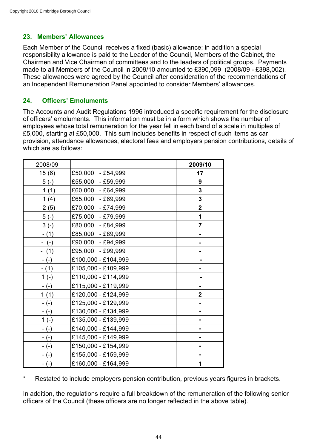# **23. Members' Allowances**

Each Member of the Council receives a fixed (basic) allowance; in addition a special responsibility allowance is paid to the Leader of the Council, Members of the Cabinet, the Chairmen and Vice Chairmen of committees and to the leaders of political groups. Payments made to all Members of the Council in 2009/10 amounted to £390,099 (2008/09 - £398,002). These allowances were agreed by the Council after consideration of the recommendations of an Independent Remuneration Panel appointed to consider Members' allowances.

# **24. Officers' Emoluments**

The Accounts and Audit Regulations 1996 introduced a specific requirement for the disclosure of officers' emoluments. This information must be in a form which shows the number of employees whose total remuneration for the year fell in each band of a scale in multiples of £5,000, starting at £50,000. This sum includes benefits in respect of such items as car provision, attendance allowances, electoral fees and employers pension contributions, details of which are as follows:

| 2008/09 |                        | 2009/10        |
|---------|------------------------|----------------|
| 15(6)   | £50,000<br>$- E54,999$ | 17             |
| $5(-)$  | £55,000<br>$- E59,999$ | 9              |
| 1(1)    | £60,000<br>$- E64,999$ | 3              |
| 1(4)    | £65,000<br>$- E69,999$ | 3              |
| 2(5)    | £70,000<br>$- E74,999$ | $\overline{2}$ |
| $5(-)$  | £75,000<br>$- E79,999$ | 1              |
| $3(-)$  | £80,000<br>$- E84,999$ | 7              |
| $- (1)$ | £85,000<br>$- E89,999$ |                |
| $-(-)$  | £90,000<br>$- E94,999$ |                |
| (1)     | £95,000 - £99,999      |                |
| $-(-)$  | £100,000 - £104,999    |                |
| $- (1)$ | £105,000 - £109,999    |                |
| $1(-)$  | £110,000 - £114,999    |                |
| $-(-)$  | £115,000 - £119,999    |                |
| 1(1)    | £120,000 - £124,999    | $\overline{2}$ |
| - (-)   | £125,000 - £129,999    |                |
| - (-)   | £130,000 - £134,999    |                |
| $1(-)$  | £135,000 - £139,999    |                |
| - (-)   | £140,000 - £144,999    |                |
| $-(-)$  | £145,000 - £149,999    |                |
| - (-)   | £150,000 - £154,999    |                |
| - (-)   | £155,000 - £159,999    |                |
| $-(-)$  | £160,000 - £164,999    | 1              |

\* Restated to include employers pension contribution, previous years figures in brackets.

In addition, the regulations require a full breakdown of the remuneration of the following senior officers of the Council (these officers are no longer reflected in the above table).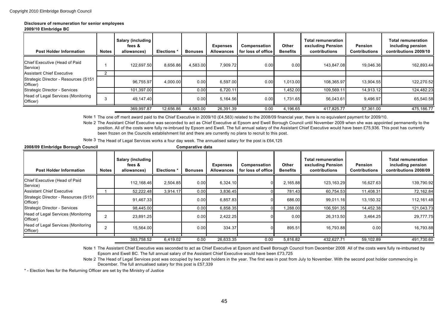#### **Disclosure of remuneration for senior employees**

#### **2009/10 Elmbridge BC**

| <b>Post Holder Information</b>                    | <b>Notes</b> | Salary (including<br>fees &<br>allowances) | <b>Elections</b> | <b>Bonuses</b> | <b>Expenses</b><br><b>Allowances</b> | Compensation<br>for loss of office | Other<br><b>Benefits</b> | <b>Total remuneration</b><br>excluding Pension<br>contributions | <b>Pension</b><br><b>Contributions</b> | <b>Total remuneration</b><br>including pension<br>contributions 2009/10 |
|---------------------------------------------------|--------------|--------------------------------------------|------------------|----------------|--------------------------------------|------------------------------------|--------------------------|-----------------------------------------------------------------|----------------------------------------|-------------------------------------------------------------------------|
| Chief Executive (Head of Paid<br>Service)         |              | 122.697.50                                 | 8,656.86         | 4,583.00       | 7.909.72                             | 0.00                               | 0.00                     | 143.847.08                                                      | 19.046.36                              | 162.893.44                                                              |
| <b>Assistant Chief Executive</b>                  |              |                                            |                  |                |                                      |                                    |                          |                                                                 |                                        |                                                                         |
| Strategic Director - Resources (S151)<br>Officer) |              | 96.755.97                                  | 4.000.00         | 0.00           | 6.597.00                             | 0.00                               | 1,013.00                 | 108.365.97                                                      | 13.904.55                              | 122,270.52                                                              |
| Strategic Director - Services                     |              | 101,397.00                                 |                  | 0.00           | 6,720.11                             |                                    | 1,452.00                 | 109,569.11                                                      | 14,913.12                              | 124,482.23                                                              |
| Head of Legal Services (Monitoring<br>Officer)    |              | 49.147.40                                  |                  | 0.00           | 5,164.56                             | 0.00                               | 1,731.65                 | 56.043.61                                                       | 9,496.97                               | 65,540.58                                                               |
|                                                   |              | 369,997.87                                 | 12,656.86        | 4.583.00       | 26,391.39                            | 0.00                               | 4.196.65                 | 417.825.77                                                      | 57,361.00                              | 475.186.77                                                              |

Note 1 The one off merit award paid to the Chief Executive in 2009/10 (£4,583) related to the 2008/09 financial year, there is no equivalent payment for 2009/10.

Note 2 The Assistant Chief Executive was seconded to act as Chief Executive at Epsom and Ewell Borough Council until November 2009 when she was appointed permanently to the position. All of the costs were fully re-imbrued by Epsom and Ewell. The full annual salary of the Assistant Chief Executive would have been £75,936. This post has currently been frozen on the Councils establishment list and there are currently no plans to recruit to this post.

Note 3 The Head of Legal Services works a four day week. The annualised salary for the post is £64,125

| 2008/09 Elmbridge Borough Council                 |                | Comparative data                           |                  |                |                                      |                                    |                          |                                                                 |                                        |                                                                         |
|---------------------------------------------------|----------------|--------------------------------------------|------------------|----------------|--------------------------------------|------------------------------------|--------------------------|-----------------------------------------------------------------|----------------------------------------|-------------------------------------------------------------------------|
| <b>Post Holder Information</b>                    | <b>Notes</b>   | Salary (including<br>fees &<br>allowances) | <b>Elections</b> | <b>Bonuses</b> | <b>Expenses</b><br><b>Allowances</b> | Compensation<br>for loss of office | Other<br><b>Benefits</b> | <b>Total remuneration</b><br>excluding Pension<br>contributions | <b>Pension</b><br><b>Contributions</b> | <b>Total remuneration</b><br>including pension<br>contributions 2008/09 |
| Chief Executive (Head of Paid<br>Service)         |                | 112,168.46                                 | 2,504.85         | 0.00           | 6,324.10                             |                                    | 2,165.88                 | 123,163.29                                                      | 16,627.63                              | 139,790.92                                                              |
| <b>Assistant Chief Executive</b>                  |                | 52,222.48                                  | 3,914.17         | 0.00           | 3,836.45                             |                                    | 781.43                   | 60,754.53                                                       | 11,408.31                              | 72,162.84                                                               |
| Strategic Director - Resources (S151)<br>Officer) |                | 91,467.33                                  |                  | 0.00           | 6,857.83                             |                                    | 686.00                   | 99,011.16                                                       | 13,150.32                              | 112,161.48                                                              |
| Strategic Director - Services                     |                | 98,445.00                                  |                  | 0.00           | 6,858.35                             |                                    | 1,288.00                 | 106,591.35                                                      | 14,452.38                              | 121,043.73                                                              |
| Officer)                                          | $\overline{2}$ | 23,891.25                                  |                  | 0.00           | 2,422.25                             |                                    | 0.00                     | 26,313.50                                                       | 3,464.25                               | 29,777.75                                                               |
| Head of Legal Services (Monitoring<br>Officer)    |                | 15,564.00                                  |                  | 0.00           | 334.37                               |                                    | 895.51                   | 16,793.88                                                       | 0.00                                   | 16,793.88                                                               |
|                                                   |                |                                            |                  |                |                                      |                                    |                          |                                                                 |                                        |                                                                         |
| Head of Legal Services (Monitoring                |                | 393,758.52                                 | 6,419.02         | 0.00           | 26,633.35                            | 0.00                               | 5,816.82                 | 432,627.71                                                      | 59,102.89                              | 491,730.60                                                              |

Note 1 The Assistant Chief Executive was seconded to act as Chief Executive at Epsom and Ewell Borough Council from December 2008 All of the costs were fully re-imbursed by Epsom and Ewell BC. The full annual salary of the Assistant Chief Executive would have been £73,725

Note 2 The Head of Legal Services post was occupied by two post holders in the year. The first was in post from July to November. With the second post holder commencing in December. The full annualised salary for this post is £57,339

\* - Election fees for the Returning Officer are set by the Ministry of Justice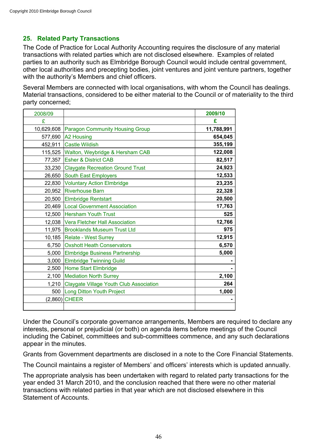# **25. Related Party Transactions**

The Code of Practice for Local Authority Accounting requires the disclosure of any material transactions with related parties which are not disclosed elsewhere. Examples of related parties to an authority such as Elmbridge Borough Council would include central government, other local authorities and precepting bodies, joint ventures and joint venture partners, together with the authority's Members and chief officers.

Several Members are connected with local organisations, with whom the Council has dealings. Material transactions, considered to be either material to the Council or of materiality to the third party concerned;

| 2008/09 |                                                | 2009/10    |
|---------|------------------------------------------------|------------|
| £       |                                                | £          |
|         | 10,629,608 Paragon Community Housing Group     | 11,788,991 |
|         | 577,690   A2 Housing                           | 654,045    |
|         | 452,911 Castle Wildish                         | 355,199    |
|         | 115,525 Walton, Weybridge & Hersham CAB        | 122,008    |
| 77,357  | <b>Esher &amp; District CAB</b>                | 82,517     |
| 33,230  | <b>Claygate Recreation Ground Trust</b>        | 24,923     |
| 26,650  | <b>South East Employers</b>                    | 12,533     |
|         | 22,830 Voluntary Action Elmbridge              | 23,235     |
|         | 20,952 Riverhouse Barn                         | 22,328     |
|         | 20,500 Elmbridge Rentstart                     | 20,500     |
| 20,469  | <b>Local Government Association</b>            | 17,763     |
|         | 12,500 Hersham Youth Trust                     | 525        |
|         | 12,038 Vera Fletcher Hall Association          | 12,766     |
|         | 11,975 Brooklands Museum Trust Ltd             | 975        |
|         | 10,185   Relate - West Surrey                  | 12,915     |
|         | 6,750 Oxshott Heath Conservators               | 6,570      |
|         | 5,000 Elmbridge Business Partnership           | 5,000      |
| 3,000   | <b>Elmbridge Twinning Guild</b>                |            |
| 2,500   | Home Start Elmbridge                           |            |
| 2,100   | <b>Mediation North Surrey</b>                  | 2,100      |
| 1,210   | <b>Claygate Village Youth Club Association</b> | 264        |
| 500     | Long Ditton Youth Project                      | 1,000      |
|         | $(2,860)$ CHEER                                |            |
|         |                                                |            |

Under the Council's corporate governance arrangements, Members are required to declare any interests, personal or prejudicial (or both) on agenda items before meetings of the Council including the Cabinet, committees and sub-committees commence, and any such declarations appear in the minutes.

Grants from Government departments are disclosed in a note to the Core Financial Statements.

The Council maintains a register of Members' and officers' interests which is updated annually.

The appropriate analysis has been undertaken with regard to related party transactions for the year ended 31 March 2010, and the conclusion reached that there were no other material transactions with related parties in that year which are not disclosed elsewhere in this Statement of Accounts.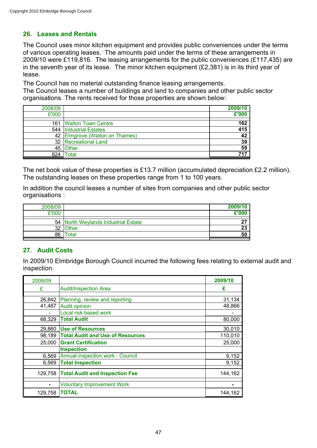# **26. Leases and Rentals**

The Council uses minor kitchen equipment and provides public conveniences under the terms of various operating leases. The amounts paid under the terms of these arrangements in 2009/10 were £119,816. The leasing arrangements for the public conveniences (£117,435) are in the seventh year of its lease. The minor kitchen equipment (£2,381) is in its third year of lease.

The Council has no material outstanding finance leasing arrangements. The Council leases a number of buildings and land to companies and other public sector organisations. The rents received for those properties are shown below:

| 2008/09 |                                  | 2009/10 |
|---------|----------------------------------|---------|
| £'000   |                                  | £'000   |
|         | 161 Walton Town Centre           | 162     |
|         | 544   Industrial Estates         | 415     |
|         | 42   Elmgrove (Walton on Thames) | 42      |
|         | 32 Recreational Land             | 39      |
|         | 45   Other                       | 59      |
| 824     | <sup>-</sup> otal                | 747     |

The net book value of these properties is £13.7 million (accumulated depreciation £2.2 million). The outstanding leases on these properties range from 1 to 100 years.

In addition the council leases a number of sites from companies and other public sector organisations :

| 2008/09 |                                     | 2009/10 |
|---------|-------------------------------------|---------|
| £'000   |                                     | £'000   |
|         | 54 North Weylands Industrial Estate | 27      |
| 32      | <b>Other</b>                        | 23      |
| 86      | Total                               | 50      |

# **27. Audit Costs**

In 2009/10 Elmbridge Borough Council incurred the following fees relating to external audit and inspection.

| 2008/09 |                                         | 2009/10 |
|---------|-----------------------------------------|---------|
| £       | <b>Audit/Inspection Area</b>            | £       |
|         |                                         |         |
| 26,842  | Planning, review and reporting          | 31,134  |
| 41,487  | <b>Audit opinion</b>                    | 48,866  |
|         | Local risk based work                   |         |
| 68,329  | <b>Total Audit</b>                      | 80,000  |
| 29,860  | <b>Use of Resources</b>                 | 30,010  |
| 98,189  | <b>Total Audit and Use of Resources</b> | 110,010 |
| 25,000  | <b>Grant Certification</b>              | 25,000  |
|         | <b>Inspection</b>                       |         |
| 6.569   | <b>Annual inspection work - Council</b> | 9,152   |
| 6,569   | <b>Total Inspection</b>                 | 9,152   |
| 129,758 | <b>Total Audit and Inspection Fee</b>   | 144,162 |
|         | <b>Voluntary Improvement Work</b>       |         |
| 129,758 | <b>TOTAL</b>                            | 144,162 |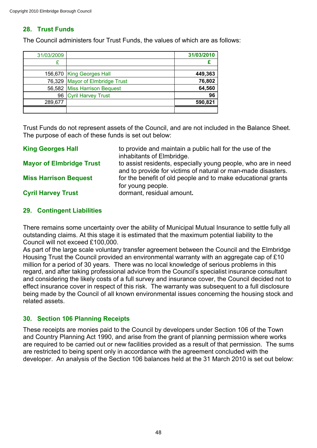# **28. Trust Funds**

The Council administers four Trust Funds, the values of which are as follows:

| 31/03/2009 |                                 | 31/03/2010 |
|------------|---------------------------------|------------|
|            |                                 |            |
|            | 156,670 King Georges Hall       | 449,363    |
|            | 76,329 Mayor of Elmbridge Trust | 76,802     |
|            | 56,582 Miss Harrison Bequest    | 64,560     |
|            | 96 Cyril Harvey Trust           | 96         |
| 289,677    |                                 | 590,821    |
|            |                                 |            |

Trust Funds do not represent assets of the Council, and are not included in the Balance Sheet. The purpose of each of these funds is set out below:

| <b>King Georges Hall</b>        | to provide and maintain a public hall for the use of the<br>inhabitants of Elmbridge.                                         |
|---------------------------------|-------------------------------------------------------------------------------------------------------------------------------|
| <b>Mayor of Elmbridge Trust</b> | to assist residents, especially young people, who are in need<br>and to provide for victims of natural or man-made disasters. |
| <b>Miss Harrison Bequest</b>    | for the benefit of old people and to make educational grants<br>for young people.                                             |
| <b>Cyril Harvey Trust</b>       | dormant, residual amount.                                                                                                     |

# **29. Contingent Liabilities**

There remains some uncertainty over the ability of Municipal Mutual Insurance to settle fully all outstanding claims. At this stage it is estimated that the maximum potential liability to the Council will not exceed £100,000.

As part of the large scale voluntary transfer agreement between the Council and the Elmbridge Housing Trust the Council provided an environmental warranty with an aggregate cap of £10 million for a period of 30 years. There was no local knowledge of serious problems in this regard, and after taking professional advice from the Council's specialist insurance consultant and considering the likely costs of a full survey and insurance cover, the Council decided not to effect insurance cover in respect of this risk. The warranty was subsequent to a full disclosure being made by the Council of all known environmental issues concerning the housing stock and related assets.

# **30. Section 106 Planning Receipts**

These receipts are monies paid to the Council by developers under Section 106 of the Town and Country Planning Act 1990, and arise from the grant of planning permission where works are required to be carried out or new facilities provided as a result of that permission. The sums are restricted to being spent only in accordance with the agreement concluded with the developer. An analysis of the Section 106 balances held at the 31 March 2010 is set out below: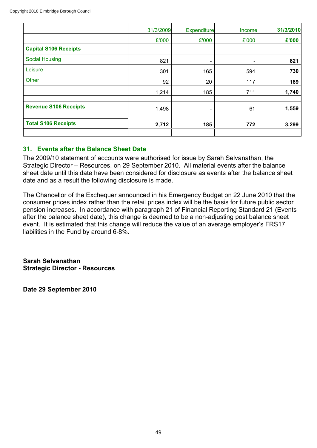|                              | 31/3/2009 | <b>Expenditure</b>       | Income | 31/3/2010 |
|------------------------------|-----------|--------------------------|--------|-----------|
|                              | £'000     | £'000                    | £'000  | £'000     |
| <b>Capital S106 Receipts</b> |           |                          |        |           |
| <b>Social Housing</b>        | 821       | $\overline{\phantom{a}}$ | -      | 821       |
| Leisure                      | 301       | 165                      | 594    | 730       |
| Other                        | 92        | 20                       | 117    | 189       |
|                              | 1,214     | 185                      | 711    | 1,740     |
| <b>Revenue S106 Receipts</b> | 1,498     | $\overline{\phantom{a}}$ | 61     | 1,559     |
| <b>Total S106 Receipts</b>   | 2,712     | 185                      | 772    | 3,299     |
|                              |           |                          |        |           |

# **31. Events after the Balance Sheet Date**

The 2009/10 statement of accounts were authorised for issue by Sarah Selvanathan, the Strategic Director – Resources, on 29 September 2010. All material events after the balance sheet date until this date have been considered for disclosure as events after the balance sheet date and as a result the following disclosure is made.

The Chancellor of the Exchequer announced in his Emergency Budget on 22 June 2010 that the consumer prices index rather than the retail prices index will be the basis for future public sector pension increases. In accordance with paragraph 21 of Financial Reporting Standard 21 (Events after the balance sheet date), this change is deemed to be a non-adjusting post balance sheet event. It is estimated that this change will reduce the value of an average employer's FRS17 liabilities in the Fund by around 6-8%.

**Sarah Selvanathan Strategic Director - Resources**

**Date 29 September 2010**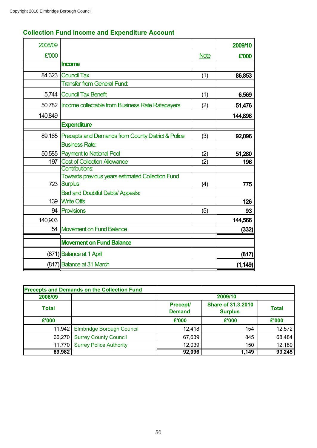| 2008/09 |                                                         |             | 2009/10  |
|---------|---------------------------------------------------------|-------------|----------|
| £'000   |                                                         | <b>Note</b> | £'000    |
|         | <b>Income</b>                                           |             |          |
| 84,323  | <b>Council Tax</b>                                      | (1)         | 86,853   |
|         | <b>Transfer from General Fund:</b>                      |             |          |
| 5,744   | <b>Council Tax Benefit</b>                              | (1)         | 6,569    |
| 50,782  | Income collectable from Business Rate Ratepayers        | (2)         | 51,476   |
| 140,849 |                                                         |             | 144,898  |
|         | <b>Expenditure</b>                                      |             |          |
| 89,165  | Precepts and Demands from County, District & Police     | (3)         | 92,096   |
|         | <b>Business Rate:</b>                                   |             |          |
|         | 50,585 Payment to National Pool                         | (2)         | 51,280   |
| 197     | <b>Cost of Collection Allowance</b>                     | (2)         | 196      |
|         | <b>Contributions:</b>                                   |             |          |
|         | <b>Towards previous years estimated Collection Fund</b> |             |          |
| 723     | <b>Surplus</b>                                          | (4)         | 775      |
|         | <b>Bad and Doubtful Debts/ Appeals:</b>                 |             |          |
| 139     | <b>Write Offs</b>                                       |             | 126      |
| 94      | <b>Provisions</b>                                       | (5)         | 93       |
| 140,903 |                                                         |             | 144,566  |
| 54      | <b>Movement on Fund Balance</b>                         |             | (332)    |
|         | <b>Movement on Fund Balance</b>                         |             |          |
|         | (871) Balance at 1 April                                |             | (817)    |
|         | (817) Balance at 31 March                               |             | (1, 149) |

# **Collection Fund Income and Expenditure Account**

| <b>Precepts and Demands on the Collection Fund</b> |                                    |                                                                          |       |              |  |
|----------------------------------------------------|------------------------------------|--------------------------------------------------------------------------|-------|--------------|--|
| 2008/09                                            |                                    | 2009/10                                                                  |       |              |  |
| <b>Total</b>                                       |                                    | <b>Share of 31.3.2010</b><br>Precept/<br><b>Demand</b><br><b>Surplus</b> |       | <b>Total</b> |  |
| £'000                                              |                                    | £'000                                                                    | £'000 | £'000        |  |
|                                                    | 11,942   Elmbridge Borough Council | 12,418                                                                   | 154   | 12,572       |  |
| 66,270                                             | <b>Surrey County Council</b>       | 67,639                                                                   | 845   | 68,484       |  |
| 11,770                                             | <b>Surrey Police Authority</b>     | 12,039                                                                   | 150   | 12,189       |  |
| 89,982                                             |                                    | 92,096                                                                   | 1,149 | 93,245       |  |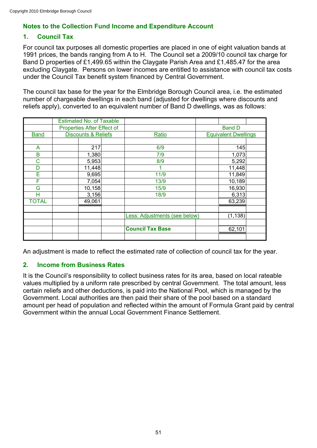# **Notes to the Collection Fund Income and Expenditure Account**

# **1. Council Tax**

For council tax purposes all domestic properties are placed in one of eight valuation bands at 1991 prices, the bands ranging from A to H. The Council set a 2009/10 council tax charge for Band D properties of £1,499.65 within the Claygate Parish Area and £1,485.47 for the area excluding Claygate. Persons on lower incomes are entitled to assistance with council tax costs under the Council Tax benefit system financed by Central Government.

The council tax base for the year for the Elmbridge Borough Council area, i.e. the estimated number of chargeable dwellings in each band (adjusted for dwellings where discounts and reliefs apply), converted to an equivalent number of Band D dwellings, was as follows:

|              |                            | <b>Estimated No. of Taxable</b> |                                      |               |                             |  |
|--------------|----------------------------|---------------------------------|--------------------------------------|---------------|-----------------------------|--|
|              | Properties After Effect of |                                 |                                      | <b>Band D</b> |                             |  |
| <b>Band</b>  |                            | <b>Discounts &amp; Reliefs</b>  | Ratio                                |               | <b>Equivalent Dwellings</b> |  |
|              |                            |                                 |                                      |               |                             |  |
| A            |                            | 217                             | 6/9                                  |               | 145                         |  |
| B            |                            | 1,380                           | 7/9                                  |               | 1,073                       |  |
| C            |                            | 5,953                           | 8/9                                  |               | 5,292                       |  |
| D            |                            | 11,448                          |                                      |               | 11,448                      |  |
| Ē            |                            | 9,695                           | 11/9                                 |               | 11,849                      |  |
| F            |                            | 7,054                           | 13/9                                 |               | 10,189                      |  |
| G            |                            | 10,158                          | 15/9                                 |               | 16,930                      |  |
| н            |                            | 3,156                           | 18/9                                 |               | 6,313                       |  |
| <b>TOTAL</b> |                            | 49,061                          |                                      |               | 63,239                      |  |
|              |                            |                                 |                                      |               |                             |  |
|              |                            |                                 | <b>Less: Adjustments (see below)</b> |               | (1, 138)                    |  |
|              |                            |                                 |                                      |               |                             |  |
|              |                            |                                 | <b>Council Tax Base</b>              |               | 62,101                      |  |
|              |                            |                                 |                                      |               |                             |  |

An adjustment is made to reflect the estimated rate of collection of council tax for the year.

### **2. Income from Business Rates**

It is the Council's responsibility to collect business rates for its area, based on local rateable values multiplied by a uniform rate prescribed by central Government. The total amount, less certain reliefs and other deductions, is paid into the National Pool, which is managed by the Government. Local authorities are then paid their share of the pool based on a standard amount per head of population and reflected within the amount of Formula Grant paid by central Government within the annual Local Government Finance Settlement.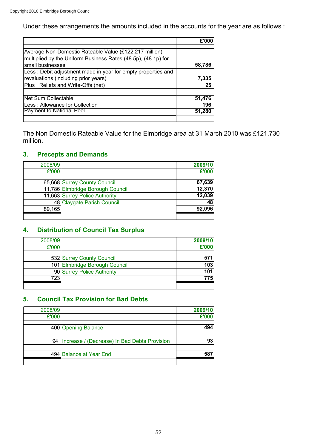Under these arrangements the amounts included in the accounts for the year are as follows :

| Average Non-Domestic Rateable Value (£122.217 million)        |        |
|---------------------------------------------------------------|--------|
| multiplied by the Uniform Business Rates (48.5p), (48.1p) for |        |
| small businesses                                              | 58,786 |
| Less: Debit adjustment made in year for empty properties and  |        |
| revaluations (including prior years)                          | 7,335  |
| Plus: Reliefs and Write-Offs (net)                            | 25     |
|                                                               |        |
| Net Sum Collectable                                           | 51,476 |
| Less: Allowance for Collection                                | 196    |
| <b>Payment to National Pool</b>                               | 51.280 |
|                                                               |        |

The Non Domestic Rateable Value for the Elmbridge area at 31 March 2010 was £121.730 million.

# **3. Precepts and Demands**

| 2008/09 |                                  | 2009/10 |
|---------|----------------------------------|---------|
| £'000   |                                  | £'000   |
|         |                                  |         |
|         | 65,668 Surrey County Council     | 67,639  |
|         | 11,786 Elmbridge Borough Council | 12,370  |
|         | 11,663 Surrey Police Authority   | 12,039  |
|         | 48 Claygate Parish Council       | 48      |
| 89,165  |                                  | 92.096  |
|         |                                  |         |

# **4. Distribution of Council Tax Surplus**

| 2008/09 |                               | 2009/10 |
|---------|-------------------------------|---------|
| £'000   |                               | £'000   |
|         |                               |         |
|         | 532 Surrey County Council     | 571     |
|         | 101 Elmbridge Borough Council | 103     |
|         | 90 Surrey Police Authority    | 101     |
| 723     |                               | 775     |
|         |                               |         |

# **5. Council Tax Provision for Bad Debts**

| 2008/09 |                                              | 2009/10 |
|---------|----------------------------------------------|---------|
| £'000   |                                              | £'000   |
|         | 400 Opening Balance                          | 494     |
| 94      | Increase / (Decrease) In Bad Debts Provision | 93      |
|         |                                              |         |
|         | 494 Balance at Year End                      | 58      |
|         |                                              |         |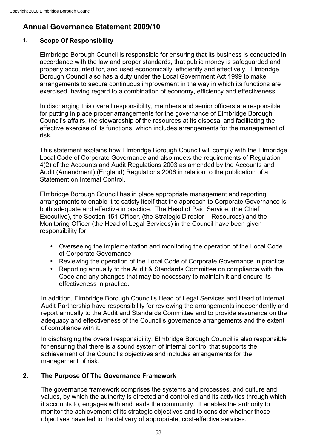# **Annual Governance Statement 2009/10**

# **1. Scope Of Responsibility**

Elmbridge Borough Council is responsible for ensuring that its business is conducted in accordance with the law and proper standards, that public money is safeguarded and properly accounted for, and used economically, efficiently and effectively. Elmbridge Borough Council also has a duty under the Local Government Act 1999 to make arrangements to secure continuous improvement in the way in which its functions are exercised, having regard to a combination of economy, efficiency and effectiveness.

In discharging this overall responsibility, members and senior officers are responsible for putting in place proper arrangements for the governance of Elmbridge Borough Council's affairs, the stewardship of the resources at its disposal and facilitating the effective exercise of its functions, which includes arrangements for the management of risk.

This statement explains how Elmbridge Borough Council will comply with the Elmbridge Local Code of Corporate Governance and also meets the requirements of Regulation 4(2) of the Accounts and Audit Regulations 2003 as amended by the Accounts and Audit (Amendment) (England) Regulations 2006 in relation to the publication of a Statement on Internal Control.

Elmbridge Borough Council has in place appropriate management and reporting arrangements to enable it to satisfy itself that the approach to Corporate Governance is both adequate and effective in practice. The Head of Paid Service, (the Chief Executive), the Section 151 Officer, (the Strategic Director – Resources) and the Monitoring Officer (the Head of Legal Services) in the Council have been given responsibility for:

- Overseeing the implementation and monitoring the operation of the Local Code of Corporate Governance
- Reviewing the operation of the Local Code of Corporate Governance in practice
- Reporting annually to the Audit & Standards Committee on compliance with the Code and any changes that may be necessary to maintain it and ensure its effectiveness in practice.

In addition, Elmbridge Borough Council's Head of Legal Services and Head of Internal Audit Partnership have responsibility for reviewing the arrangements independently and report annually to the Audit and Standards Committee and to provide assurance on the adequacy and effectiveness of the Council's governance arrangements and the extent of compliance with it.

In discharging the overall responsibility, Elmbridge Borough Council is also responsible for ensuring that there is a sound system of internal control that supports the achievement of the Council's objectives and includes arrangements for the management of risk.

# **2. The Purpose Of The Governance Framework**

The governance framework comprises the systems and processes, and culture and values, by which the authority is directed and controlled and its activities through which it accounts to, engages with and leads the community. It enables the authority to monitor the achievement of its strategic objectives and to consider whether those objectives have led to the delivery of appropriate, cost-effective services.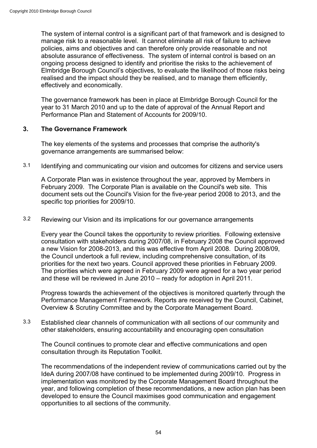The system of internal control is a significant part of that framework and is designed to manage risk to a reasonable level. It cannot eliminate all risk of failure to achieve policies, aims and objectives and can therefore only provide reasonable and not absolute assurance of effectiveness. The system of internal control is based on an ongoing process designed to identify and prioritise the risks to the achievement of Elmbridge Borough Council's objectives, to evaluate the likelihood of those risks being realised and the impact should they be realised, and to manage them efficiently, effectively and economically.

The governance framework has been in place at Elmbridge Borough Council for the year to 31 March 2010 and up to the date of approval of the Annual Report and Performance Plan and Statement of Accounts for 2009/10.

### **3. The Governance Framework**

The key elements of the systems and processes that comprise the authority's governance arrangements are summarised below:

3.1 Identifying and communicating our vision and outcomes for citizens and service users

A Corporate Plan was in existence throughout the year, approved by Members in February 2009. The Corporate Plan is available on the Council's web site. This document sets out the Council's Vision for the five-year period 2008 to 2013, and the specific top priorities for 2009/10.

# 3.2 Reviewing our Vision and its implications for our governance arrangements

Every year the Council takes the opportunity to review priorities. Following extensive consultation with stakeholders during 2007/08, in February 2008 the Council approved a new Vision for 2008-2013, and this was effective from April 2008. During 2008/09, the Council undertook a full review, including comprehensive consultation, of its priorities for the next two years. Council approved these priorities in February 2009. The priorities which were agreed in February 2009 were agreed for a two year period and these will be reviewed in June 2010 – ready for adoption in April 2011.

Progress towards the achievement of the objectives is monitored quarterly through the Performance Management Framework. Reports are received by the Council, Cabinet, Overview & Scrutiny Committee and by the Corporate Management Board.

3.3 Established clear channels of communication with all sections of our community and other stakeholders, ensuring accountability and encouraging open consultation

The Council continues to promote clear and effective communications and open consultation through its Reputation Toolkit.

The recommendations of the independent review of communications carried out by the IdeA during 2007/08 have continued to be implemented during 2009/10. Progress in implementation was monitored by the Corporate Management Board throughout the year, and following completion of these recommendations, a new action plan has been developed to ensure the Council maximises good communication and engagement opportunities to all sections of the community.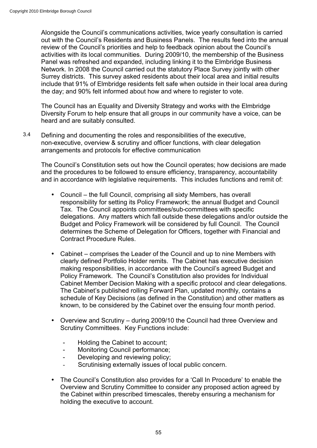Alongside the Council's communications activities, twice yearly consultation is carried out with the Council's Residents and Business Panels. The results feed into the annual review of the Council's priorities and help to feedback opinion about the Council's activities with its local communities. During 2009/10, the membership of the Business Panel was refreshed and expanded, including linking it to the Elmbridge Business Network. In 2008 the Council carried out the statutory Place Survey jointly with other Surrey districts. This survey asked residents about their local area and initial results include that 91% of Elmbridge residents felt safe when outside in their local area during the day; and 90% felt informed about how and where to register to vote.

The Council has an Equality and Diversity Strategy and works with the Elmbridge Diversity Forum to help ensure that all groups in our community have a voice, can be heard and are suitably consulted.

3.4 Defining and documenting the roles and responsibilities of the executive, non-executive, overview & scrutiny and officer functions, with clear delegation arrangements and protocols for effective communication

The Council's Constitution sets out how the Council operates; how decisions are made and the procedures to be followed to ensure efficiency, transparency, accountability and in accordance with legislative requirements. This includes functions and remit of:

- Council the full Council, comprising all sixty Members, has overall responsibility for setting its Policy Framework; the annual Budget and Council Tax. The Council appoints committees/sub-committees with specific delegations. Any matters which fall outside these delegations and/or outside the Budget and Policy Framework will be considered by full Council. The Council determines the Scheme of Delegation for Officers, together with Financial and Contract Procedure Rules.
- Cabinet comprises the Leader of the Council and up to nine Members with clearly defined Portfolio Holder remits. The Cabinet has executive decision making responsibilities, in accordance with the Council's agreed Budget and Policy Framework. The Council's Constitution also provides for Individual Cabinet Member Decision Making with a specific protocol and clear delegations. The Cabinet's published rolling Forward Plan, updated monthly, contains a schedule of Key Decisions (as defined in the Constitution) and other matters as known, to be considered by the Cabinet over the ensuing four month period.
- Overview and Scrutiny during 2009/10 the Council had three Overview and Scrutiny Committees. Key Functions include:
	- Holding the Cabinet to account;
	- Monitoring Council performance;
	- Developing and reviewing policy;
	- Scrutinising externally issues of local public concern.
- The Council's Constitution also provides for a 'Call In Procedure' to enable the Overview and Scrutiny Committee to consider any proposed action agreed by the Cabinet within prescribed timescales, thereby ensuring a mechanism for holding the executive to account.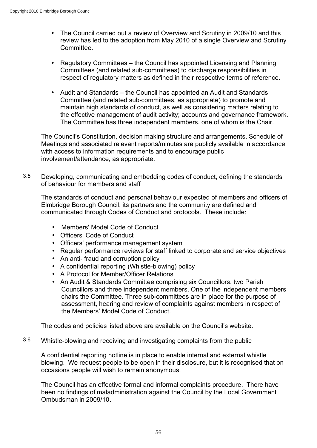- The Council carried out a review of Overview and Scrutiny in 2009/10 and this review has led to the adoption from May 2010 of a single Overview and Scrutiny Committee.
- Regulatory Committees the Council has appointed Licensing and Planning Committees (and related sub-committees) to discharge responsibilities in respect of regulatory matters as defined in their respective terms of reference.
- Audit and Standards the Council has appointed an Audit and Standards Committee (and related sub-committees, as appropriate) to promote and maintain high standards of conduct, as well as considering matters relating to the effective management of audit activity; accounts and governance framework. The Committee has three independent members, one of whom is the Chair.

The Council's Constitution, decision making structure and arrangements, Schedule of Meetings and associated relevant reports/minutes are publicly available in accordance with access to information requirements and to encourage public involvement/attendance, as appropriate.

3.5 Developing, communicating and embedding codes of conduct, defining the standards of behaviour for members and staff

The standards of conduct and personal behaviour expected of members and officers of Elmbridge Borough Council, its partners and the community are defined and communicated through Codes of Conduct and protocols. These include:

- Members' Model Code of Conduct
- Officers' Code of Conduct
- Officers' performance management system
- Regular performance reviews for staff linked to corporate and service objectives
- An anti- fraud and corruption policy
- A confidential reporting (Whistle-blowing) policy
- A Protocol for Member/Officer Relations
- An Audit & Standards Committee comprising six Councillors, two Parish Councillors and three independent members. One of the independent members chairs the Committee. Three sub-committees are in place for the purpose of assessment, hearing and review of complaints against members in respect of the Members' Model Code of Conduct.

The codes and policies listed above are available on the Council's website.

3.6 Whistle-blowing and receiving and investigating complaints from the public

A confidential reporting hotline is in place to enable internal and external whistle blowing. We request people to be open in their disclosure, but it is recognised that on occasions people will wish to remain anonymous.

The Council has an effective formal and informal complaints procedure. There have been no findings of maladministration against the Council by the Local Government Ombudsman in 2009/10.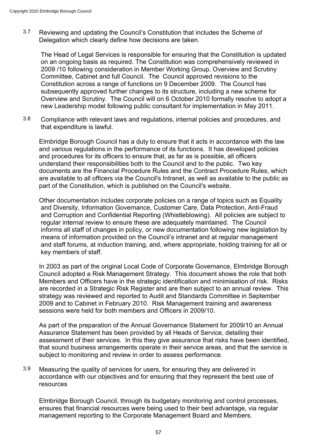3.7 Reviewing and updating the Council's Constitution that includes the Scheme of Delegation which clearly define how decisions are taken.

The Head of Legal Services is responsible for ensuring that the Constitution is updated on an ongoing basis as required. The Constitution was comprehensively reviewed in 2009 /10 following consideration in Member Working Group, Overview and Scrutiny Committee, Cabinet and full Council. The Council approved revisions to the Constitution across a range of functions on 9 December 2009. The Council has subsequently approved further changes to its structure, including a new scheme for Overview and Scrutiny. The Council will on 6 October 2010 formally resolve to adopt a new Leadership model following public consultant for implementation in May 2011.

3.8 Compliance with relevant laws and regulations, internal policies and procedures, and that expenditure is lawful.

Elmbridge Borough Council has a duty to ensure that it acts in accordance with the law and various regulations in the performance of its functions. It has developed policies and procedures for its officers to ensure that, as far as is possible, all officers understand their responsibilities both to the Council and to the public. Two key documents are the Financial Procedure Rules and the Contract Procedure Rules, which are available to all officers via the Council's Intranet, as well as available to the public as part of the Constitution, which is published on the Council's website.

Other documentation includes corporate policies on a range of topics such as Equality and Diversity, Information Governance, Customer Care, Data Protection, Anti-Fraud and Corruption and Confidential Reporting (Whistleblowing). All policies are subject to regular internal review to ensure these are adequately maintained. The Council informs all staff of changes in policy, or new documentation following new legislation by means of information provided on the Council's intranet and at regular management and staff forums, at induction training, and, where appropriate, holding training for all or key members of staff.

In 2003 as part of the original Local Code of Corporate Governance, Elmbridge Borough Council adopted a Risk Management Strategy. This document shows the role that both Members and Officers have in the strategic identification and minimisation of risk. Risks are recorded in a Strategic Risk Register and are then subject to an annual review. This strategy was reviewed and reported to Audit and Standards Committee in September 2009 and to Cabinet in February 2010. Risk Management training and awareness sessions were held for both members and Officers in 2009/10.

As part of the preparation of the Annual Governance Statement for 2009/10 an Annual Assurance Statement has been provided by all Heads of Service, detailing their assessment of their services. In this they give assurance that risks have been identified, that sound business arrangements operate in their service areas, and that the service is subject to monitoring and review in order to assess performance.

3.9 Measuring the quality of services for users, for ensuring they are delivered in accordance with our objectives and for ensuring that they represent the best use of resources

Elmbridge Borough Council, through its budgetary monitoring and control processes, ensures that financial resources were being used to their best advantage, via regular management reporting to the Corporate Management Board and Members.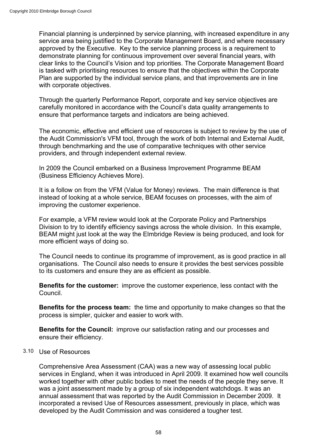Financial planning is underpinned by service planning, with increased expenditure in any service area being justified to the Corporate Management Board, and where necessary approved by the Executive. Key to the service planning process is a requirement to demonstrate planning for continuous improvement over several financial years, with clear links to the Council's Vision and top priorities. The Corporate Management Board is tasked with prioritising resources to ensure that the objectives within the Corporate Plan are supported by the individual service plans, and that improvements are in line with corporate objectives.

Through the quarterly Performance Report, corporate and key service objectives are carefully monitored in accordance with the Council's data quality arrangements to ensure that performance targets and indicators are being achieved.

The economic, effective and efficient use of resources is subject to review by the use of the Audit Commission's VFM tool, through the work of both Internal and External Audit, through benchmarking and the use of comparative techniques with other service providers, and through independent external review.

In 2009 the Council embarked on a Business Improvement Programme BEAM (Business Efficiency Achieves More).

It is a follow on from the VFM (Value for Money) reviews. The main difference is that instead of looking at a whole service, BEAM focuses on processes, with the aim of improving the customer experience.

For example, a VFM review would look at the Corporate Policy and Partnerships Division to try to identify efficiency savings across the whole division. In this example, BEAM might just look at the way the Elmbridge Review is being produced, and look for more efficient ways of doing so.

The Council needs to continue its programme of improvement, as is good practice in all organisations. The Council also needs to ensure it provides the best services possible to its customers and ensure they are as efficient as possible.

**Benefits for the customer:** improve the customer experience, less contact with the Council.

**Benefits for the process team:** the time and opportunity to make changes so that the process is simpler, quicker and easier to work with.

**Benefits for the Council:** improve our satisfaction rating and our processes and ensure their efficiency.

### 3.10 Use of Resources

Comprehensive Area Assessment (CAA) was a new way of assessing local public services in England, when it was introduced in April 2009. It examined how well councils worked together with other public bodies to meet the needs of the people they serve. It was a joint assessment made by a group of six independent watchdogs. It was an annual assessment that was reported by the Audit Commission in December 2009. It incorporated a revised Use of Resources assessment, previously in place, which was developed by the Audit Commission and was considered a tougher test.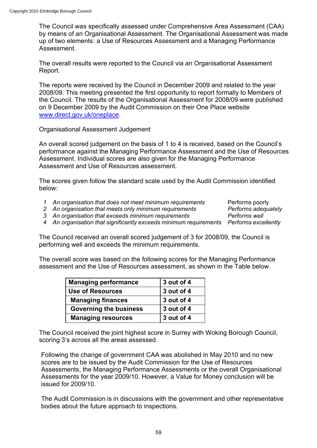The Council was specifically assessed under Comprehensive Area Assessment (CAA) by means of an Organisational Assessment. The Organisational Assessment was made up of two elements: a Use of Resources Assessment and a Managing Performance Assessment.

The overall results were reported to the Council via an Organisational Assessment Report.

The reports were received by the Council in December 2009 and related to the year 2008/09. This meeting presented the first opportunity to report formally to Members of the Council. The results of the Organisational Assessment for 2008/09 were published on 9 December 2009 by the Audit Commission on their One Place website www.direct.gov.uk/oneplace.

Organisational Assessment Judgement

An overall scored judgement on the basis of 1 to 4 is received, based on the Council's performance against the Managing Performance Assessment and the Use of Resources Assessment. Individual scores are also given for the Managing Performance Assessment and Use of Resources assessment.

The scores given follow the standard scale used by the Audit Commission identified below:

*1 An organisation that does not meet minimum requirements* Performs poorly

2 An organisation that meets only minimum requirements *Performs adequately* 

*3 An organisation that exceeds minimum requirements Performs well*

*4 An organisation that significantly exceeds minimum requirements Performs excellently*

The Council received an overall scored judgement of 3 for 2008/09, the Council is performing well and exceeds the minimum requirements.

The overall score was based on the following scores for the Managing Performance assessment and the Use of Resources assessment, as shown in the Table below.

| <b>Managing performance</b>   | 3 out of 4 |
|-------------------------------|------------|
| <b>Use of Resources</b>       | 3 out of 4 |
| <b>Managing finances</b>      | 3 out of 4 |
| <b>Governing the business</b> | 3 out of 4 |
| <b>Managing resources</b>     | 3 out of 4 |

The Council received the joint highest score in Surrey with Woking Borough Council, scoring 3's across all the areas assessed.

Following the change of government CAA was abolished in May 2010 and no new scores are to be issued by the Audit Commission for the Use of Resources Assessments, the Managing Performance Assessments or the overall Organisational Assessments for the year 2009/10. However, a Value for Money conclusion will be issued for 2009/10.

The Audit Commission is in discussions with the government and other representative bodies about the future approach to inspections.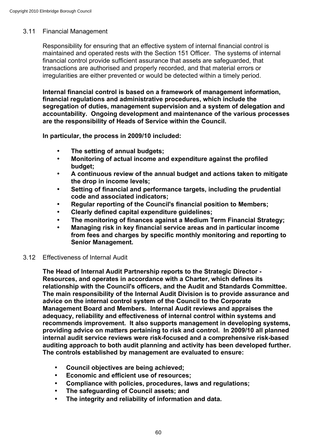## 3.11 Financial Management

Responsibility for ensuring that an effective system of internal financial control is maintained and operated rests with the Section 151 Officer. The systems of internal financial control provide sufficient assurance that assets are safeguarded, that transactions are authorised and properly recorded, and that material errors or irregularities are either prevented or would be detected within a timely period.

**Internal financial control is based on a framework of management information, financial regulations and administrative procedures, which include the segregation of duties, management supervision and a system of delegation and accountability. Ongoing development and maintenance of the various processes are the responsibility of Heads of Service within the Council.**

**In particular, the process in 2009/10 included:**

- **The setting of annual budgets;**
- **Monitoring of actual income and expenditure against the profiled budget;**
- **A continuous review of the annual budget and actions taken to mitigate the drop in income levels;**
- **Setting of financial and performance targets, including the prudential code and associated indicators;**
- **Regular reporting of the Council's financial position to Members;**
- **Clearly defined capital expenditure guidelines;**
- **The monitoring of finances against a Medium Term Financial Strategy;**
- **Managing risk in key financial service areas and in particular income from fees and charges by specific monthly monitoring and reporting to Senior Management.**

### 3.12 Effectiveness of Internal Audit

**The Head of Internal Audit Partnership reports to the Strategic Director - Resources, and operates in accordance with a Charter, which defines its relationship with the Council's officers, and the Audit and Standards Committee. The main responsibility of the Internal Audit Division is to provide assurance and advice on the internal control system of the Council to the Corporate Management Board and Members. Internal Audit reviews and appraises the adequacy, reliability and effectiveness of internal control within systems and recommends improvement. It also supports management in developing systems, providing advice on matters pertaining to risk and control. In 2009/10 all planned internal audit service reviews were risk-focused and a comprehensive risk-based auditing approach to both audit planning and activity has been developed further. The controls established by management are evaluated to ensure:**

- **Council objectives are being achieved;**
- **Economic and efficient use of resources;**
- **Compliance with policies, procedures, laws and regulations;**
- **The safeguarding of Council assets; and**
- **The integrity and reliability of information and data.**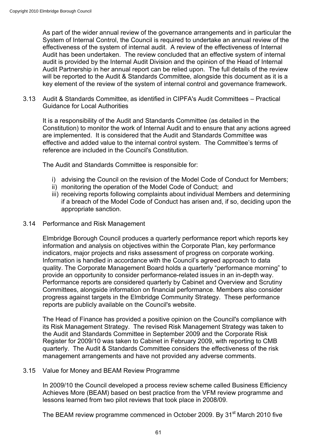As part of the wider annual review of the governance arrangements and in particular the System of Internal Control, the Council is required to undertake an annual review of the effectiveness of the system of internal audit. A review of the effectiveness of Internal Audit has been undertaken. The review concluded that an effective system of internal audit is provided by the Internal Audit Division and the opinion of the Head of Internal Audit Partnership in her annual report can be relied upon. The full details of the review will be reported to the Audit & Standards Committee, alongside this document as it is a key element of the review of the system of internal control and governance framework.

3.13 Audit & Standards Committee, as identified in CIPFA's Audit Committees – Practical Guidance for Local Authorities

It is a responsibility of the Audit and Standards Committee (as detailed in the Constitution) to monitor the work of Internal Audit and to ensure that any actions agreed are implemented. It is considered that the Audit and Standards Committee was effective and added value to the internal control system. The Committee's terms of reference are included in the Council's Constitution.

The Audit and Standards Committee is responsible for:

- i) advising the Council on the revision of the Model Code of Conduct for Members;
- ii) monitoring the operation of the Model Code of Conduct; and
- iii) receiving reports following complaints about individual Members and determining if a breach of the Model Code of Conduct has arisen and, if so, deciding upon the appropriate sanction.

#### 3.14 Performance and Risk Management

Elmbridge Borough Council produces a quarterly performance report which reports key information and analysis on objectives within the Corporate Plan, key performance indicators, major projects and risks assessment of progress on corporate working. Information is handled in accordance with the Council's agreed approach to data quality. The Corporate Management Board holds a quarterly "performance morning" to provide an opportunity to consider performance-related issues in an in-depth way. Performance reports are considered quarterly by Cabinet and Overview and Scrutiny Committees, alongside information on financial performance. Members also consider progress against targets in the Elmbridge Community Strategy. These performance reports are publicly available on the Council's website.

The Head of Finance has provided a positive opinion on the Council's compliance with its Risk Management Strategy. The revised Risk Management Strategy was taken to the Audit and Standards Committee in September 2009 and the Corporate Risk Register for 2009/10 was taken to Cabinet in February 2009, with reporting to CMB quarterly. The Audit & Standards Committee considers the effectiveness of the risk management arrangements and have not provided any adverse comments.

#### 3.15 Value for Money and BEAM Review Programme

In 2009/10 the Council developed a process review scheme called Business Efficiency Achieves More (BEAM) based on best practice from the VFM review programme and lessons learned from two pilot reviews that took place in 2008/09.

The BEAM review programme commenced in October 2009. By 31<sup>st</sup> March 2010 five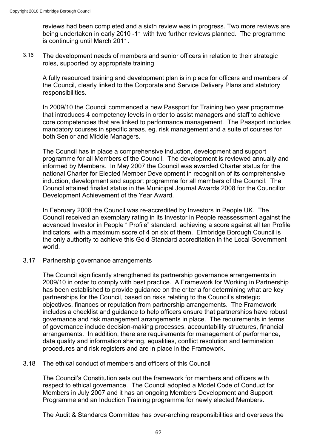reviews had been completed and a sixth review was in progress. Two more reviews are being undertaken in early 2010 -11 with two further reviews planned. The programme is continuing until March 2011.

3.16 The development needs of members and senior officers in relation to their strategic roles, supported by appropriate training

A fully resourced training and development plan is in place for officers and members of the Council, clearly linked to the Corporate and Service Delivery Plans and statutory responsibilities.

In 2009/10 the Council commenced a new Passport for Training two year programme that introduces 4 competency levels in order to assist managers and staff to achieve core competencies that are linked to performance management. The Passport includes mandatory courses in specific areas, eg. risk management and a suite of courses for both Senior and Middle Managers.

The Council has in place a comprehensive induction, development and support programme for all Members of the Council. The development is reviewed annually and informed by Members. In May 2007 the Council was awarded Charter status for the national Charter for Elected Member Development in recognition of its comprehensive induction, development and support programme for all members of the Council. The Council attained finalist status in the Municipal Journal Awards 2008 for the Councillor Development Achievement of the Year Award.

In February 2008 the Council was re-accredited by Investors in People UK. The Council received an exemplary rating in its Investor in People reassessment against the advanced Investor in People " Profile" standard, achieving a score against all ten Profile indicators, with a maximum score of 4 on six of them. Elmbridge Borough Council is the only authority to achieve this Gold Standard accreditation in the Local Government world.

#### 3.17 Partnership governance arrangements

The Council significantly strengthened its partnership governance arrangements in 2009/10 in order to comply with best practice. A Framework for Working in Partnership has been established to provide guidance on the criteria for determining what are key partnerships for the Council, based on risks relating to the Council's strategic objectives, finances or reputation from partnership arrangements. The Framework includes a checklist and guidance to help officers ensure that partnerships have robust governance and risk management arrangements in place. The requirements in terms of governance include decision-making processes, accountability structures, financial arrangements. In addition, there are requirements for management of performance, data quality and information sharing, equalities, conflict resolution and termination procedures and risk registers and are in place in the Framework.

#### 3.18 The ethical conduct of members and officers of this Council

The Council's Constitution sets out the framework for members and officers with respect to ethical governance. The Council adopted a Model Code of Conduct for Members in July 2007 and it has an ongoing Members Development and Support Programme and an Induction Training programme for newly elected Members.

The Audit & Standards Committee has over-arching responsibilities and oversees the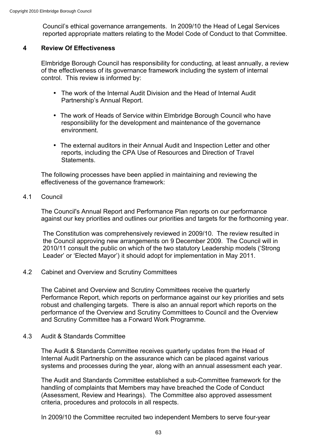Council's ethical governance arrangements. In 2009/10 the Head of Legal Services reported appropriate matters relating to the Model Code of Conduct to that Committee.

#### **4 Review Of Effectiveness**

Elmbridge Borough Council has responsibility for conducting, at least annually, a review of the effectiveness of its governance framework including the system of internal control. This review is informed by:

- The work of the Internal Audit Division and the Head of Internal Audit Partnership's Annual Report.
- The work of Heads of Service within Elmbridge Borough Council who have responsibility for the development and maintenance of the governance environment.
- The external auditors in their Annual Audit and Inspection Letter and other reports, including the CPA Use of Resources and Direction of Travel Statements.

The following processes have been applied in maintaining and reviewing the effectiveness of the governance framework:

#### 4.1 Council

The Council's Annual Report and Performance Plan reports on our performance against our key priorities and outlines our priorities and targets for the forthcoming year.

The Constitution was comprehensively reviewed in 2009/10. The review resulted in the Council approving new arrangements on 9 December 2009. The Council will in 2010/11 consult the public on which of the two statutory Leadership models ('Strong Leader' or 'Elected Mayor') it should adopt for implementation in May 2011.

4.2 Cabinet and Overview and Scrutiny Committees

The Cabinet and Overview and Scrutiny Committees receive the quarterly Performance Report, which reports on performance against our key priorities and sets robust and challenging targets. There is also an annual report which reports on the performance of the Overview and Scrutiny Committees to Council and the Overview and Scrutiny Committee has a Forward Work Programme.

#### 4.3 Audit & Standards Committee

The Audit & Standards Committee receives quarterly updates from the Head of Internal Audit Partnership on the assurance which can be placed against various systems and processes during the year, along with an annual assessment each year.

The Audit and Standards Committee established a sub-Committee framework for the handling of complaints that Members may have breached the Code of Conduct (Assessment, Review and Hearings). The Committee also approved assessment criteria, procedures and protocols in all respects.

In 2009/10 the Committee recruited two independent Members to serve four-year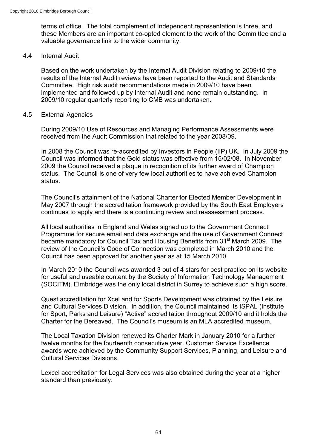terms of office. The total complement of Independent representation is three, and these Members are an important co-opted element to the work of the Committee and a valuable governance link to the wider community.

#### 4.4 Internal Audit

Based on the work undertaken by the Internal Audit Division relating to 2009/10 the results of the Internal Audit reviews have been reported to the Audit and Standards Committee. High risk audit recommendations made in 2009/10 have been implemented and followed up by Internal Audit and none remain outstanding. In 2009/10 regular quarterly reporting to CMB was undertaken.

#### 4.5 External Agencies

During 2009/10 Use of Resources and Managing Performance Assessments were received from the Audit Commission that related to the year 2008/09.

In 2008 the Council was re-accredited by Investors in People (IIP) UK. In July 2009 the Council was informed that the Gold status was effective from 15/02/08. In November 2009 the Council received a plaque in recognition of its further award of Champion status. The Council is one of very few local authorities to have achieved Champion status.

The Council's attainment of the National Charter for Elected Member Development in May 2007 through the accreditation framework provided by the South East Employers continues to apply and there is a continuing review and reassessment process.

All local authorities in England and Wales signed up to the Government Connect Programme for secure email and data exchange and the use of Government Connect became mandatory for Council Tax and Housing Benefits from 31<sup>st</sup> March 2009. The review of the Council's Code of Connection was completed in March 2010 and the Council has been approved for another year as at 15 March 2010.

In March 2010 the Council was awarded 3 out of 4 stars for best practice on its website for useful and useable content by the Society of Information Technology Management (SOCITM). Elmbridge was the only local district in Surrey to achieve such a high score.

Quest accreditation for Xcel and for Sports Development was obtained by the Leisure and Cultural Services Division. In addition, the Council maintained its ISPAL (Institute for Sport, Parks and Leisure) "Active" accreditation throughout 2009/10 and it holds the Charter for the Bereaved. The Council's museum is an MLA accredited museum.

The Local Taxation Division renewed its Charter Mark in January 2010 for a further twelve months for the fourteenth consecutive year. Customer Service Excellence awards were achieved by the Community Support Services, Planning, and Leisure and Cultural Services Divisions.

Lexcel accreditation for Legal Services was also obtained during the year at a higher standard than previously.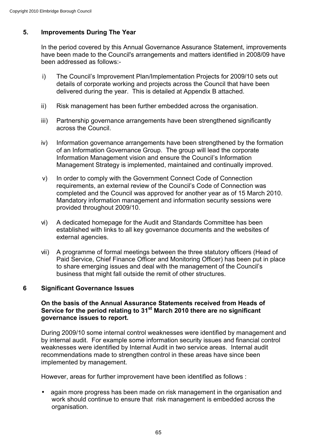# **5. Improvements During The Year**

In the period covered by this Annual Governance Assurance Statement, improvements have been made to the Council's arrangements and matters identified in 2008/09 have been addressed as follows:-

- i) The Council's Improvement Plan/Implementation Projects for 2009/10 sets out details of corporate working and projects across the Council that have been delivered during the year. This is detailed at Appendix B attached.
- ii) Risk management has been further embedded across the organisation.
- iii) Partnership governance arrangements have been strengthened significantly across the Council.
- iv) Information governance arrangements have been strengthened by the formation of an Information Governance Group. The group will lead the corporate Information Management vision and ensure the Council's Information Management Strategy is implemented, maintained and continually improved.
- v) In order to comply with the Government Connect Code of Connection requirements, an external review of the Council's Code of Connection was completed and the Council was approved for another year as of 15 March 2010. Mandatory information management and information security sessions were provided throughout 2009/10.
- vi) A dedicated homepage for the Audit and Standards Committee has been established with links to all key governance documents and the websites of external agencies.
- vii) A programme of formal meetings between the three statutory officers (Head of Paid Service, Chief Finance Officer and Monitoring Officer) has been put in place to share emerging issues and deal with the management of the Council's business that might fall outside the remit of other structures.

### **6 Significant Governance Issues**

### **On the basis of the Annual Assurance Statements received from Heads of Service for the period relating to 31st March 2010 there are no significant governance issues to report.**

During 2009/10 some internal control weaknesses were identified by management and by internal audit. For example some information security issues and financial control weaknesses were identified by Internal Audit in two service areas. Internal audit recommendations made to strengthen control in these areas have since been implemented by management.

However, areas for further improvement have been identified as follows :

• again more progress has been made on risk management in the organisation and work should continue to ensure that risk management is embedded across the organisation.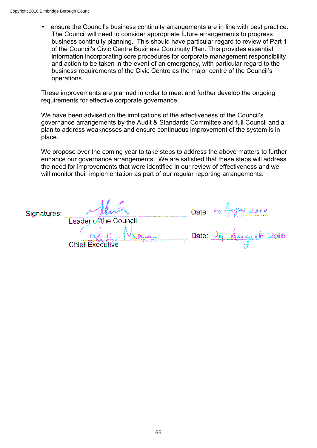• ensure the Council's business continuity arrangements are in line with best practice. The Council will need to consider appropriate future arrangements to progress business continuity planning. This should have particular regard to review of Part 1 of the Council's Civic Centre Business Continuity Plan. This provides essential information incorporating core procedures for corporate management responsibility and action to be taken in the event of an emergency, with particular regard to the business requirements of the Civic Centre as the major centre of the Council's operations.

These improvements are planned in order to meet and further develop the ongoing requirements for effective corporate governance.

We have been advised on the implications of the effectiveness of the Council's governance arrangements by the Audit & Standards Committee and full Council and a plan to address weaknesses and ensure continuous improvement of the system is in place.

We propose over the coming year to take steps to address the above matters to further enhance our governance arrangements. We are satisfied that these steps will address the need for improvements that were identified in our review of effectiveness and we will monitor their implementation as part of our regular reporting arrangements.

Signatures:

Leader of the Council

**Chief Executi** 

Date:  $23/$ 

Lyne zoio Date:  $\lambda$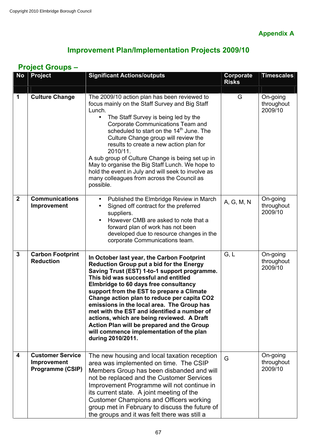**Appendix A**

# **Improvement Plan/Implementation Projects 2009/10**

# **Project Groups –**

| <b>No</b>               | <b>Project</b>                                             | <b>Significant Actions/outputs</b>                                                                                                                                                                                                                                                                                                                                                                                                                                                                                                                                                   | <b>Corporate</b><br><b>Risks</b> | <b>Timescales</b>                 |
|-------------------------|------------------------------------------------------------|--------------------------------------------------------------------------------------------------------------------------------------------------------------------------------------------------------------------------------------------------------------------------------------------------------------------------------------------------------------------------------------------------------------------------------------------------------------------------------------------------------------------------------------------------------------------------------------|----------------------------------|-----------------------------------|
| 1                       | <b>Culture Change</b>                                      | The 2009/10 action plan has been reviewed to<br>focus mainly on the Staff Survey and Big Staff<br>Lunch.<br>The Staff Survey is being led by the<br>Corporate Communications Team and<br>scheduled to start on the 14 <sup>th</sup> June. The<br>Culture Change group will review the<br>results to create a new action plan for<br>2010/11.<br>A sub group of Culture Change is being set up in<br>May to organise the Big Staff Lunch. We hope to<br>hold the event in July and will seek to involve as<br>many colleagues from across the Council as<br>possible.                 | G                                | On-going<br>throughout<br>2009/10 |
| $\overline{2}$          | <b>Communications</b><br>Improvement                       | Published the Elmbridge Review in March<br>$\bullet$<br>Signed off contract for the preferred<br>suppliers.<br>However CMB are asked to note that a<br>forward plan of work has not been<br>developed due to resource changes in the<br>corporate Communications team.                                                                                                                                                                                                                                                                                                               | A, G, M, N                       | On-going<br>throughout<br>2009/10 |
| $\mathbf{3}$            | <b>Carbon Footprint</b><br><b>Reduction</b>                | In October last year, the Carbon Footprint<br><b>Reduction Group put a bid for the Energy</b><br>Saving Trust (EST) 1-to-1 support programme.<br>This bid was successful and entitled<br>Elmbridge to 60 days free consultancy<br>support from the EST to prepare a Climate<br>Change action plan to reduce per capita CO2<br>emissions in the local area. The Group has<br>met with the EST and identified a number of<br>actions, which are being reviewed. A Draft<br>Action Plan will be prepared and the Group<br>will commence implementation of the plan<br>during 2010/2011. | G, L                             | On-going<br>throughout<br>2009/10 |
| $\overline{\mathbf{4}}$ | <b>Customer Service</b><br>Improvement<br>Programme (CSIP) | The new housing and local taxation reception<br>area was implemented on time. The CSIP<br>Members Group has been disbanded and will<br>not be replaced and the Customer Services<br>Improvement Programme will not continue in<br>its current state. A joint meeting of the<br><b>Customer Champions and Officers working</b><br>group met in February to discuss the future of<br>the groups and it was felt there was still a                                                                                                                                                      | G                                | On-going<br>throughout<br>2009/10 |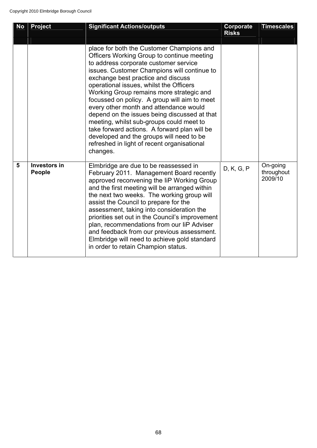| <b>No</b> | <b>Project</b>                       | <b>Significant Actions/outputs</b>                                                                                                                                                                                                                                                                                                                                                                                                                                                                                                                                                                                                                        | Corporate<br><b>Risks</b> | <b>Timescales</b>                 |
|-----------|--------------------------------------|-----------------------------------------------------------------------------------------------------------------------------------------------------------------------------------------------------------------------------------------------------------------------------------------------------------------------------------------------------------------------------------------------------------------------------------------------------------------------------------------------------------------------------------------------------------------------------------------------------------------------------------------------------------|---------------------------|-----------------------------------|
|           |                                      | place for both the Customer Champions and<br>Officers Working Group to continue meeting<br>to address corporate customer service<br>issues. Customer Champions will continue to<br>exchange best practice and discuss<br>operational issues, whilst the Officers<br>Working Group remains more strategic and<br>focussed on policy. A group will aim to meet<br>every other month and attendance would<br>depend on the issues being discussed at that<br>meeting, whilst sub-groups could meet to<br>take forward actions. A forward plan will be<br>developed and the groups will need to be<br>refreshed in light of recent organisational<br>changes. |                           |                                   |
| 5         | <b>Investors in</b><br><b>People</b> | Elmbridge are due to be reassessed in<br>February 2011. Management Board recently<br>approved reconvening the IiP Working Group<br>and the first meeting will be arranged within<br>the next two weeks. The working group will<br>assist the Council to prepare for the<br>assessment, taking into consideration the<br>priorities set out in the Council's improvement<br>plan, recommendations from our liP Adviser<br>and feedback from our previous assessment.<br>Elmbridge will need to achieve gold standard<br>in order to retain Champion status.                                                                                                | D, K, G, P                | On-going<br>throughout<br>2009/10 |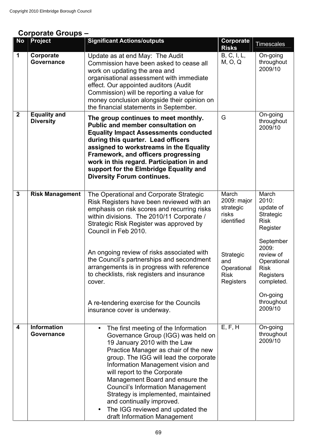# **Corporate Groups –**

| <b>No</b>               | <b>Project</b>                          | <b>Significant Actions/outputs</b>                                                                                                                                                                                                                                                                                                                                                                                                                                                                                                | Corporate<br><b>Risks</b>                                                                                               | <b>Timescales</b>                                                                                                                                                                                    |
|-------------------------|-----------------------------------------|-----------------------------------------------------------------------------------------------------------------------------------------------------------------------------------------------------------------------------------------------------------------------------------------------------------------------------------------------------------------------------------------------------------------------------------------------------------------------------------------------------------------------------------|-------------------------------------------------------------------------------------------------------------------------|------------------------------------------------------------------------------------------------------------------------------------------------------------------------------------------------------|
| $\mathbf{1}$            | Corporate<br>Governance                 | Update as at end May: The Audit<br>Commission have been asked to cease all<br>work on updating the area and<br>organisational assessment with immediate<br>effect. Our appointed auditors (Audit<br>Commission) will be reporting a value for<br>money conclusion alongside their opinion on<br>the financial statements in September.                                                                                                                                                                                            | B, C, I, L,<br>M, O, Q                                                                                                  | On-going<br>throughout<br>2009/10                                                                                                                                                                    |
| $\boldsymbol{2}$        | <b>Equality and</b><br><b>Diversity</b> | The group continues to meet monthly.<br>Public and member consultation on<br><b>Equality Impact Assessments conducted</b><br>during this quarter. Lead officers<br>assigned to workstreams in the Equality<br>Framework, and officers progressing<br>work in this regard. Participation in and<br>support for the Elmbridge Equality and<br><b>Diversity Forum continues.</b>                                                                                                                                                     | G                                                                                                                       | On-going<br>throughout<br>2009/10                                                                                                                                                                    |
| $\overline{3}$          | <b>Risk Management</b>                  | The Operational and Corporate Strategic<br>Risk Registers have been reviewed with an<br>emphasis on risk scores and recurring risks<br>within divisions. The 2010/11 Corporate /<br>Strategic Risk Register was approved by<br>Council in Feb 2010.<br>An ongoing review of risks associated with<br>the Council's partnerships and secondment<br>arrangements is in progress with reference<br>to checklists, risk registers and insurance<br>cover.<br>A re-tendering exercise for the Councils<br>insurance cover is underway. | March<br>2009: major<br>strategic<br>risks<br>identified<br>Strategic<br>and<br>Operational<br><b>Risk</b><br>Registers | March<br>2010:<br>update of<br>Strategic<br><b>Risk</b><br>Register<br>September<br>2009:<br>review of<br>Operational<br><b>Risk</b><br>Registers<br>completed.<br>On-going<br>throughout<br>2009/10 |
| $\overline{\mathbf{4}}$ | <b>Information</b><br>Governance        | The first meeting of the Information<br>Governance Group (IGG) was held on<br>19 January 2010 with the Law<br>Practice Manager as chair of the new<br>group. The IGG will lead the corporate<br>Information Management vision and<br>will report to the Corporate<br>Management Board and ensure the<br><b>Council's Information Management</b><br>Strategy is implemented, maintained<br>and continually improved.<br>The IGG reviewed and updated the<br>$\bullet$<br>draft Information Management                              | E, F, H                                                                                                                 | On-going<br>throughout<br>2009/10                                                                                                                                                                    |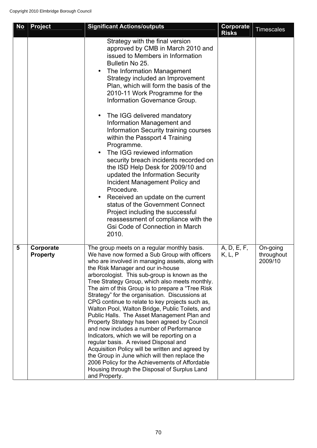| <b>No</b> | <b>Project</b>               | <b>Significant Actions/outputs</b>                                                                                                                                                                                                                                                                                                                                                                                                                                                                                                                                                                                                                                                                                                                                                                                                                                                                                                                            | Corporate<br><b>Risks</b> | <b>Timescales</b>                 |
|-----------|------------------------------|---------------------------------------------------------------------------------------------------------------------------------------------------------------------------------------------------------------------------------------------------------------------------------------------------------------------------------------------------------------------------------------------------------------------------------------------------------------------------------------------------------------------------------------------------------------------------------------------------------------------------------------------------------------------------------------------------------------------------------------------------------------------------------------------------------------------------------------------------------------------------------------------------------------------------------------------------------------|---------------------------|-----------------------------------|
|           |                              | Strategy with the final version<br>approved by CMB in March 2010 and<br>issued to Members in Information<br>Bulletin No 25.<br>The Information Management<br>Strategy included an Improvement<br>Plan, which will form the basis of the<br>2010-11 Work Programme for the<br>Information Governance Group.<br>The IGG delivered mandatory<br>Information Management and<br>Information Security training courses<br>within the Passport 4 Training<br>Programme.<br>The IGG reviewed information<br>security breach incidents recorded on<br>the ISD Help Desk for 2009/10 and<br>updated the Information Security<br>Incident Management Policy and<br>Procedure.<br>Received an update on the current<br>status of the Government Connect<br>Project including the successful<br>reassessment of compliance with the<br><b>Gsi Code of Connection in March</b><br>2010.                                                                                     |                           |                                   |
| 5         | Corporate<br><b>Property</b> | The group meets on a regular monthly basis.<br>We have now formed a Sub Group with officers<br>who are involved in managing assets, along with<br>the Risk Manager and our in-house<br>arborcologist. This sub-group is known as the<br>Tree Strategy Group, which also meets monthly.<br>The aim of this Group is to prepare a "Tree Risk<br>Strategy" for the organisation. Discussions at<br>CPG continue to relate to key projects such as,<br>Walton Pool, Walton Bridge, Public Toilets, and<br>Public Halls. The Asset Management Plan and<br>Property Strategy has been agreed by Council<br>and now includes a number of Performance<br>Indicators, which we will be reporting on a<br>regular basis. A revised Disposal and<br>Acquisition Policy will be written and agreed by<br>the Group in June which will then replace the<br>2006 Policy for the Achievements of Affordable<br>Housing through the Disposal of Surplus Land<br>and Property. | A, D, E, F,<br>K, L, P    | On-going<br>throughout<br>2009/10 |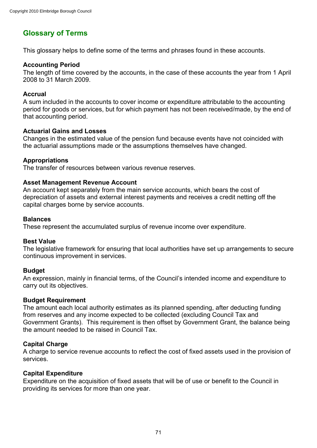# **Glossary of Terms**

This glossary helps to define some of the terms and phrases found in these accounts.

## **Accounting Period**

The length of time covered by the accounts, in the case of these accounts the year from 1 April 2008 to 31 March 2009.

## **Accrual**

A sum included in the accounts to cover income or expenditure attributable to the accounting period for goods or services, but for which payment has not been received/made, by the end of that accounting period.

### **Actuarial Gains and Losses**

Changes in the estimated value of the pension fund because events have not coincided with the actuarial assumptions made or the assumptions themselves have changed.

# **Appropriations**

The transfer of resources between various revenue reserves.

# **Asset Management Revenue Account**

An account kept separately from the main service accounts, which bears the cost of depreciation of assets and external interest payments and receives a credit netting off the capital charges borne by service accounts.

### **Balances**

These represent the accumulated surplus of revenue income over expenditure.

### **Best Value**

The legislative framework for ensuring that local authorities have set up arrangements to secure continuous improvement in services.

### **Budget**

An expression, mainly in financial terms, of the Council's intended income and expenditure to carry out its objectives.

### **Budget Requirement**

The amount each local authority estimates as its planned spending, after deducting funding from reserves and any income expected to be collected (excluding Council Tax and Government Grants). This requirement is then offset by Government Grant, the balance being the amount needed to be raised in Council Tax.

# **Capital Charge**

A charge to service revenue accounts to reflect the cost of fixed assets used in the provision of services.

### **Capital Expenditure**

Expenditure on the acquisition of fixed assets that will be of use or benefit to the Council in providing its services for more than one year.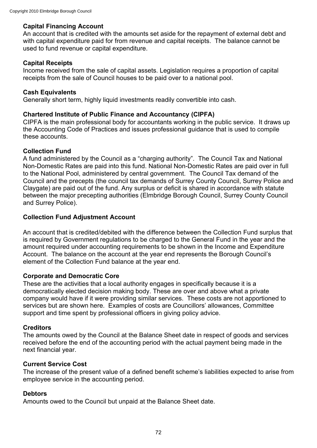## **Capital Financing Account**

An account that is credited with the amounts set aside for the repayment of external debt and with capital expenditure paid for from revenue and capital receipts. The balance cannot be used to fund revenue or capital expenditure.

## **Capital Receipts**

Income received from the sale of capital assets. Legislation requires a proportion of capital receipts from the sale of Council houses to be paid over to a national pool.

## **Cash Equivalents**

Generally short term, highly liquid investments readily convertible into cash.

## **Chartered Institute of Public Finance and Accountancy (CIPFA)**

CIPFA is the main professional body for accountants working in the public service. It draws up the Accounting Code of Practices and issues professional guidance that is used to compile these accounts.

## **Collection Fund**

A fund administered by the Council as a "charging authority". The Council Tax and National Non-Domestic Rates are paid into this fund. National Non-Domestic Rates are paid over in full to the National Pool, administered by central government. The Council Tax demand of the Council and the precepts (the council tax demands of Surrey County Council, Surrey Police and Claygate) are paid out of the fund. Any surplus or deficit is shared in accordance with statute between the major precepting authorities (Elmbridge Borough Council, Surrey County Council and Surrey Police).

## **Collection Fund Adjustment Account**

An account that is credited/debited with the difference between the Collection Fund surplus that is required by Government regulations to be charged to the General Fund in the year and the amount required under accounting requirements to be shown in the Income and Expenditure Account. The balance on the account at the year end represents the Borough Council's element of the Collection Fund balance at the year end.

## **Corporate and Democratic Core**

These are the activities that a local authority engages in specifically because it is a democratically elected decision making body. These are over and above what a private company would have if it were providing similar services. These costs are not apportioned to services but are shown here. Examples of costs are Councillors' allowances, Committee support and time spent by professional officers in giving policy advice.

## **Creditors**

The amounts owed by the Council at the Balance Sheet date in respect of goods and services received before the end of the accounting period with the actual payment being made in the next financial year.

## **Current Service Cost**

The increase of the present value of a defined benefit scheme's liabilities expected to arise from employee service in the accounting period.

## **Debtors**

Amounts owed to the Council but unpaid at the Balance Sheet date.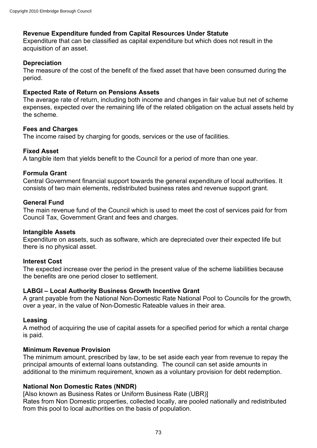# **Revenue Expenditure funded from Capital Resources Under Statute**

Expenditure that can be classified as capital expenditure but which does not result in the acquisition of an asset.

## **Depreciation**

The measure of the cost of the benefit of the fixed asset that have been consumed during the period.

## **Expected Rate of Return on Pensions Assets**

The average rate of return, including both income and changes in fair value but net of scheme expenses, expected over the remaining life of the related obligation on the actual assets held by the scheme.

## **Fees and Charges**

The income raised by charging for goods, services or the use of facilities.

## **Fixed Asset**

A tangible item that yields benefit to the Council for a period of more than one year.

## **Formula Grant**

Central Government financial support towards the general expenditure of local authorities. It consists of two main elements, redistributed business rates and revenue support grant.

## **General Fund**

The main revenue fund of the Council which is used to meet the cost of services paid for from Council Tax, Government Grant and fees and charges.

## **Intangible Assets**

Expenditure on assets, such as software, which are depreciated over their expected life but there is no physical asset.

## **Interest Cost**

The expected increase over the period in the present value of the scheme liabilities because the benefits are one period closer to settlement.

## **LABGI – Local Authority Business Growth Incentive Grant**

A grant payable from the National Non-Domestic Rate National Pool to Councils for the growth, over a year, in the value of Non-Domestic Rateable values in their area.

## **Leasing**

A method of acquiring the use of capital assets for a specified period for which a rental charge is paid.

## **Minimum Revenue Provision**

The minimum amount, prescribed by law, to be set aside each year from revenue to repay the principal amounts of external loans outstanding. The council can set aside amounts in additional to the minimum requirement, known as a voluntary provision for debt redemption.

# **National Non Domestic Rates (NNDR)**

[Also known as Business Rates or Uniform Business Rate (UBR)] Rates from Non Domestic properties, collected locally, are pooled nationally and redistributed from this pool to local authorities on the basis of population.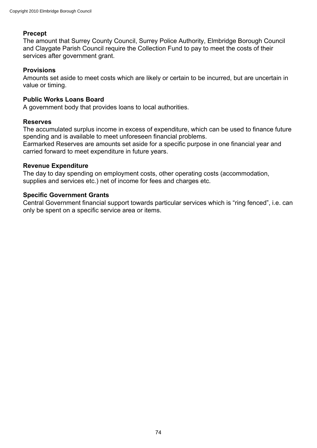## **Precept**

The amount that Surrey County Council, Surrey Police Authority, Elmbridge Borough Council and Claygate Parish Council require the Collection Fund to pay to meet the costs of their services after government grant.

## **Provisions**

Amounts set aside to meet costs which are likely or certain to be incurred, but are uncertain in value or timing.

## **Public Works Loans Board**

A government body that provides loans to local authorities.

## **Reserves**

The accumulated surplus income in excess of expenditure, which can be used to finance future spending and is available to meet unforeseen financial problems.

Earmarked Reserves are amounts set aside for a specific purpose in one financial year and carried forward to meet expenditure in future years.

## **Revenue Expenditure**

The day to day spending on employment costs, other operating costs (accommodation, supplies and services etc.) net of income for fees and charges etc.

## **Specific Government Grants**

Central Government financial support towards particular services which is "ring fenced", i.e. can only be spent on a specific service area or items.